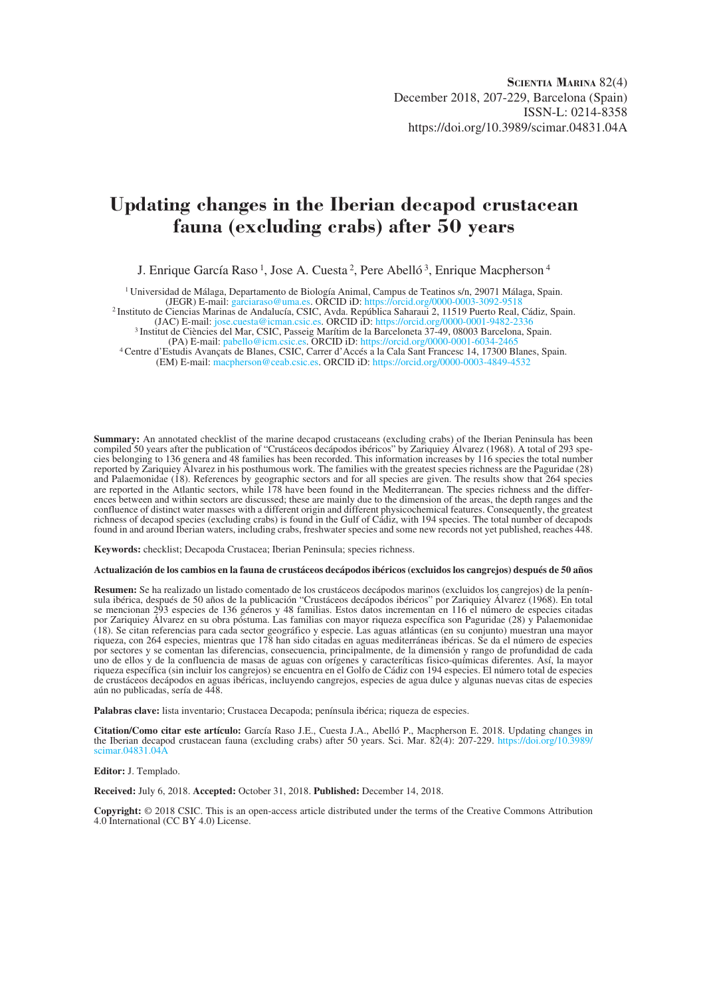# **Updating changes in the Iberian decapod crustacean fauna (excluding crabs) after 50 years**

J. Enrique García Raso<sup>1</sup>, Jose A. Cuesta<sup>2</sup>, Pere Abelló<sup>3</sup>, Enrique Macpherson<sup>4</sup>

<sup>1</sup> Universidad de Málaga, Departamento de Biología Animal, Campus de Teatinos s/n, 29071 Málaga, Spain.<br>(JEGR) E-mail: garciaraso@uma.es. ORCID iD: https://orcid.org/0000-0003-3092-9518

<sup>2</sup> Instituto de Ciencias Marinas de Andalucía, CSIC, Avda. República Saharaui 2, 11519 Puerto Real, Cádiz, Spain. (JAC) E-mail: jose.cuesta@icman.csic.es. ORCID iD: https://orcid.org/0000-0001-9482-2336

<sup>3</sup> Institut de Ciències del Mar, CSIC, Passeig Marítim de la Barceloneta 37-49, 08003 Barcelona, Spain.<br>(PA) E-mail: pabello@icm.csic.es. ORCID iD: https://orcid.org/0000-0001-6034-2465 <sup>4</sup> Centre d'Estudis Avançats de Blanes, CSIC, Carrer d'Accés a la Cala Sant Francesc 14, 17300 Blanes, Spain.

(EM) E-mail: macpherson@ceab.csic.es. ORCID iD: https://orcid.org/0000-0003-4849-4532

**Summary:** An annotated checklist of the marine decapod crustaceans (excluding crabs) of the Iberian Peninsula has been compiled 50 years after the publication of "Crustáceos decápodos ibéricos" by Zariquiey Álvarez (1968). A total of 293 species belonging to 136 genera and 48 families has been recorded. This information increases by 116 species the total number reported by Zariquiey Álvarez in his posthumous work. The families with the greatest species richness are the Paguridae (28) and Palaemonidae (18). References by geographic sectors and for all species are given. The results show that 264 species are reported in the Atlantic sectors, while 178 have been found in the Mediterranean. The species richness and the differences between and within sectors are discussed; these are mainly due to the dimension of the areas, the depth ranges and the confluence of distinct water masses with a different origin and different physicochemical features. Consequently, the greatest richness of decapod species (excluding crabs) is found in the Gulf of Cádiz, with 194 species. The total number of decapods found in and around Iberian waters, including crabs, freshwater species and some new records not yet published, reaches 448.

**Keywords:** checklist; Decapoda Crustacea; Iberian Peninsula; species richness.

#### **Actualización de los cambios en la fauna de crustáceos decápodos ibéricos (excluidos los cangrejos) después de 50 años**

**Resumen:** Se ha realizado un listado comentado de los crustáceos decápodos marinos (excluidos los cangrejos) de la península ibérica, después de 50 años de la publicación "Crustáceos decápodos ibéricos" por Zariquiey Álvarez (1968). En total se mencionan 293 especies de 136 géneros y 48 familias. Estos datos incrementan en 116 el número de especies citadas por Zariquiey Álvarez en su obra póstuma. Las familias con mayor riqueza específica son Paguridae (28) y Palaemonidae (18). Se citan referencias para cada sector geográfico y especie. Las aguas atlánticas (en su conjunto) muestran una mayor riqueza, con 264 especies, mientras que 178 han sido citadas en aguas mediterráneas ibéricas. Se da el número de especies por sectores y se comentan las diferencias, consecuencia, principalmente, de la dimensión y rango de profundidad de cada uno de ellos y de la confluencia de masas de aguas con orígenes y caracteríticas fisico-químicas diferentes. Así, la mayor riqueza específica (sin incluir los cangrejos) se encuentra en el Golfo de Cádiz con 194 especies. El número total de especies de crustáceos decápodos en aguas ibéricas, incluyendo cangrejos, especies de agua dulce y algunas nuevas citas de especies aún no publicadas, sería de 448.

**Palabras clave:** lista inventario; Crustacea Decapoda; península ibérica; riqueza de especies.

**Citation/Como citar este artículo:** García Raso J.E., Cuesta J.A., Abelló P., Macpherson E. 2018. Updating changes in the Iberian decapod crustacean fauna (excluding crabs) after 50 years. Sci. Mar. 82(4): 207-229. https://doi.org/10.3989/ scimar.04831.04A

**Editor:** J. Templado.

**Received:** July 6, 2018. **Accepted:** October 31, 2018. **Published:** December 14, 2018.

**Copyright:** © 2018 CSIC. This is an open-access article distributed under the terms of the Creative Commons Attribution 4.0 International (CC BY 4.0) License.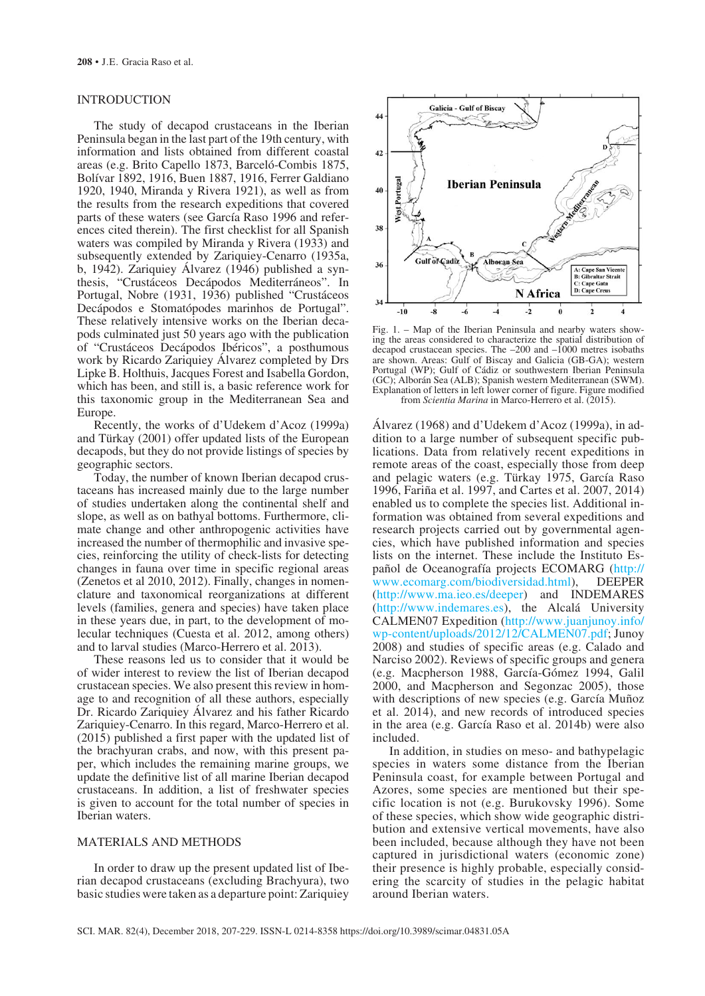# INTRODUCTION

The study of decapod crustaceans in the Iberian Peninsula began in the last part of the 19th century, with information and lists obtained from different coastal areas (e.g. Brito Capello 1873, Barceló-Combis 1875, Bolívar 1892, 1916, Buen 1887, 1916, Ferrer Galdiano 1920, 1940, Miranda y Rivera 1921), as well as from the results from the research expeditions that covered parts of these waters (see García Raso 1996 and references cited therein). The first checklist for all Spanish waters was compiled by Miranda y Rivera (1933) and subsequently extended by Zariquiey-Cenarro (1935a, b, 1942). Zariquiey Álvarez (1946) published a synthesis, "Crustáceos Decápodos Mediterráneos". In Portugal, Nobre (1931, 1936) published "Crustáceos Decápodos e Stomatópodes marinhos de Portugal". These relatively intensive works on the Iberian decapods culminated just 50 years ago with the publication of "Crustáceos Decápodos Ibéricos", a posthumous work by Ricardo Zariquiey Álvarez completed by Drs Lipke B. Holthuis, Jacques Forest and Isabella Gordon, which has been, and still is, a basic reference work for this taxonomic group in the Mediterranean Sea and Europe.

Recently, the works of d'Udekem d'Acoz (1999a) and Türkay (2001) offer updated lists of the European decapods, but they do not provide listings of species by geographic sectors.

Today, the number of known Iberian decapod crustaceans has increased mainly due to the large number of studies undertaken along the continental shelf and slope, as well as on bathyal bottoms. Furthermore, climate change and other anthropogenic activities have increased the number of thermophilic and invasive species, reinforcing the utility of check-lists for detecting changes in fauna over time in specific regional areas (Zenetos et al 2010, 2012). Finally, changes in nomenclature and taxonomical reorganizations at different levels (families, genera and species) have taken place in these years due, in part, to the development of molecular techniques (Cuesta et al. 2012, among others) and to larval studies (Marco-Herrero et al. 2013).

These reasons led us to consider that it would be of wider interest to review the list of Iberian decapod crustacean species. We also present this review in homage to and recognition of all these authors, especially Dr. Ricardo Zariquiey Álvarez and his father Ricardo Zariquiey-Cenarro. In this regard, Marco-Herrero et al. (2015) published a first paper with the updated list of the brachyuran crabs, and now, with this present paper, which includes the remaining marine groups, we update the definitive list of all marine Iberian decapod crustaceans. In addition, a list of freshwater species is given to account for the total number of species in Iberian waters.

#### MATERIALS AND METHODS

In order to draw up the present updated list of Iberian decapod crustaceans (excluding Brachyura), two basic studies were taken as a departure point: Zariquiey



Fig. 1. – Map of the Iberian Peninsula and nearby waters showing the areas considered to characterize the spatial distribution of decapod crustacean species. The –200 and –1000 metres isobaths are shown. Areas: Gulf of Biscay and Galicia (GB-GA); western Portugal (WP); Gulf of Cádiz or southwestern Iberian Peninsula (GC); Alborán Sea (ALB); Spanish western Mediterranean (SWM). Explanation of letters in left lower corner of figure. Figure modified from *Scientia Marina* in Marco-Herrero et al. (2015).

Álvarez (1968) and d'Udekem d'Acoz (1999a), in addition to a large number of subsequent specific publications. Data from relatively recent expeditions in remote areas of the coast, especially those from deep and pelagic waters (e.g. Türkay 1975, García Raso 1996, Fariña et al. 1997, and Cartes et al. 2007, 2014) enabled us to complete the species list. Additional information was obtained from several expeditions and research projects carried out by governmental agencies, which have published information and species lists on the internet. These include the Instituto Español de Oceanografía projects ECOMARG (http:// www.ecomarg.com/biodiversidad.html), DEEPER (http://www.ma.ieo.es/deeper) and INDEMARES (http://www.indemares.es), the Alcalá University CALMEN07 Expedition (http://www.juanjunoy.info/ wp-content/uploads/2012/12/CALMEN07.pdf; Junoy 2008) and studies of specific areas (e.g. Calado and Narciso 2002). Reviews of specific groups and genera (e.g. Macpherson 1988, García-Gómez 1994, Galil 2000, and Macpherson and Segonzac 2005), those with descriptions of new species (e.g. García Muñoz et al. 2014), and new records of introduced species in the area (e.g. García Raso et al. 2014b) were also included.

In addition, in studies on meso- and bathypelagic species in waters some distance from the Iberian Peninsula coast, for example between Portugal and Azores, some species are mentioned but their specific location is not (e.g. Burukovsky 1996). Some of these species, which show wide geographic distribution and extensive vertical movements, have also been included, because although they have not been captured in jurisdictional waters (economic zone) their presence is highly probable, especially considering the scarcity of studies in the pelagic habitat around Iberian waters.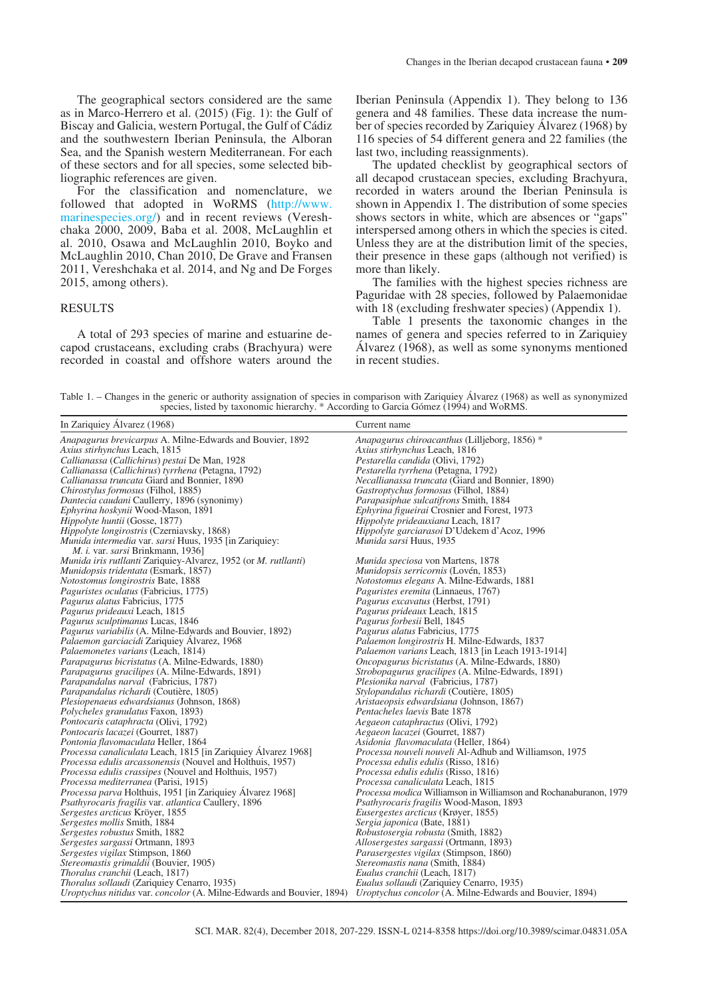The geographical sectors considered are the same as in Marco-Herrero et al. (2015) (Fig. 1): the Gulf of Biscay and Galicia, western Portugal, the Gulf of Cádiz and the southwestern Iberian Peninsula, the Alboran Sea, and the Spanish western Mediterranean. For each of these sectors and for all species, some selected bibliographic references are given.

For the classification and nomenclature, we followed that adopted in WoRMS (http://www. marinespecies.org/) and in recent reviews (Vereshchaka 2000, 2009, Baba et al. 2008, McLaughlin et al. 2010, Osawa and McLaughlin 2010, Boyko and McLaughlin 2010, Chan 2010, De Grave and Fransen 2011, Vereshchaka et al. 2014, and Ng and De Forges 2015, among others).

## RESULTS

A total of 293 species of marine and estuarine decapod crustaceans, excluding crabs (Brachyura) were recorded in coastal and offshore waters around the Iberian Peninsula (Appendix 1). They belong to 136 genera and 48 families. These data increase the number of species recorded by Zariquiey Álvarez (1968) by 116 species of 54 different genera and 22 families (the last two, including reassignments).

The updated checklist by geographical sectors of all decapod crustacean species, excluding Brachyura, recorded in waters around the Iberian Peninsula is shown in Appendix 1. The distribution of some species shows sectors in white, which are absences or "gaps" interspersed among others in which the species is cited. Unless they are at the distribution limit of the species, their presence in these gaps (although not verified) is more than likely.

The families with the highest species richness are Paguridae with 28 species, followed by Palaemonidae with 18 (excluding freshwater species) (Appendix 1).

Table 1 presents the taxonomic changes in the names of genera and species referred to in Zariquiey Álvarez (1968), as well as some synonyms mentioned in recent studies.

Table 1. – Changes in the generic or authority assignation of species in comparison with Zariquiey Álvarez (1968) as well as synonymized species, listed by taxonomic hierarchy. \* According to Garcia Gómez (1994) and WoRMS.

| In Zariquiey Álvarez (1968)                                           | Current name                                                      |
|-----------------------------------------------------------------------|-------------------------------------------------------------------|
| Anapagurus brevicarpus A. Milne-Edwards and Bouvier, 1892             | Anapagurus chiroacanthus (Lilljeborg, 1856) *                     |
| Axius stirhynchus Leach, 1815                                         | Axius stirhynchus Leach, 1816                                     |
| Callianassa (Callichirus) pestai De Man, 1928                         | Pestarella candida (Olivi, 1792)                                  |
| Callianassa (Callichirus) tyrrhena (Petagna, 1792)                    | Pestarella tyrrhena (Petagna, 1792)                               |
| Callianassa truncata Giard and Bonnier, 1890                          | <i>Necallianassa truncata</i> (Giard and Bonnier, 1890)           |
| Chirostylus formosus (Filhol, 1885)                                   | Gastroptychus formosus (Filhol, 1884)                             |
| Dantecia caudani Caullerry, 1896 (synonimy)                           | <i>Parapasiphae sulcatifrons Smith, 1884</i>                      |
| Ephyrina hoskynii Wood-Mason, 1891                                    | <i>Ephyrina figueirai</i> Crosnier and Forest, 1973               |
| <i>Hippolyte huntii</i> (Gosse, 1877)                                 | Hippolyte prideauxiana Leach, 1817                                |
| <i>Hippolyte longirostris</i> (Czerniavsky, 1868)                     | <i>Hippolyte garciarasoi</i> D'Udekem d'Acoz, 1996                |
| <i>Munida intermedia var. sarsi Huus, 1935 [in Zariquiey:</i>         | Munida sarsi Huus, 1935                                           |
| <i>M. i. var. sarsi Brinkmann, 1936</i> ]                             |                                                                   |
| Munida iris rutllanti Zariquiey-Alvarez, 1952 (or M. rutllanti)       | Munida speciosa von Martens, 1878                                 |
| <i>Munidopsis tridentata</i> (Esmark, 1857)                           | Munidopsis serricornis (Lovén, 1853)                              |
| Notostomus longirostris Bate, 1888                                    | <i>Notostomus elegans A. Milne-Edwards, 1881</i>                  |
| <i>Paguristes oculatus</i> (Fabricius, 1775)                          | <i>Paguristes eremita</i> (Linnaeus, 1767)                        |
| <i>Pagurus alatus Fabricius, 1775</i>                                 | Pagurus excavatus (Herbst, 1791)                                  |
| Pagurus prideauxi Leach, 1815                                         | Pagurus prideaux Leach, 1815                                      |
| Pagurus sculptimanus Lucas, 1846                                      | Pagurus forbesii Bell, 1845                                       |
| Pagurus variabilis (A. Milne-Edwards and Bouvier, 1892)               | Pagurus alatus Fabricius, 1775                                    |
| Palaemon garciacidi Zariquiey Alvarez, 1968                           | Palaemon longirostris H. Milne-Edwards, 1837                      |
| Palaemonetes varians (Leach, 1814)                                    | Palaemon varians Leach, 1813 [in Leach 1913-1914]                 |
| Parapagurus bicristatus (A. Milne-Edwards, 1880)                      | <i>Oncopagurus bicristatus</i> (A. Milne-Edwards, 1880)           |
| <i>Parapagurus gracilipes</i> (A. Milne-Edwards, 1891)                | <i>Strobopagurus gracilipes</i> (A. Milne-Edwards, 1891)          |
| Parapandalus narval (Fabricius, 1787)                                 | Plesionika narval (Fabricius, 1787)                               |
| Parapandalus richardi (Coutière, 1805)                                | Stylopandalus richardi (Coutière, 1805)                           |
| <i>Plesiopenaeus edwardsianus</i> (Johnson, 1868)                     | Aristaeopsis edwardsiana (Johnson, 1867)                          |
| <i>Polycheles granulatus Faxon, 1893)</i>                             | Pentacheles laevis Bate 1878                                      |
| <i>Pontocaris cataphracta</i> (Olivi, 1792)                           | Aegaeon cataphractus (Olivi, 1792)                                |
| Pontocaris lacazei (Gourret, 1887)                                    | Aegaeon lacazei (Gourret, 1887)                                   |
| Pontonia flavomaculata Heller, 1864                                   | Asidonia flavomaculata (Heller, 1864)                             |
| Processa canaliculata Leach, 1815 [in Zariquiey Alvarez 1968]         | Processa nouveli nouveli Al-Adhub and Williamson, 1975            |
| Processa edulis arcassonensis (Nouvel and Holthuis, 1957)             | <i>Processa edulis edulis</i> (Risso, 1816)                       |
| Processa edulis crassipes (Nouvel and Holthuis, 1957)                 | <i>Processa edulis edulis</i> (Risso, 1816)                       |
| <i>Processa mediterranea</i> (Parisi, 1915)                           | Processa canaliculata Leach, 1815                                 |
| Processa parva Holthuis, 1951 [in Zariquiey Álvarez 1968]             | Processa modica Williamson in Williamson and Rochanaburanon, 1979 |
| <i>Psathyrocaris fragilis var. atlantica Caullery, 1896</i>           | <i>Psathyrocaris fragilis</i> Wood-Mason, 1893                    |
| Sergestes arcticus Kröyer, 1855                                       | <i>Eusergestes arcticus</i> (Krøyer, 1855)                        |
| Sergestes mollis Smith, 1884                                          | Sergia japonica (Bate, 1881)                                      |
| Sergestes robustus Smith, 1882                                        | Robustosergia robusta (Smith, 1882)                               |
| Sergestes sargassi Ortmann, 1893                                      | <i>Allosergestes sargassi</i> (Ortmann, 1893)                     |
| <i>Sergestes vigilax Stimpson, 1860</i>                               | <i>Parasergestes vigilax</i> (Stimpson, 1860)                     |
| <i>Stereomastis grimaldii</i> (Bouvier, 1905)                         | <i>Stereomastis nana</i> (Smith, 1884)                            |
| Thoralus cranchii (Leach, 1817)                                       | Eualus cranchii (Leach, 1817)                                     |
| Thoralus sollaudi (Zariquiey Cenarro, 1935)                           | Eualus sollaudi (Zariquiey Cenarro, 1935)                         |
| Uroptychus nitidus var. concolor (A. Milne-Edwards and Bouvier, 1894) | Uroptychus concolor (A. Milne-Edwards and Bouvier, 1894)          |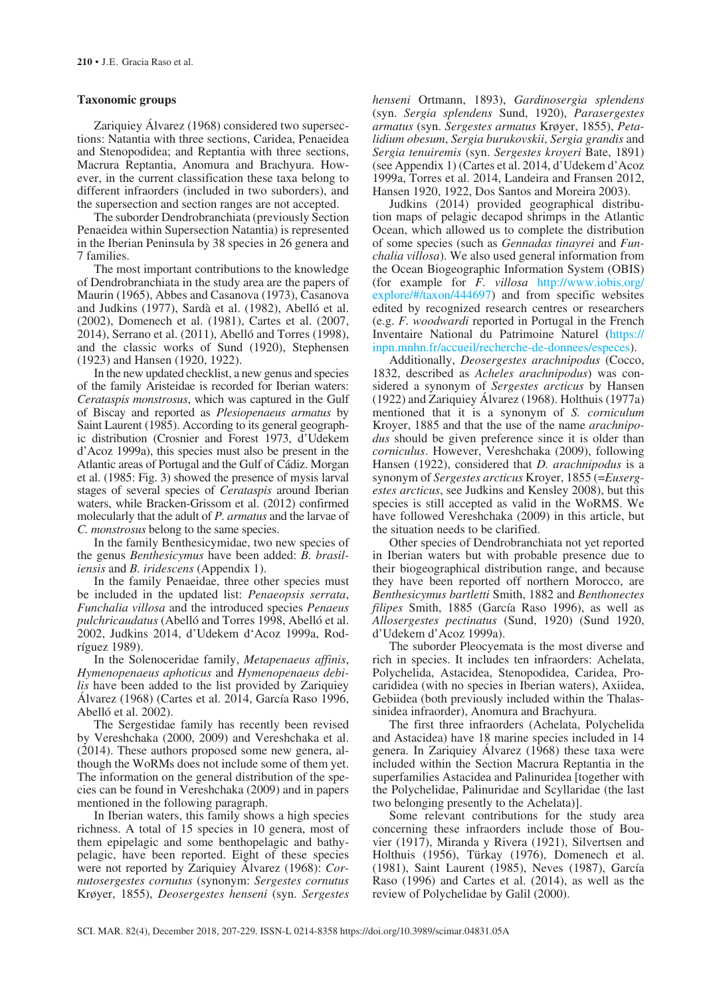#### **Taxonomic groups**

Zariquiey Álvarez (1968) considered two supersections: Natantia with three sections, Caridea, Penaeidea and Stenopodidea; and Reptantia with three sections, Macrura Reptantia, Anomura and Brachyura. However, in the current classification these taxa belong to different infraorders (included in two suborders), and the supersection and section ranges are not accepted.

The suborder Dendrobranchiata (previously Section Penaeidea within Supersection Natantia) is represented in the Iberian Peninsula by 38 species in 26 genera and 7 families.

The most important contributions to the knowledge of Dendrobranchiata in the study area are the papers of Maurin (1965), Abbes and Casanova (1973), Casanova and Judkins (1977), Sardà et al. (1982), Abelló et al. (2002), Domenech et al. (1981), Cartes et al. (2007, 2014), Serrano et al. (2011), Abelló and Torres (1998), and the classic works of Sund (1920), Stephensen (1923) and Hansen (1920, 1922).

In the new updated checklist, a new genus and species of the family Aristeidae is recorded for Iberian waters: *Cerataspis monstrosus*, which was captured in the Gulf of Biscay and reported as *Plesiopenaeus armatus* by Saint Laurent (1985). According to its general geographic distribution (Crosnier and Forest 1973, d'Udekem d'Acoz 1999a), this species must also be present in the Atlantic areas of Portugal and the Gulf of Cádiz. Morgan et al. (1985: Fig. 3) showed the presence of mysis larval stages of several species of *Cerataspis* around Iberian waters, while Bracken-Grissom et al. (2012) confirmed molecularly that the adult of *P. armatus* and the larvae of *C. monstrosus* belong to the same species.

In the family Benthesicymidae, two new species of the genus *Benthesicymus* have been added: *B. brasiliensis* and *B. iridescens* (Appendix 1).

In the family Penaeidae, three other species must be included in the updated list: *Penaeopsis serrata*, *Funchalia villosa* and the introduced species *Penaeus pulchricaudatus* (Abelló and Torres 1998, Abelló et al. 2002, Judkins 2014, d'Udekem d'Acoz 1999a, Rodríguez 1989).

In the Solenoceridae family, *Metapenaeus affinis*, *Hymenopenaeus aphoticus* and *Hymenopenaeus debilis* have been added to the list provided by Zariquiey Álvarez (1968) (Cartes et al. 2014, García Raso 1996, Abelló et al. 2002).

The Sergestidae family has recently been revised by Vereshchaka (2000, 2009) and Vereshchaka et al. (2014). These authors proposed some new genera, although the WoRMs does not include some of them yet. The information on the general distribution of the species can be found in Vereshchaka (2009) and in papers mentioned in the following paragraph.

In Iberian waters, this family shows a high species richness. A total of 15 species in 10 genera, most of them epipelagic and some benthopelagic and bathypelagic, have been reported. Eight of these species were not reported by Zariquiey Álvarez (1968): *Cornutosergestes cornutus* (synonym: *Sergestes cornutus* Krøyer, 1855), *Deosergestes henseni* (syn. *Sergestes* 

*henseni* Ortmann, 1893), *Gardinosergia splendens* (syn. *Sergia splendens* Sund, 1920), *Parasergestes armatus* (syn. *Sergestes armatus* Krøyer, 1855), *Petalidium obesum*, *Sergia burukovskii*, *Sergia grandis* and *Sergia tenuiremis* (syn. *Sergestes kroyeri* Bate, 1891) (see Appendix 1) (Cartes et al. 2014, d'Udekem d'Acoz 1999a, Torres et al. 2014, Landeira and Fransen 2012, Hansen 1920, 1922, Dos Santos and Moreira 2003).

Judkins (2014) provided geographical distribution maps of pelagic decapod shrimps in the Atlantic Ocean, which allowed us to complete the distribution of some species (such as *Gennadas tinayrei* and *Funchalia villosa*). We also used general information from the Ocean Biogeographic Information System (OBIS) (for example for *F. villosa* http://www.iobis.org/ explore/#/taxon/444697) and from specific websites edited by recognized research centres or researchers (e.g. *F. woodwardi* reported in Portugal in the French Inventaire National du Patrimoine Naturel (https:// inpn.mnhn.fr/accueil/recherche-de-donnees/especes).

Additionally, *Deosergestes arachnipodus* (Cocco, 1832, described as *Acheles arachnipodus*) was considered a synonym of *Sergestes arcticus* by Hansen (1922) and Zariquiey Álvarez (1968). Holthuis (1977a) mentioned that it is a synonym of *S. corniculum* Kroyer, 1885 and that the use of the name *arachnipodus* should be given preference since it is older than *corniculus*. However, Vereshchaka (2009), following Hansen (1922), considered that *D. arachnipodus* is a synonym of *Sergestes arcticus* Kroyer, 1855 (=*Eusergestes arcticus*, see Judkins and Kensley 2008), but this species is still accepted as valid in the WoRMS. We have followed Vereshchaka (2009) in this article, but the situation needs to be clarified.

Other species of Dendrobranchiata not yet reported in Iberian waters but with probable presence due to their biogeographical distribution range, and because they have been reported off northern Morocco, are *Benthesicymus bartletti* Smith, 1882 and *Benthonectes filipes* Smith, 1885 (García Raso 1996), as well as *Allosergestes pectinatus* (Sund, 1920) (Sund 1920, d'Udekem d'Acoz 1999a).

The suborder Pleocyemata is the most diverse and rich in species. It includes ten infraorders: Achelata, Polychelida, Astacidea, Stenopodidea, Caridea, Procarididea (with no species in Iberian waters), Axiidea, Gebiidea (both previously included within the Thalassinidea infraorder), Anomura and Brachyura.

The first three infraorders (Achelata, Polychelida and Astacidea) have 18 marine species included in 14 genera. In Zariquiey Álvarez (1968) these taxa were included within the Section Macrura Reptantia in the superfamilies Astacidea and Palinuridea [together with the Polychelidae, Palinuridae and Scyllaridae (the last two belonging presently to the Achelata)].

Some relevant contributions for the study area concerning these infraorders include those of Bouvier (1917), Miranda y Rivera (1921), Silvertsen and Holthuis (1956), Türkay (1976), Domenech et al. (1981), Saint Laurent (1985), Neves (1987), García Raso (1996) and Cartes et al. (2014), as well as the review of Polychelidae by Galil (2000).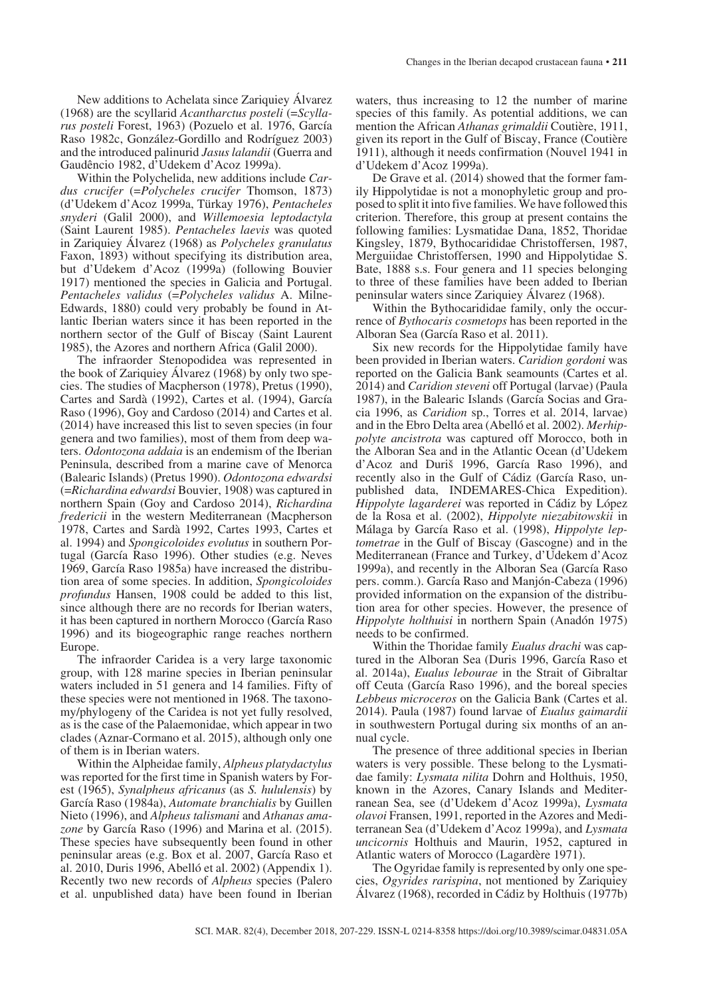Within the Polychelida, new additions include *Cardus crucifer* (=*Polycheles crucifer* Thomson, 1873) (d'Udekem d'Acoz 1999a, Türkay 1976), *Pentacheles snyderi* (Galil 2000), and *Willemoesia leptodactyla* (Saint Laurent 1985). *Pentacheles laevis* was quoted in Zariquiey Álvarez (1968) as *Polycheles granulatus* Faxon, 1893) without specifying its distribution area, but d'Udekem d'Acoz (1999a) (following Bouvier 1917) mentioned the species in Galicia and Portugal. *Pentacheles validus* (=*Polycheles validus* A. Milne-Edwards, 1880) could very probably be found in Atlantic Iberian waters since it has been reported in the northern sector of the Gulf of Biscay (Saint Laurent 1985), the Azores and northern Africa (Galil 2000).

The infraorder Stenopodidea was represented in the book of Zariquiey Álvarez (1968) by only two species. The studies of Macpherson (1978), Pretus (1990), Cartes and Sardà (1992), Cartes et al. (1994), García Raso (1996), Goy and Cardoso (2014) and Cartes et al. (2014) have increased this list to seven species (in four genera and two families), most of them from deep waters. *Odontozona addaia* is an endemism of the Iberian Peninsula, described from a marine cave of Menorca (Balearic Islands) (Pretus 1990). *Odontozona edwardsi* (=*Richardina edwardsi* Bouvier, 1908) was captured in northern Spain (Goy and Cardoso 2014), *Richardina fredericii* in the western Mediterranean (Macpherson 1978, Cartes and Sardà 1992, Cartes 1993, Cartes et al. 1994) and *Spongicoloides evolutus* in southern Portugal (García Raso 1996). Other studies (e.g. Neves 1969, García Raso 1985a) have increased the distribution area of some species. In addition, *Spongicoloides profundus* Hansen, 1908 could be added to this list, since although there are no records for Iberian waters, it has been captured in northern Morocco (García Raso 1996) and its biogeographic range reaches northern Europe.

The infraorder Caridea is a very large taxonomic group, with 128 marine species in Iberian peninsular waters included in 51 genera and 14 families. Fifty of these species were not mentioned in 1968. The taxonomy/phylogeny of the Caridea is not yet fully resolved, as is the case of the Palaemonidae, which appear in two clades (Aznar-Cormano et al. 2015), although only one of them is in Iberian waters.

Within the Alpheidae family, *Alpheus platydactylus* was reported for the first time in Spanish waters by Forest (1965), *Synalpheus africanus* (as *S. hululensis*) by García Raso (1984a), *Automate branchialis* by Guillen Nieto (1996), and *Alpheus talismani* and *Athanas amazone* by García Raso (1996) and Marina et al. (2015). These species have subsequently been found in other peninsular areas (e.g. Box et al. 2007, García Raso et al. 2010, Duris 1996, Abelló et al. 2002) (Appendix 1). Recently two new records of *Alpheus* species (Palero et al. unpublished data) have been found in Iberian

waters, thus increasing to 12 the number of marine species of this family. As potential additions, we can mention the African *Athanas grimaldii* Coutière, 1911, given its report in the Gulf of Biscay, France (Coutière 1911), although it needs confirmation (Nouvel 1941 in d'Udekem d'Acoz 1999a).

De Grave et al. (2014) showed that the former family Hippolytidae is not a monophyletic group and proposed to split it into five families. We have followed this criterion. Therefore, this group at present contains the following families: Lysmatidae Dana, 1852, Thoridae Kingsley, 1879, Bythocarididae Christoffersen, 1987, Merguiidae Christoffersen, 1990 and Hippolytidae S. Bate, 1888 s.s. Four genera and 11 species belonging to three of these families have been added to Iberian peninsular waters since Zariquiey Álvarez (1968).

Within the Bythocarididae family, only the occurrence of *Bythocaris cosmetops* has been reported in the Alboran Sea (García Raso et al. 2011).

Six new records for the Hippolytidae family have been provided in Iberian waters. *Caridion gordoni* was reported on the Galicia Bank seamounts (Cartes et al. 2014) and *Caridion steveni* off Portugal (larvae) (Paula 1987), in the Balearic Islands (García Socias and Gracia 1996, as *Caridion* sp., Torres et al. 2014, larvae) and in the Ebro Delta area (Abelló et al. 2002). *Merhippolyte ancistrota* was captured off Morocco, both in the Alboran Sea and in the Atlantic Ocean (d'Udekem d'Acoz and Duriš 1996, García Raso 1996), and recently also in the Gulf of Cádiz (García Raso, unpublished data, INDEMARES-Chica Expedition). *Hippolyte lagarderei* was reported in Cádiz by López de la Rosa et al. (2002), *Hippolyte niezabitowskii* in Málaga by García Raso et al. (1998), *Hippolyte leptometrae* in the Gulf of Biscay (Gascogne) and in the Mediterranean (France and Turkey, d'Udekem d'Acoz 1999a), and recently in the Alboran Sea (García Raso pers. comm.). García Raso and Manjón-Cabeza (1996) provided information on the expansion of the distribution area for other species. However, the presence of *Hippolyte holthuisi* in northern Spain (Anadón 1975) needs to be confirmed.

Within the Thoridae family *Eualus drachi* was captured in the Alboran Sea (Duris 1996, García Raso et al. 2014a), *Eualus lebourae* in the Strait of Gibraltar off Ceuta (García Raso 1996), and the boreal species *Lebbeus microceros* on the Galicia Bank (Cartes et al. 2014). Paula (1987) found larvae of *Eualus gaimardii* in southwestern Portugal during six months of an annual cycle.

The presence of three additional species in Iberian waters is very possible. These belong to the Lysmatidae family: *Lysmata nilita* Dohrn and Holthuis, 1950, known in the Azores, Canary Islands and Mediterranean Sea, see (d'Udekem d'Acoz 1999a), *Lysmata olavoi* Fransen, 1991, reported in the Azores and Mediterranean Sea (d'Udekem d'Acoz 1999a), and *Lysmata uncicornis* Holthuis and Maurin, 1952, captured in Atlantic waters of Morocco (Lagardère 1971).

The Ogyridae family is represented by only one species, *Ogyrides rarispina*, not mentioned by Zariquiey Álvarez (1968), recorded in Cádiz by Holthuis (1977b)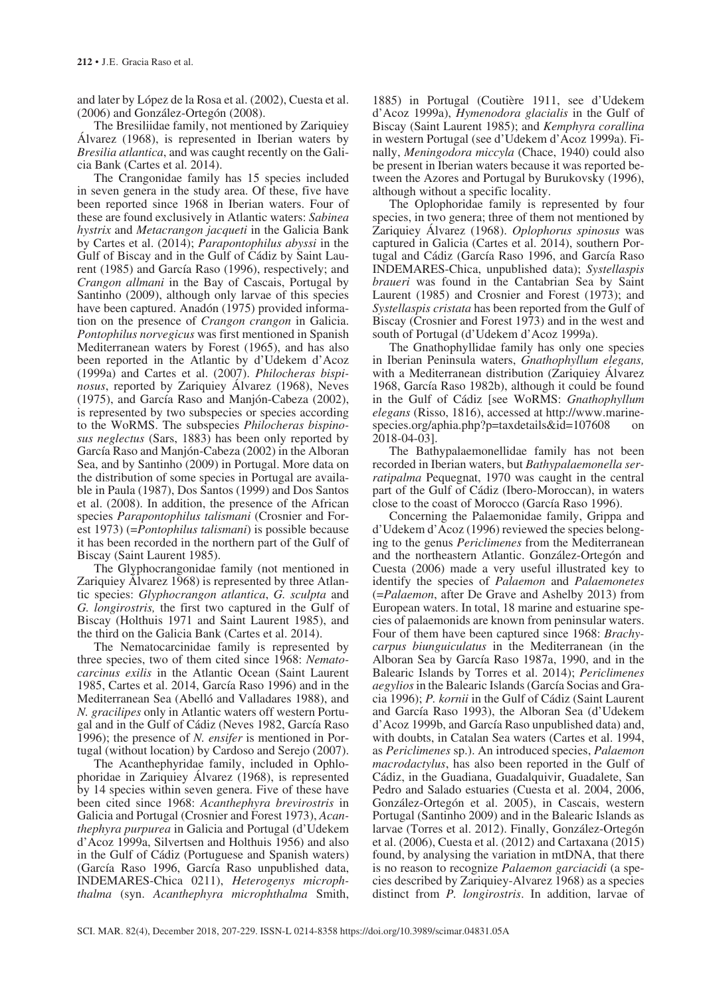and later by López de la Rosa et al. (2002), Cuesta et al. (2006) and González-Ortegón (2008).

The Bresiliidae family, not mentioned by Zariquiey Álvarez (1968), is represented in Iberian waters by *Bresilia atlantica*, and was caught recently on the Galicia Bank (Cartes et al. 2014).

The Crangonidae family has 15 species included in seven genera in the study area. Of these, five have been reported since 1968 in Iberian waters. Four of these are found exclusively in Atlantic waters: *Sabinea hystrix* and *Metacrangon jacqueti* in the Galicia Bank by Cartes et al. (2014); *Parapontophilus abyssi* in the Gulf of Biscay and in the Gulf of Cádiz by Saint Laurent (1985) and García Raso (1996), respectively; and *Crangon allmani* in the Bay of Cascais, Portugal by Santinho (2009), although only larvae of this species have been captured. Anadón (1975) provided information on the presence of *Crangon crangon* in Galicia. *Pontophilus norvegicus* was first mentioned in Spanish Mediterranean waters by Forest (1965), and has also been reported in the Atlantic by d'Udekem d'Acoz (1999a) and Cartes et al. (2007). *Philocheras bispinosus*, reported by Zariquiey Álvarez (1968), Neves (1975), and García Raso and Manjón-Cabeza (2002), is represented by two subspecies or species according to the WoRMS. The subspecies *Philocheras bispinosus neglectus* (Sars, 1883) has been only reported by García Raso and Manjón-Cabeza (2002) in the Alboran Sea, and by Santinho (2009) in Portugal. More data on the distribution of some species in Portugal are available in Paula (1987), Dos Santos (1999) and Dos Santos et al. (2008). In addition, the presence of the African species *Parapontophilus talismani* (Crosnier and Forest 1973) (=*Pontophilus talismani*) is possible because it has been recorded in the northern part of the Gulf of Biscay (Saint Laurent 1985).

The Glyphocrangonidae family (not mentioned in Zariquiey Álvarez 1968) is represented by three Atlantic species: *Glyphocrangon atlantica*, *G. sculpta* and *G. longirostris,* the first two captured in the Gulf of Biscay (Holthuis 1971 and Saint Laurent 1985), and the third on the Galicia Bank (Cartes et al. 2014).

The Nematocarcinidae family is represented by three species, two of them cited since 1968: *Nematocarcinus exilis* in the Atlantic Ocean (Saint Laurent 1985, Cartes et al. 2014, García Raso 1996) and in the Mediterranean Sea (Abelló and Valladares 1988), and *N. gracilipes* only in Atlantic waters off western Portugal and in the Gulf of Cádiz (Neves 1982, García Raso 1996); the presence of *N. ensifer* is mentioned in Portugal (without location) by Cardoso and Serejo (2007).

The Acanthephyridae family, included in Ophlophoridae in Zariquiey Álvarez (1968), is represented by 14 species within seven genera. Five of these have been cited since 1968: *Acanthephyra brevirostris* in Galicia and Portugal (Crosnier and Forest 1973), *Acanthephyra purpurea* in Galicia and Portugal (d'Udekem d'Acoz 1999a, Silvertsen and Holthuis 1956) and also in the Gulf of Cádiz (Portuguese and Spanish waters) (García Raso 1996, García Raso unpublished data, INDEMARES-Chica 0211), *Heterogenys microphthalma* (syn. *Acanthephyra microphthalma* Smith,

1885) in Portugal (Coutière 1911, see d'Udekem d'Acoz 1999a), *Hymenodora glacialis* in the Gulf of Biscay (Saint Laurent 1985); and *Kemphyra corallina* in western Portugal (see d'Udekem d'Acoz 1999a). Finally, *Meningodora miccyla* (Chace, 1940) could also be present in Iberian waters because it was reported between the Azores and Portugal by Burukovsky (1996), although without a specific locality.

The Oplophoridae family is represented by four species, in two genera; three of them not mentioned by Zariquiey Álvarez (1968). *Oplophorus spinosus* was captured in Galicia (Cartes et al. 2014), southern Portugal and Cádiz (García Raso 1996, and García Raso INDEMARES-Chica, unpublished data); *Systellaspis braueri* was found in the Cantabrian Sea by Saint Laurent (1985) and Crosnier and Forest (1973); and *Systellaspis cristata* has been reported from the Gulf of Biscay (Crosnier and Forest 1973) and in the west and south of Portugal (d'Udekem d'Acoz 1999a).

The Gnathophyllidae family has only one species in Iberian Peninsula waters, *Gnathophyllum elegans,* with a Mediterranean distribution (Zariquiey Álvarez 1968, García Raso 1982b), although it could be found in the Gulf of Cádiz [see WoRMS: *Gnathophyllum elegans* (Risso, 1816), accessed at http://www.marinespecies.org/aphia.php?p=taxdetails&id=107608 on 2018-04-03].

The Bathypalaemonellidae family has not been recorded in Iberian waters, but *Bathypalaemonella serratipalma* Pequegnat, 1970 was caught in the central part of the Gulf of Cádiz (Ibero-Moroccan), in waters close to the coast of Morocco (García Raso 1996).

Concerning the Palaemonidae family, Grippa and d'Udekem d'Acoz (1996) reviewed the species belonging to the genus *Periclimenes* from the Mediterranean and the northeastern Atlantic. González-Ortegón and Cuesta (2006) made a very useful illustrated key to identify the species of *Palaemon* and *Palaemonetes* (=*Palaemon*, after De Grave and Ashelby 2013) from European waters. In total, 18 marine and estuarine species of palaemonids are known from peninsular waters. Four of them have been captured since 1968: *Brachycarpus biunguiculatus* in the Mediterranean (in the Alboran Sea by García Raso 1987a, 1990, and in the Balearic Islands by Torres et al. 2014); *Periclimenes aegylios* in the Balearic Islands (García Socias and Gracia 1996); *P. kornii* in the Gulf of Cádiz (Saint Laurent and García Raso 1993), the Alboran Sea (d'Udekem d'Acoz 1999b, and García Raso unpublished data) and, with doubts, in Catalan Sea waters (Cartes et al. 1994, as *Periclimenes* sp.). An introduced species, *Palaemon macrodactylus*, has also been reported in the Gulf of Cádiz, in the Guadiana, Guadalquivir, Guadalete, San Pedro and Salado estuaries (Cuesta et al. 2004, 2006, González-Ortegón et al. 2005), in Cascais, western Portugal (Santinho 2009) and in the Balearic Islands as larvae (Torres et al. 2012). Finally, González-Ortegón et al. (2006), Cuesta et al. (2012) and Cartaxana (2015) found, by analysing the variation in mtDNA, that there is no reason to recognize *Palaemon garciacidi* (a species described by Zariquiey-Alvarez 1968) as a species distinct from *P. longirostris*. In addition, larvae of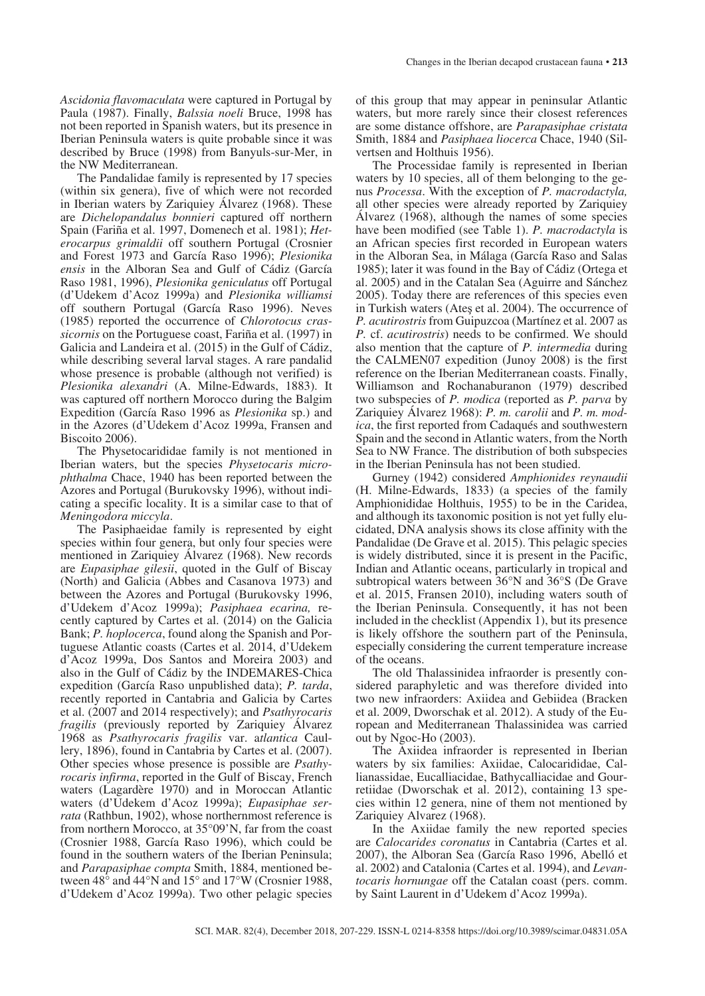*Ascidonia flavomaculata* were captured in Portugal by Paula (1987). Finally, *Balssia noeli* Bruce, 1998 has not been reported in Spanish waters, but its presence in Iberian Peninsula waters is quite probable since it was described by Bruce (1998) from Banyuls-sur-Mer, in the NW Mediterranean.

The Pandalidae family is represented by 17 species (within six genera), five of which were not recorded in Iberian waters by Zariquiey Álvarez (1968). These are *Dichelopandalus bonnieri* captured off northern Spain (Fariña et al. 1997, Domenech et al. 1981); *Heterocarpus grimaldii* off southern Portugal (Crosnier and Forest 1973 and García Raso 1996); *Plesionika ensis* in the Alboran Sea and Gulf of Cádiz (García Raso 1981, 1996), *Plesionika geniculatus* off Portugal (d'Udekem d'Acoz 1999a) and *Plesionika williamsi* off southern Portugal (García Raso 1996). Neves (1985) reported the occurrence of *Chlorotocus crassicornis* on the Portuguese coast, Fariña et al. (1997) in Galicia and Landeira et al. (2015) in the Gulf of Cádiz, while describing several larval stages. A rare pandalid whose presence is probable (although not verified) is *Plesionika alexandri* (A. Milne-Edwards, 1883). It was captured off northern Morocco during the Balgim Expedition (García Raso 1996 as *Plesionika* sp.) and in the Azores (d'Udekem d'Acoz 1999a, Fransen and Biscoito 2006).

The Physetocarididae family is not mentioned in Iberian waters, but the species *Physetocaris microphthalma* Chace, 1940 has been reported between the Azores and Portugal (Burukovsky 1996), without indicating a specific locality. It is a similar case to that of *Meningodora miccyla*.

The Pasiphaeidae family is represented by eight species within four genera, but only four species were mentioned in Zariquiey Álvarez (1968). New records are *Eupasiphae gilesii*, quoted in the Gulf of Biscay (North) and Galicia (Abbes and Casanova 1973) and between the Azores and Portugal (Burukovsky 1996, d'Udekem d'Acoz 1999a); *Pasiphaea ecarina,* recently captured by Cartes et al. (2014) on the Galicia Bank; *P. hoplocerca*, found along the Spanish and Portuguese Atlantic coasts (Cartes et al. 2014, d'Udekem d'Acoz 1999a, Dos Santos and Moreira 2003) and also in the Gulf of Cádiz by the INDEMARES-Chica expedition (García Raso unpublished data); *P. tarda*, recently reported in Cantabria and Galicia by Cartes et al. (2007 and 2014 respectively); and *Psathyrocaris fragilis* (previously reported by Zariquiey Álvarez 1968 as *Psathyrocaris fragilis* var. a*tlantica* Caullery, 1896), found in Cantabria by Cartes et al. (2007). Other species whose presence is possible are *Psathyrocaris infirma*, reported in the Gulf of Biscay, French waters (Lagardère 1970) and in Moroccan Atlantic waters (d'Udekem d'Acoz 1999a); *Eupasiphae serrata* (Rathbun, 1902), whose northernmost reference is from northern Morocco, at 35°09'N, far from the coast (Crosnier 1988, García Raso 1996), which could be found in the southern waters of the Iberian Peninsula; and *Parapasiphae compta* Smith, 1884, mentioned between 48° and 44°N and 15° and 17°W (Crosnier 1988, d'Udekem d'Acoz 1999a). Two other pelagic species

of this group that may appear in peninsular Atlantic waters, but more rarely since their closest references are some distance offshore, are *Parapasiphae cristata* Smith, 1884 and *Pasiphaea liocerca* Chace, 1940 (Silvertsen and Holthuis 1956).

The Processidae family is represented in Iberian waters by 10 species, all of them belonging to the genus *Processa*. With the exception of *P. macrodactyla,* all other species were already reported by Zariquiey Álvarez (1968), although the names of some species have been modified (see Table 1). *P. macrodactyla* is an African species first recorded in European waters in the Alboran Sea, in Málaga (García Raso and Salas 1985); later it was found in the Bay of Cádiz (Ortega et al. 2005) and in the Catalan Sea (Aguirre and Sánchez 2005). Today there are references of this species even in Turkish waters (Ateş et al. 2004). The occurrence of *P. acutirostris* from Guipuzcoa (Martínez et al. 2007 as *P.* cf. *acutirostris*) needs to be confirmed. We should also mention that the capture of *P. intermedia* during the CALMEN07 expedition (Junoy 2008) is the first reference on the Iberian Mediterranean coasts. Finally, Williamson and Rochanaburanon (1979) described two subspecies of *P. modica* (reported as *P. parva* by Zariquiey Álvarez 1968): *P. m. carolii* and *P. m. modica*, the first reported from Cadaqués and southwestern Spain and the second in Atlantic waters, from the North Sea to NW France. The distribution of both subspecies in the Iberian Peninsula has not been studied.

Gurney (1942) considered *Amphionides reynaudii* (H. Milne-Edwards, 1833) (a species of the family Amphionididae Holthuis, 1955) to be in the Caridea, and although its taxonomic position is not yet fully elucidated, DNA analysis shows its close affinity with the Pandalidae (De Grave et al. 2015). This pelagic species is widely distributed, since it is present in the Pacific, Indian and Atlantic oceans, particularly in tropical and subtropical waters between 36°N and 36°S (De Grave et al. 2015, Fransen 2010), including waters south of the Iberian Peninsula. Consequently, it has not been included in the checklist (Appendix 1), but its presence is likely offshore the southern part of the Peninsula, especially considering the current temperature increase of the oceans.

The old Thalassinidea infraorder is presently considered paraphyletic and was therefore divided into two new infraorders: Axiidea and Gebiidea (Bracken et al. 2009, Dworschak et al. 2012). A study of the European and Mediterranean Thalassinidea was carried out by Ngoc-Ho (2003).

The Axiidea infraorder is represented in Iberian waters by six families: Axiidae, Calocarididae, Callianassidae, Eucalliacidae, Bathycalliacidae and Gourretiidae (Dworschak et al. 2012), containing 13 species within 12 genera, nine of them not mentioned by Zariquiey Alvarez (1968).

In the Axiidae family the new reported species are *Calocarides coronatus* in Cantabria (Cartes et al. 2007), the Alboran Sea (García Raso 1996, Abelló et al. 2002) and Catalonia (Cartes et al. 1994), and *Levantocaris hornungae* off the Catalan coast (pers. comm. by Saint Laurent in d'Udekem d'Acoz 1999a).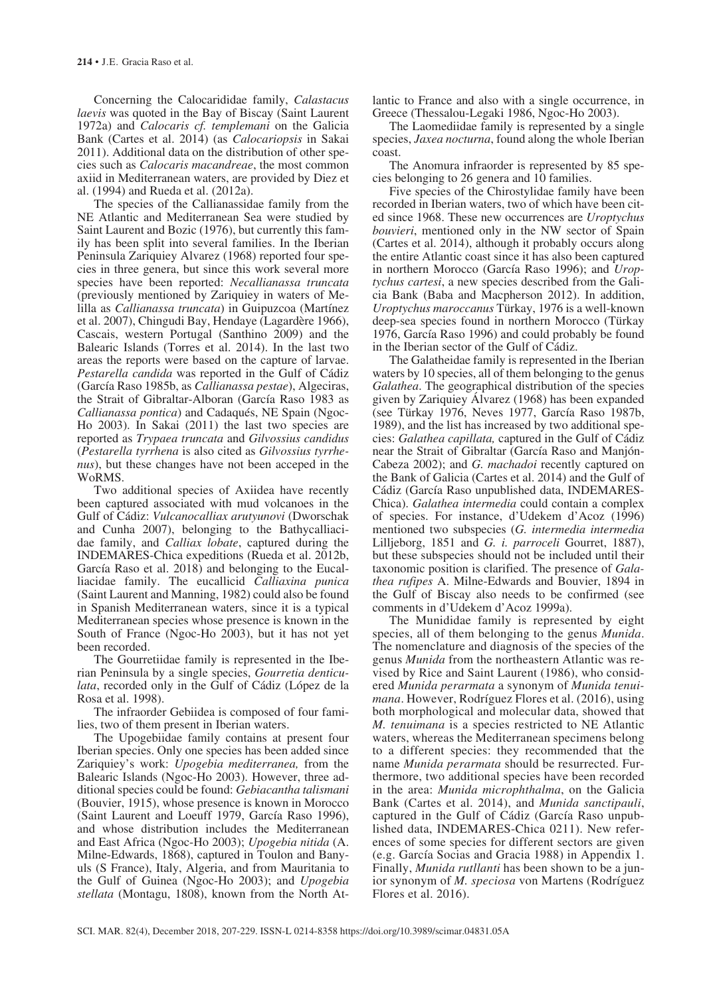Concerning the Calocarididae family, *Calastacus laevis* was quoted in the Bay of Biscay (Saint Laurent 1972a) and *Calocaris cf. templemani* on the Galicia Bank (Cartes et al. 2014) (as *Calocariopsis* in Sakai 2011). Additional data on the distribution of other species such as *Calocaris macandreae*, the most common axiid in Mediterranean waters, are provided by Diez et al. (1994) and Rueda et al. (2012a).

The species of the Callianassidae family from the NE Atlantic and Mediterranean Sea were studied by Saint Laurent and Bozic (1976), but currently this family has been split into several families. In the Iberian Peninsula Zariquiey Alvarez (1968) reported four species in three genera, but since this work several more species have been reported: *Necallianassa truncata*  (previously mentioned by Zariquiey in waters of Melilla as *Callianassa truncata*) in Guipuzcoa (Martínez et al. 2007), Chingudi Bay, Hendaye (Lagardère 1966), Cascais, western Portugal (Santhino 2009) and the Balearic Islands (Torres et al. 2014). In the last two areas the reports were based on the capture of larvae. *Pestarella candida* was reported in the Gulf of Cádiz (García Raso 1985b, as *Callianassa pestae*), Algeciras, the Strait of Gibraltar-Alboran (García Raso 1983 as *Callianassa pontica*) and Cadaqués, NE Spain (Ngoc-Ho 2003). In Sakai (2011) the last two species are reported as *Trypaea truncata* and *Gilvossius candidus* (*Pestarella tyrrhena* is also cited as *Gilvossius tyrrhenus*), but these changes have not been acceped in the WoRMS.

Two additional species of Axiidea have recently been captured associated with mud volcanoes in the Gulf of Cádiz: *Vulcanocalliax arutyunovi* (Dworschak and Cunha 2007), belonging to the Bathycalliacidae family, and *Calliax lobate*, captured during the INDEMARES-Chica expeditions (Rueda et al. 2012b, García Raso et al. 2018) and belonging to the Eucalliacidae family. The eucallicid *Calliaxina punica* (Saint Laurent and Manning, 1982) could also be found in Spanish Mediterranean waters, since it is a typical Mediterranean species whose presence is known in the South of France (Ngoc-Ho 2003), but it has not yet been recorded.

The Gourretiidae family is represented in the Iberian Peninsula by a single species, *Gourretia denticulata*, recorded only in the Gulf of Cádiz (López de la Rosa et al. 1998).

The infraorder Gebiidea is composed of four families, two of them present in Iberian waters.

The Upogebiidae family contains at present four Iberian species. Only one species has been added since Zariquiey's work: *Upogebia mediterranea,* from the Balearic Islands (Ngoc-Ho 2003). However, three additional species could be found: *Gebiacantha talismani* (Bouvier, 1915), whose presence is known in Morocco (Saint Laurent and Loeuff 1979, García Raso 1996), and whose distribution includes the Mediterranean and East Africa (Ngoc-Ho 2003); *Upogebia nitida* (A. Milne-Edwards, 1868), captured in Toulon and Banyuls (S France), Italy, Algeria, and from Mauritania to the Gulf of Guinea (Ngoc-Ho 2003); and *Upogebia stellata* (Montagu, 1808), known from the North Atlantic to France and also with a single occurrence, in Greece (Thessalou-Legaki 1986, Ngoc-Ho 2003).

The Laomediidae family is represented by a single species, *Jaxea nocturna*, found along the whole Iberian coast.

The Anomura infraorder is represented by 85 species belonging to 26 genera and 10 families.

Five species of the Chirostylidae family have been recorded in Iberian waters, two of which have been cited since 1968. These new occurrences are *Uroptychus bouvieri*, mentioned only in the NW sector of Spain (Cartes et al. 2014), although it probably occurs along the entire Atlantic coast since it has also been captured in northern Morocco (García Raso 1996); and *Uroptychus cartesi*, a new species described from the Galicia Bank (Baba and Macpherson 2012). In addition, *Uroptychus maroccanus* Türkay, 1976 is a well-known deep-sea species found in northern Morocco (Türkay 1976, García Raso 1996) and could probably be found in the Iberian sector of the Gulf of Cádiz.

The Galatheidae family is represented in the Iberian waters by 10 species, all of them belonging to the genus *Galathea*. The geographical distribution of the species given by Zariquiey Álvarez (1968) has been expanded (see Türkay 1976, Neves 1977, García Raso 1987b, 1989), and the list has increased by two additional species: *Galathea capillata,* captured in the Gulf of Cádiz near the Strait of Gibraltar (García Raso and Manjón-Cabeza 2002); and *G. machadoi* recently captured on the Bank of Galicia (Cartes et al. 2014) and the Gulf of Cádiz (García Raso unpublished data, INDEMARES-Chica). *Galathea intermedia* could contain a complex of species. For instance, d'Udekem d'Acoz (1996) mentioned two subspecies (*G. intermedia intermedia* Lilljeborg, 1851 and *G. i. parroceli* Gourret, 1887), but these subspecies should not be included until their taxonomic position is clarified. The presence of *Galathea rufipes* A. Milne-Edwards and Bouvier, 1894 in the Gulf of Biscay also needs to be confirmed (see comments in d'Udekem d'Acoz 1999a).

The Munididae family is represented by eight species, all of them belonging to the genus *Munida*. The nomenclature and diagnosis of the species of the genus *Munida* from the northeastern Atlantic was revised by Rice and Saint Laurent (1986), who considered *Munida perarmata* a synonym of *Munida tenuimana*. However, Rodríguez Flores et al. (2016), using both morphological and molecular data, showed that *M. tenuimana* is a species restricted to NE Atlantic waters, whereas the Mediterranean specimens belong to a different species: they recommended that the name *Munida perarmata* should be resurrected. Furthermore, two additional species have been recorded in the area: *Munida microphthalma*, on the Galicia Bank (Cartes et al. 2014), and *Munida sanctipauli*, captured in the Gulf of Cádiz (García Raso unpublished data, INDEMARES-Chica 0211). New references of some species for different sectors are given (e.g. García Socias and Gracia 1988) in Appendix 1. Finally, *Munida rutllanti* has been shown to be a junior synonym of *M. speciosa* von Martens (Rodríguez Flores et al. 2016).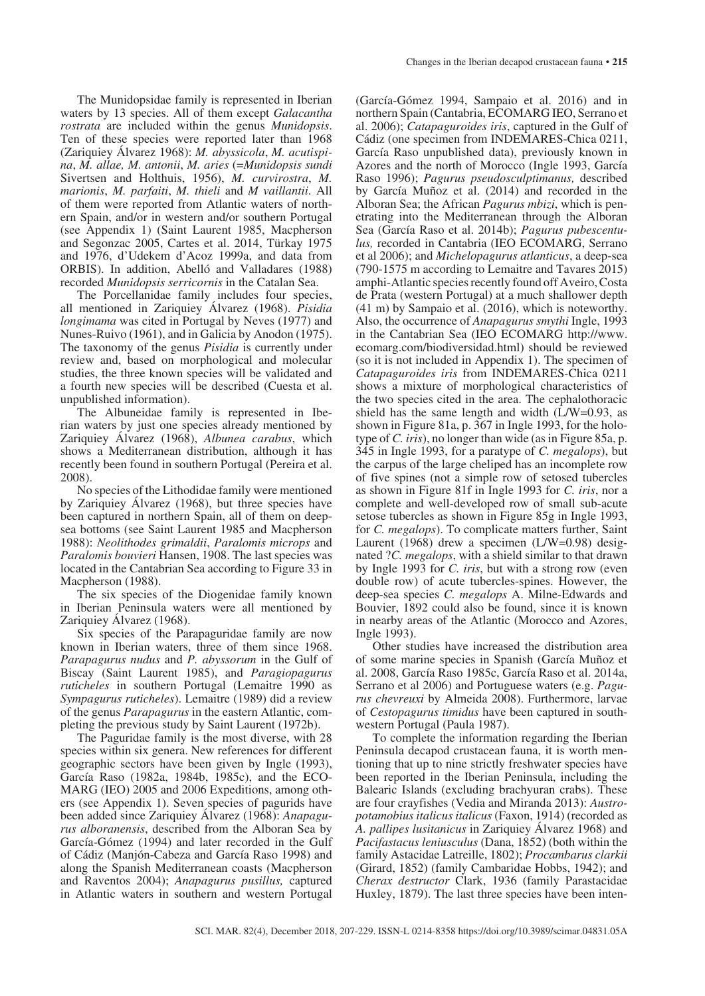The Munidopsidae family is represented in Iberian waters by 13 species. All of them except *Galacantha rostrata* are included within the genus *Munidopsis*. Ten of these species were reported later than 1968 (Zariquiey Álvarez 1968): *M. abyssicola*, *M. acutispina*, *M. allae, M. antonii*, *M. aries* (=*Munidopsis sundi* Sivertsen and Holthuis, 1956), *M. curvirostra*, *M. marionis*, *M. parfaiti*, *M. thieli* and *M vaillantii*. All of them were reported from Atlantic waters of northern Spain, and/or in western and/or southern Portugal (see Appendix 1) (Saint Laurent 1985, Macpherson and Segonzac 2005, Cartes et al. 2014, Türkay 1975 and 1976, d'Udekem d'Acoz 1999a, and data from ORBIS). In addition, Abelló and Valladares (1988) recorded *Munidopsis serricornis* in the Catalan Sea.

The Porcellanidae family includes four species, all mentioned in Zariquiey Álvarez (1968). *Pisidia longimama* was cited in Portugal by Neves (1977) and Nunes-Ruivo (1961), and in Galicia by Anodon (1975). The taxonomy of the genus *Pisidia* is currently under review and, based on morphological and molecular studies, the three known species will be validated and a fourth new species will be described (Cuesta et al. unpublished information).

The Albuneidae family is represented in Iberian waters by just one species already mentioned by Zariquiey Álvarez (1968), *Albunea carabus*, which shows a Mediterranean distribution, although it has recently been found in southern Portugal (Pereira et al. 2008).

No species of the Lithodidae family were mentioned by Zariquiey Álvarez (1968), but three species have been captured in northern Spain, all of them on deepsea bottoms (see Saint Laurent 1985 and Macpherson 1988): *Neolithodes grimaldii*, *Paralomis microps* and *Paralomis bouvieri* Hansen, 1908. The last species was located in the Cantabrian Sea according to Figure 33 in Macpherson (1988).

The six species of the Diogenidae family known in Iberian Peninsula waters were all mentioned by Zariquiey Álvarez (1968).

Six species of the Parapaguridae family are now known in Iberian waters, three of them since 1968. *Parapagurus nudus* and *P. abyssorum* in the Gulf of Biscay (Saint Laurent 1985), and *Paragiopagurus ruticheles* in southern Portugal (Lemaitre 1990 as *Sympagurus ruticheles*). Lemaitre (1989) did a review of the genus *Parapagurus* in the eastern Atlantic, completing the previous study by Saint Laurent (1972b).

The Paguridae family is the most diverse, with 28 species within six genera. New references for different geographic sectors have been given by Ingle (1993), García Raso (1982a, 1984b, 1985c), and the ECO-MARG (IEO) 2005 and 2006 Expeditions, among others (see Appendix 1). Seven species of pagurids have been added since Zariquiey Álvarez (1968): *Anapagurus alboranensis*, described from the Alboran Sea by García-Gómez (1994) and later recorded in the Gulf of Cádiz (Manjón-Cabeza and García Raso 1998) and along the Spanish Mediterranean coasts (Macpherson and Raventos 2004); *Anapagurus pusillus,* captured in Atlantic waters in southern and western Portugal

(García-Gómez 1994, Sampaio et al. 2016) and in northern Spain (Cantabria, ECOMARG IEO, Serrano et al. 2006); *Catapaguroides iris*, captured in the Gulf of Cádiz (one specimen from INDEMARES-Chica 0211, García Raso unpublished data), previously known in Azores and the north of Morocco (Ingle 1993, García Raso 1996); *Pagurus pseudosculptimanus,* described by García Muñoz et al. (2014) and recorded in the Alboran Sea; the African *Pagurus mbizi*, which is penetrating into the Mediterranean through the Alboran Sea (García Raso et al. 2014b); *Pagurus pubescentulus,* recorded in Cantabria (IEO ECOMARG, Serrano et al 2006); and *Michelopagurus atlanticus*, a deep-sea (790-1575 m according to Lemaitre and Tavares 2015) amphi-Atlantic species recently found off Aveiro, Costa de Prata (western Portugal) at a much shallower depth (41 m) by Sampaio et al. (2016), which is noteworthy. Also, the occurrence of *Anapagurus smythi* Ingle, 1993 in the Cantabrian Sea (IEO ECOMARG http://www. ecomarg.com/biodiversidad.html) should be reviewed (so it is not included in Appendix 1). The specimen of *Catapaguroides iris* from INDEMARES-Chica 0211 shows a mixture of morphological characteristics of the two species cited in the area. The cephalothoracic shield has the same length and width  $(L/W=0.93,$  as shown in Figure 81a, p. 367 in Ingle 1993, for the holotype of *C. iris*), no longer than wide (as in Figure 85a, p. 345 in Ingle 1993, for a paratype of *C. megalops*), but the carpus of the large cheliped has an incomplete row of five spines (not a simple row of setosed tubercles as shown in Figure 81f in Ingle 1993 for *C. iris*, nor a complete and well-developed row of small sub-acute setose tubercles as shown in Figure 85g in Ingle 1993, for *C. megalops*). To complicate matters further, Saint Laurent (1968) drew a specimen (L/W=0.98) designated ?*C. megalops*, with a shield similar to that drawn by Ingle 1993 for *C. iris*, but with a strong row (even double row) of acute tubercles-spines. However, the deep-sea species *C. megalops* A. Milne-Edwards and Bouvier, 1892 could also be found, since it is known in nearby areas of the Atlantic (Morocco and Azores, Ingle 1993).

Other studies have increased the distribution area of some marine species in Spanish (García Muñoz et al. 2008, García Raso 1985c, García Raso et al. 2014a, Serrano et al 2006) and Portuguese waters (e.g. *Pagurus chevreuxi* by Almeida 2008). Furthermore, larvae of *Cestopagurus timidus* have been captured in southwestern Portugal (Paula 1987).

To complete the information regarding the Iberian Peninsula decapod crustacean fauna, it is worth mentioning that up to nine strictly freshwater species have been reported in the Iberian Peninsula, including the Balearic Islands (excluding brachyuran crabs). These are four crayfishes (Vedia and Miranda 2013): *Austropotamobius italicus italicus* (Faxon, 1914) (recorded as *A. pallipes lusitanicus* in Zariquiey Álvarez 1968) and *Pacifastacus leniusculus* (Dana, 1852) (both within the family Astacidae Latreille, 1802); *Procambarus clarkii* (Girard, 1852) (family Cambaridae Hobbs, 1942); and *Cherax destructor* Clark, 1936 (family Parastacidae Huxley, 1879). The last three species have been inten-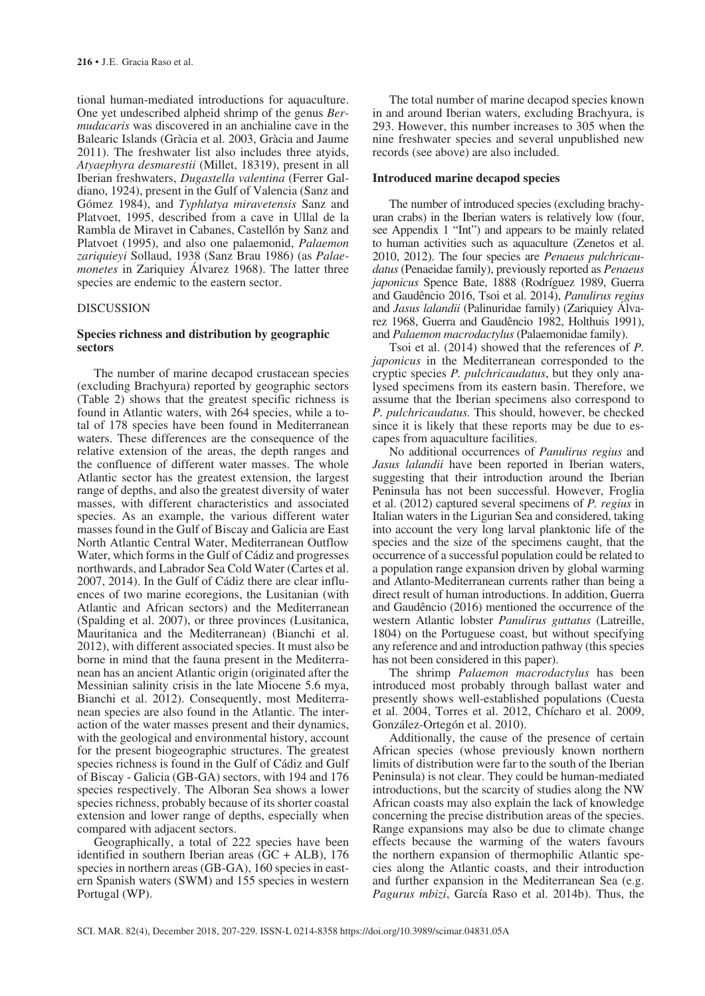tional human-mediated introductions for aquaculture. One yet undescribed alpheid shrimp of the genus *Bermudacaris* was discovered in an anchialine cave in the Balearic Islands (Gràcia et al. 2003, Gràcia and Jaume 2011). The freshwater list also includes three atyids, *Atyaephyra desmarestii* (Millet, 18319), present in all Iberian freshwaters, *Dugastella valentina* (Ferrer Galdiano, 1924), present in the Gulf of Valencia (Sanz and Gómez 1984), and *Typhlatya miravetensis* Sanz and Platvoet, 1995, described from a cave in Ullal de la Rambla de Miravet in Cabanes, Castellón by Sanz and Platvoet (1995), and also one palaemonid, *Palaemon zariquieyi* Sollaud, 1938 (Sanz Brau 1986) (as *Palaemonetes* in Zariquiey Álvarez 1968). The latter three species are endemic to the eastern sector.

#### DISCUSSION

## **Species richness and distribution by geographic sectors**

The number of marine decapod crustacean species (excluding Brachyura) reported by geographic sectors (Table 2) shows that the greatest specific richness is found in Atlantic waters, with 264 species, while a total of 178 species have been found in Mediterranean waters. These differences are the consequence of the relative extension of the areas, the depth ranges and the confluence of different water masses. The whole Atlantic sector has the greatest extension, the largest range of depths, and also the greatest diversity of water masses, with different characteristics and associated species. As an example, the various different water masses found in the Gulf of Biscay and Galicia are East North Atlantic Central Water, Mediterranean Outflow Water, which forms in the Gulf of Cádiz and progresses northwards, and Labrador Sea Cold Water (Cartes et al. 2007, 2014). In the Gulf of Cádiz there are clear influences of two marine ecoregions, the Lusitanian (with Atlantic and African sectors) and the Mediterranean (Spalding et al. 2007), or three provinces (Lusitanica, Mauritanica and the Mediterranean) (Bianchi et al. 2012), with different associated species. It must also be borne in mind that the fauna present in the Mediterranean has an ancient Atlantic origin (originated after the Messinian salinity crisis in the late Miocene 5.6 mya, Bianchi et al. 2012). Consequently, most Mediterranean species are also found in the Atlantic. The interaction of the water masses present and their dynamics, with the geological and environmental history, account for the present biogeographic structures. The greatest species richness is found in the Gulf of Cádiz and Gulf of Biscay - Galicia (GB-GA) sectors, with 194 and 176 species respectively. The Alboran Sea shows a lower species richness, probably because of its shorter coastal extension and lower range of depths, especially when compared with adjacent sectors.

Geographically, a total of 222 species have been identified in southern Iberian areas  $(GC + ALB)$ , 176 species in northern areas (GB-GA), 160 species in eastern Spanish waters (SWM) and 155 species in western Portugal (WP).

The total number of marine decapod species known in and around Iberian waters, excluding Brachyura, is 293. However, this number increases to 305 when the nine freshwater species and several unpublished new records (see above) are also included.

#### **Introduced marine decapod species**

The number of introduced species (excluding brachyuran crabs) in the Iberian waters is relatively low (four, see Appendix 1 "Int") and appears to be mainly related to human activities such as aquaculture (Zenetos et al. 2010, 2012). The four species are *Penaeus pulchricaudatus* (Penaeidae family), previously reported as *Penaeus japonicus* Spence Bate, 1888 (Rodríguez 1989, Guerra and Gaudêncio 2016, Tsoi et al. 2014), *Panulirus regius* and *Jasus lalandii* (Palinuridae family) (Zariquiev Álvarez 1968, Guerra and Gaudêncio 1982, Holthuis 1991), and *Palaemon macrodactylus* (Palaemonidae family).

Tsoi et al. (2014) showed that the references of *P. japonicus* in the Mediterranean corresponded to the cryptic species *P. pulchricaudatus*, but they only analysed specimens from its eastern basin. Therefore, we assume that the Iberian specimens also correspond to *P. pulchricaudatus.* This should, however, be checked since it is likely that these reports may be due to escapes from aquaculture facilities.

No additional occurrences of *Panulirus regius* and *Jasus lalandii* have been reported in Iberian waters, suggesting that their introduction around the Iberian Peninsula has not been successful. However, Froglia et al. (2012) captured several specimens of *P. regius* in Italian waters in the Ligurian Sea and considered, taking into account the very long larval planktonic life of the species and the size of the specimens caught, that the occurrence of a successful population could be related to a population range expansion driven by global warming and Atlanto-Mediterranean currents rather than being a direct result of human introductions. In addition, Guerra and Gaudêncio (2016) mentioned the occurrence of the western Atlantic lobster *Panulirus guttatus* (Latreille, 1804) on the Portuguese coast, but without specifying any reference and and introduction pathway (this species has not been considered in this paper).

The shrimp *Palaemon macrodactylus* has been introduced most probably through ballast water and presently shows well-established populations (Cuesta et al. 2004, Torres et al. 2012, Chícharo et al. 2009, González-Ortegón et al. 2010).

Additionally, the cause of the presence of certain African species (whose previously known northern limits of distribution were far to the south of the Iberian Peninsula) is not clear. They could be human-mediated introductions, but the scarcity of studies along the NW African coasts may also explain the lack of knowledge concerning the precise distribution areas of the species. Range expansions may also be due to climate change effects because the warming of the waters favours the northern expansion of thermophilic Atlantic species along the Atlantic coasts, and their introduction and further expansion in the Mediterranean Sea (e.g. *Pagurus mbizi*, García Raso et al. 2014b). Thus, the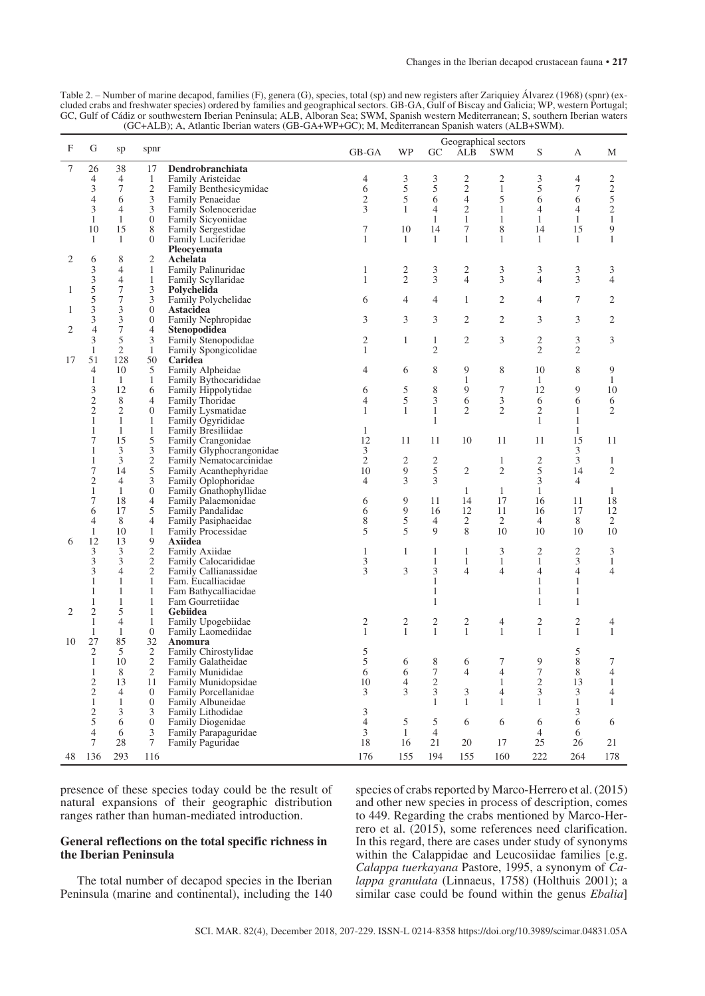| Table 2. – Number of marine decapod, families (F), genera (G), species, total (sp) and new registers after Zariquiey Álvarez (1968) (spnr) (ex- |
|-------------------------------------------------------------------------------------------------------------------------------------------------|
| cluded crabs and freshwater species) ordered by families and geographical sectors. GB-GA, Gulf of Biscay and Galicia; WP, western Portugal;     |
| GC. Gulf of Cádiz or southwestern Iberian Peninsula: ALB. Alboran Sea: SWM. Spanish western Mediterranean: S. southern Iberian waters           |
| (GC+ALB); A, Atlantic Iberian waters (GB-GA+WP+GC); M, Mediterranean Spanish waters (ALB+SWM).                                                  |

| F              | G                   | sp             | spnr                |                                             | GB-GA          | WP                      | GC                      | ALB                 | Geographical sectors<br><b>SWM</b> | ${\mathcal S}$          | А              | М                    |
|----------------|---------------------|----------------|---------------------|---------------------------------------------|----------------|-------------------------|-------------------------|---------------------|------------------------------------|-------------------------|----------------|----------------------|
|                |                     |                |                     |                                             |                |                         |                         |                     |                                    |                         |                |                      |
| 7              | 26                  | 38             | 17                  | Dendrobranchiata                            |                |                         |                         |                     |                                    |                         |                |                      |
|                | $\overline{4}$      | 4              | $\mathbf{1}$        | Family Aristeidae                           | 4              | 3                       | 3                       | 2                   | $\overline{c}$                     | 3                       | 4              | 2                    |
|                | 3                   | 7              | $\overline{c}$      | Family Benthesicymidae                      | 6              | 5                       | 5                       | $\sqrt{2}$          | $\mathbf{1}$                       | 5                       | 7              | $\overline{c}$       |
|                | $\overline{4}$      | 6              | $\mathfrak{Z}$      | Family Penaeidae                            | $\mathfrak{2}$ | 5                       | 6                       | $\overline{4}$      | 5                                  | 6                       | 6              | 5                    |
|                | 3                   | 4              | 3                   | Family Solenoceridae                        | 3              | $\mathbf{1}$            | 4                       | 2                   | 1                                  | $\overline{4}$          | $\overline{4}$ | $\mathbf{2}$         |
|                | 1                   | $\mathbf{1}$   | $\boldsymbol{0}$    | Family Sicyoniidae                          |                |                         | $\mathbf{1}$            | $\mathbf{1}$        | 1                                  | $\mathbf{1}$            | $\mathbf{1}$   | $\mathbf{1}$         |
|                | 10                  | 15             | 8                   | <b>Family Sergestidae</b>                   | 7              | 10                      | 14                      | 7                   | 8                                  | 14                      | 15             | 9                    |
|                | 1                   | 1              | $\overline{0}$      | Family Luciferidae                          | $\mathbf{1}$   | $\mathbf{1}$            | $\mathbf{1}$            | 1                   | 1                                  | $\mathbf{1}$            | 1              | $\mathbf{1}$         |
|                |                     |                |                     | Pleocvemata                                 |                |                         |                         |                     |                                    |                         |                |                      |
| 2              | 6                   | 8              | 2                   | Achelata                                    |                |                         |                         |                     |                                    |                         |                |                      |
|                | 3                   | 4              | $\mathbf{1}$        | Family Palinuridae                          | 1              | $\frac{2}{2}$           | $\frac{3}{3}$           | 2                   | 3                                  | 3                       | 3              | 3                    |
|                | 3                   | 4              | $\mathbf{1}$        | Family Scyllaridae                          | $\mathbf{1}$   |                         |                         | $\overline{4}$      | 3                                  | $\overline{4}$          | 3              | $\overline{4}$       |
| 1              | 5                   | 7              | 3                   | Polychelida                                 |                |                         |                         |                     |                                    |                         |                |                      |
|                | 5                   | 7              | 3                   | Family Polychelidae                         | 6              | 4                       | 4                       | $\mathbf{1}$        | $\mathbf{2}$                       | 4                       | 7              | $\mathfrak{2}$       |
| 1              | 3                   | 3              | $\boldsymbol{0}$    | <b>Astacidea</b>                            |                |                         |                         |                     |                                    |                         |                |                      |
|                | 3                   | 3              | $\boldsymbol{0}$    | Family Nephropidae                          | 3              | 3                       | 3                       | $\mathfrak{2}$      | $\overline{2}$                     | 3                       | 3              | 2                    |
| 2              | $\overline{4}$      | $\overline{7}$ | $\overline{4}$      | Stenopodidea                                |                |                         |                         |                     |                                    |                         |                |                      |
|                | 3                   | 5              | $\mathfrak{Z}$      | Family Stenopodidae                         | $\overline{c}$ | $\mathbf{1}$            | $\mathbf{1}$            | 2                   | 3                                  | $\overline{\mathbf{c}}$ | 3              | 3                    |
|                | 1                   | $\overline{2}$ | $\mathbf{1}$        | Family Spongicolidae                        | 1              |                         | $\overline{2}$          |                     |                                    | $\overline{2}$          | $\overline{2}$ |                      |
| 17             | 51                  | 128            | 50                  | Caridea                                     |                |                         |                         |                     |                                    |                         |                |                      |
|                | 4                   | 10             | 5                   | Family Alpheidae                            | 4              | 6                       | 8                       | 9                   | 8                                  | 10                      | 8              | 9                    |
|                | 1                   | $\mathbf{1}$   | 1                   | Family Bythocarididae                       |                |                         |                         | $\mathbf{1}$        |                                    | $\mathbf{1}$            |                | $\mathbf{1}$         |
|                | 3                   | 12             | 6                   | Family Hippolytidae                         | 6              | 5                       | 8                       | 9                   | 7                                  | 12                      | 9              | 10                   |
|                | $\overline{2}$      | 8              | $\overline{4}$      | Family Thoridae                             | 4              | 5                       | 3                       | 6                   | 3                                  | 6                       | 6              | 6                    |
|                | $\overline{2}$      | $\mathfrak{2}$ | $\boldsymbol{0}$    | Family Lysmatidae                           | 1              | 1                       | $\mathbf{1}$            | 2                   | $\mathfrak{2}$                     | $\mathfrak{2}$          | 1              | $\overline{2}$       |
|                | $\mathbf{1}$        | $\mathbf{1}$   | $\mathbf{1}$        | Family Ogyrididae                           |                |                         | 1                       |                     |                                    | $\mathbf{1}$            | $\mathbf{1}$   |                      |
|                | $\mathbf{1}$        | $\mathbf{1}$   | $\mathbf{1}$        | Family Bresiliidae                          | 1              |                         |                         |                     |                                    |                         | $\mathbf{1}$   |                      |
|                | 7                   | 15             | 5                   | Family Crangonidae                          | 12             | 11                      | 11                      | 10                  | 11                                 | 11                      | 15             | 11                   |
|                | $\mathbf{1}$        | 3              | $\mathfrak{Z}$      | Family Glyphocrangonidae                    | 3              |                         |                         |                     |                                    |                         | 3              |                      |
|                | $\mathbf{1}$        | 3              | $rac{2}{5}$         | Family Nematocarcinidae                     | $\mathfrak{2}$ | $\overline{c}$          | $\overline{\mathbf{c}}$ |                     | $\mathbf{1}$                       | $\boldsymbol{2}$        | 3              | 1                    |
|                | 7                   | 14             |                     | Family Acanthephyridae                      | 10             | 9                       | 5                       | $\sqrt{2}$          | $\mathbf{2}$                       | 5                       | 14             | 2                    |
|                | $\mathfrak{2}$      | 4              | $\mathfrak{Z}$      | Family Oplophoridae                         | $\overline{4}$ | 3                       | 3                       |                     |                                    | 3                       | $\overline{4}$ |                      |
|                | $\mathbf{1}$<br>7   | $\mathbf{1}$   | $\boldsymbol{0}$    | Family Gnathophyllidae                      |                | 9                       |                         | $\mathbf{1}$        | $\mathbf{1}$<br>17                 | $\mathbf{1}$            |                | 1<br>18              |
|                |                     | 18             | $\overline{4}$      | Family Palaemonidae                         | 6              | 9                       | 11                      | 14<br>12            | 11                                 | 16                      | 11             | 12                   |
|                | 6<br>$\overline{4}$ | 17<br>8        | 5<br>$\overline{4}$ | Family Pandalidae                           | 6              |                         | 16<br>$\overline{4}$    |                     |                                    | 16<br>$\overline{4}$    | 17             |                      |
|                | 1                   | 10             | $\mathbf{1}$        | Family Pasiphaeidae                         | 8<br>5         | 5<br>5                  | 9                       | $\overline{c}$<br>8 | $\overline{c}$<br>10               | 10                      | 8<br>10        | $\overline{c}$<br>10 |
| 6              | 12                  | 13             | 9                   | <b>Family Processidae</b><br><b>Axiidea</b> |                |                         |                         |                     |                                    |                         |                |                      |
|                | 3                   | 3              |                     | Family Axiidae                              | 1              | $\mathbf{1}$            | $\mathbf{1}$            | 1                   | 3                                  | $\mathfrak{2}$          | $\overline{c}$ | 3                    |
|                | 3                   | 3              | $\frac{2}{2}$       | Family Calocarididae                        | 3              |                         | 1                       | 1                   | 1                                  | $\mathbf{1}$            | 3              | 1                    |
|                | 3                   | $\overline{4}$ | $\sqrt{2}$          | Family Callianassidae                       | 3              | 3                       | 3                       | $\overline{4}$      | $\overline{4}$                     | $\overline{4}$          | $\overline{4}$ | 4                    |
|                | 1                   | 1              | $\mathbf{1}$        | Fam. Eucalliacidae                          |                |                         | $\mathbf{1}$            |                     |                                    | 1                       | 1              |                      |
|                | 1                   | 1              | $\mathbf{1}$        | Fam Bathycalliacidae                        |                |                         | 1                       |                     |                                    | 1                       | 1              |                      |
|                | 1                   | $\mathbf{1}$   | $\mathbf{1}$        | Fam Gourretiidae                            |                |                         | 1                       |                     |                                    | 1                       | 1              |                      |
| $\overline{2}$ | $\mathfrak{2}$      | 5              | $\mathbf{1}$        | Gebiidea                                    |                |                         |                         |                     |                                    |                         |                |                      |
|                | $\mathbf{1}$        | 4              | $\mathbf{1}$        | Family Upogebiidae                          | $\overline{c}$ | $\overline{\mathbf{c}}$ | 2                       | 2                   | 4                                  | $\overline{\mathbf{c}}$ | 2              | 4                    |
|                | 1                   | 1              | $\mathbf{0}$        | Family Laomediidae                          | $\mathbf{1}$   | $\mathbf{1}$            | $\mathbf{1}$            | $\mathbf{1}$        | $\mathbf{1}$                       | $\mathbf{1}$            | $\mathbf{1}$   | 1                    |
| 10             | 27                  | 85             | 32                  | Anomura                                     |                |                         |                         |                     |                                    |                         |                |                      |
|                | $\mathfrak{2}$      | 5              | $\overline{c}$      | Family Chirostylidae                        | 5              |                         |                         |                     |                                    |                         | 5              |                      |
|                | $\mathbf{1}$        | 10             | $\mathfrak{2}$      | Family Galatheidae                          | 5              | 6                       | 8                       | 6                   | 7                                  | 9                       | 8              | 7                    |
|                | $\mathbf{1}$        | 8              | 2                   | Family Munididae                            | 6              | 6                       | 7                       | 4                   | 4                                  | $\boldsymbol{7}$        | $\,$ 8 $\,$    | 4                    |
|                | $\overline{2}$      | 13             | 11                  | Family Munidopsidae                         | 10             | 4                       | $\overline{\mathbf{c}}$ |                     | 1                                  | $\mathfrak{2}$          | 13             | 1                    |
|                | $\mathfrak{2}$      | 4              | $\theta$            | Family Porcellanidae                        | 3              | 3                       | 3                       | 3                   | $\overline{4}$                     | 3                       | 3              | 4                    |
|                | $\mathbf{1}$        | 1              | $\overline{0}$      | Family Albuneidae                           |                |                         | $\mathbf{1}$            | 1                   | 1                                  | 1                       | $\mathbf{1}$   | 1                    |
|                | $\mathfrak{2}$      | 3              | 3                   | Family Lithodidae                           | 3              |                         |                         |                     |                                    |                         | 3              |                      |
|                | 5                   | 6              | $\boldsymbol{0}$    | Family Diogenidae                           | $\overline{4}$ | 5                       | 5                       | 6                   | 6                                  | 6                       | 6              | 6                    |
|                | 4                   | 6              | 3                   | Family Parapaguridae                        | 3              | $\mathbf{1}$            | 4                       |                     |                                    | 4                       | 6              |                      |
|                | 7                   | 28             | 7                   | Family Paguridae                            | 18             | 16                      | 21                      | 20                  | 17                                 | 25                      | 26             | 21                   |
| 48             | 136                 | 293            | 116                 |                                             | 176            | 155                     | 194                     | 155                 | 160                                | 222                     | 264            | 178                  |
|                |                     |                |                     |                                             |                |                         |                         |                     |                                    |                         |                |                      |

presence of these species today could be the result of natural expansions of their geographic distribution ranges rather than human-mediated introduction.

## **General reflections on the total specific richness in the Iberian Peninsula**

The total number of decapod species in the Iberian Peninsula (marine and continental), including the 140 species of crabs reported by Marco-Herrero et al. (2015) and other new species in process of description, comes to 449. Regarding the crabs mentioned by Marco-Herrero et al. (2015), some references need clarification. In this regard, there are cases under study of synonyms within the Calappidae and Leucosiidae families [e.g. *Calappa tuerkayana* Pastore, 1995, a synonym of *Calappa granulata* (Linnaeus, 1758) (Holthuis 2001); a similar case could be found within the genus *Ebalia*]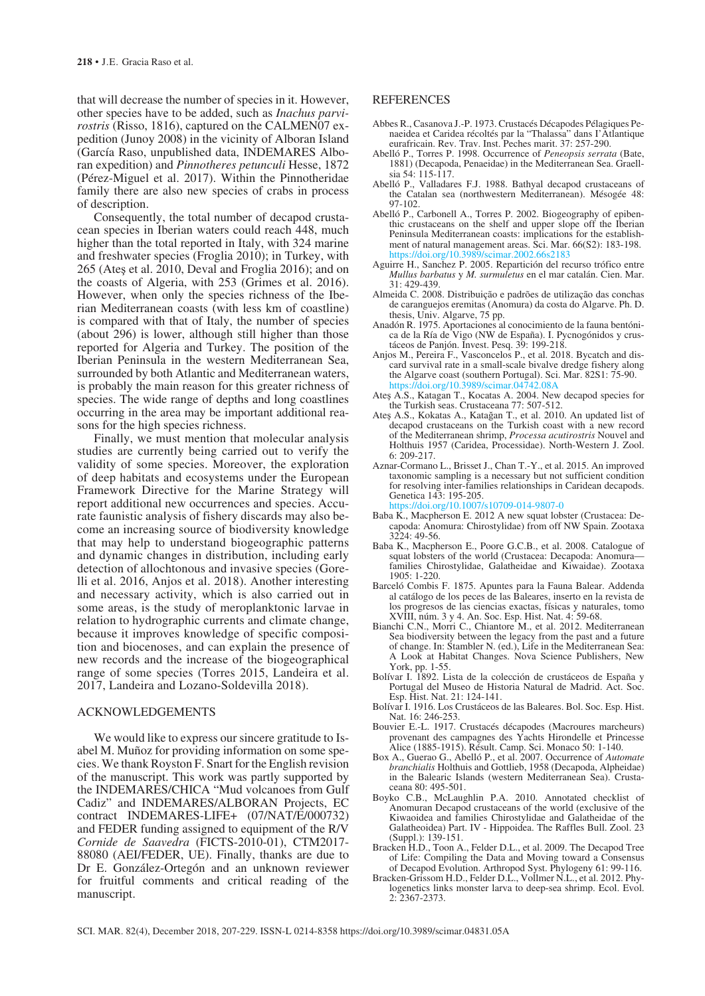that will decrease the number of species in it. However, other species have to be added, such as *Inachus parvirostris* (Risso, 1816), captured on the CALMEN07 expedition (Junoy 2008) in the vicinity of Alboran Island (García Raso, unpublished data, INDEMARES Alboran expedition) and *Pinnotheres petunculi* Hesse, 1872 (Pérez-Miguel et al. 2017). Within the Pinnotheridae family there are also new species of crabs in process of description.

Consequently, the total number of decapod crustacean species in Iberian waters could reach 448, much higher than the total reported in Italy, with 324 marine and freshwater species (Froglia 2010); in Turkey, with 265 (Ateş et al. 2010, Deval and Froglia 2016); and on the coasts of Algeria, with 253 (Grimes et al. 2016). However, when only the species richness of the Iberian Mediterranean coasts (with less km of coastline) is compared with that of Italy, the number of species (about 296) is lower, although still higher than those reported for Algeria and Turkey. The position of the Iberian Peninsula in the western Mediterranean Sea, surrounded by both Atlantic and Mediterranean waters, is probably the main reason for this greater richness of species. The wide range of depths and long coastlines occurring in the area may be important additional reasons for the high species richness.

Finally, we must mention that molecular analysis studies are currently being carried out to verify the validity of some species. Moreover, the exploration of deep habitats and ecosystems under the European Framework Directive for the Marine Strategy will report additional new occurrences and species. Accurate faunistic analysis of fishery discards may also become an increasing source of biodiversity knowledge that may help to understand biogeographic patterns and dynamic changes in distribution, including early detection of allochtonous and invasive species (Gorelli et al. 2016, Anjos et al. 2018). Another interesting and necessary activity, which is also carried out in some areas, is the study of meroplanktonic larvae in relation to hydrographic currents and climate change, because it improves knowledge of specific composition and biocenoses, and can explain the presence of new records and the increase of the biogeographical range of some species (Torres 2015, Landeira et al. 2017, Landeira and Lozano-Soldevilla 2018).

#### ACKNOWLEDGEMENTS

We would like to express our sincere gratitude to Isabel M. Muñoz for providing information on some species. We thank Royston F. Snart for the English revision of the manuscript. This work was partly supported by the INDEMARES/CHICA "Mud volcanoes from Gulf Cadiz" and INDEMARES/ALBORAN Projects, EC contract INDEMARES-LIFE+ (07/NAT/E/000732) and FEDER funding assigned to equipment of the R/V *Cornide de Saavedra* (FICTS-2010-01), CTM2017- 88080 (AEI/FEDER, UE). Finally, thanks are due to Dr E. González-Ortegón and an unknown reviewer for fruitful comments and critical reading of the manuscript.

## **REFERENCES**

- Abbes R., Casanova J.-P. 1973. Crustacés Décapodes Pélagiques Penaeidea et Caridea récoltés par la "Thalassa" dans I'Atlantique eurafricain. Rev. Trav. Inst. Peches marit. 37: 257-290.
- Abelló P., Torres P. 1998. Occurrence of *Peneopsis serrata* (Bate, 1881) (Decapoda, Penaeidae) in the Mediterranean Sea. Graellsia 54: 115-117.
- Abelló P., Valladares F.J. 1988. Bathyal decapod crustaceans of the Catalan sea (northwestern Mediterranean). Mésogée 48: 97-102.
- Abelló P., Carbonell A., Torres P. 2002. Biogeography of epibenthic crustaceans on the shelf and upper slope off the Iberian Peninsula Mediterranean coasts: implications for the establishment of natural management areas. Sci. Mar. 66(S2): 183-198.<br>https://doi.org/10.3989/scimar.2002.66s2183 /scimar.2002.66s2183
- Aguirre H., Sanchez P. 2005. Repartición del recurso trófico entre *Mullus barbatus* y *M. surmuletus* en el mar catalán. Cien. Mar. 31: 429-439.
- Almeida C. 2008. Distribuição e padrões de utilização das conchas de caranguejos eremitas (Anomura) da costa do Algarve. Ph. D. thesis, Univ. Algarve, 75 pp.
- Anadón R. 1975. Aportaciones al conocimiento de la fauna bentónica de la Ría de Vigo (NW de España). I. Pycnogónidos y crustáceos de Panjón. Invest. Pesq. 39: 199-218.
- Anjos M., Pereira F., Vasconcelos P., et al. 2018. Bycatch and discard survival rate in a small-scale bivalve dredge fishery along the Algarve coast (southern Portugal). Sci. Mar. 82S1: 75-90. https://doi.org/10.3989/scimar.04742.08A
- Ateş A.S., Katagan T., Kocatas A. 2004. New decapod species for the Turkish seas. Crustaceana 77: 507-512.
- Ateş A.S., Kokatas A., Katağan T., et al. 2010. An updated list of decapod crustaceans on the Turkish coast with a new record of the Mediterranean shrimp, *Processa acutirostris* Nouvel and Holthuis 1957 (Caridea, Processidae). North-Western J. Zool. 6: 209-217.
- Aznar-Cormano L., Brisset J., Chan T.-Y., et al. 2015. An improved taxonomic sampling is a necessary but not sufficient condition for resolving inter-families relationships in Caridean decapods. Genetica 143: 195-205.

https://doi.org/10.1007/s10709-014-9807-0

- Baba K., Macpherson E. 2012 A new squat lobster (Crustacea: De- capoda: Anomura: Chirostylidae) from off NW Spain. Zootaxa 3224: 49-56.
- Baba K., Macpherson E., Poore G.C.B., et al. 2008. Catalogue of squat lobsters of the world (Crustacea: Decapoda: Anomurafamilies Chirostylidae, Galatheidae and Kiwaidae). Zootaxa 1905: 1-220.
- Barceló Combis F. 1875. Apuntes para la Fauna Balear. Addenda al catálogo de los peces de las Baleares, inserto en la revista de los progresos de las ciencias exactas, físicas y naturales, tomo XVIII, núm. 3 y 4. An. Soc. Esp. Hist. Nat. 4: 59-68.
- Bianchi C.N., Morri C., Chiantore M., et al. 2012. Mediterranean Sea biodiversity between the legacy from the past and a future of change. In: Stambler N. (ed.), Life in the Mediterranean Sea: A Look at Habitat Changes. Nova Science Publishers, New York, pp. 1-55.
- Bolívar I. 1892. Lista de la colección de crustáceos de España y Portugal del Museo de Historia Natural de Madrid. Act. Soc. Esp. Hist. Nat. 21: 124-141.
- Bolívar I. 1916. Los Crustáceos de las Baleares. Bol. Soc. Esp. Hist. Nat. 16: 246-253.
- Bouvier E.-L. 1917. Crustacés décapodes (Macroures marcheurs) provenant des campagnes des Yachts Hirondelle et Princesse Alice (1885-1915). Résult. Camp. Sci. Monaco 50: 1-140.
- Box A., Guerao G., Abelló P., et al. 2007. Occurrence of *Automate branchialis* Holthuis and Gottlieb, 1958 (Decapoda, Alpheidae) in the Balearic Islands (western Mediterranean Sea). Crustaceana 80: 495-501.
- Boyko C.B., McLaughlin P.A. 2010. Annotated checklist of Anomuran Decapod crustaceans of the world (exclusive of the Kiwaoidea and families Chirostylidae and Galatheidae of the Galatheoidea) Part. IV - Hippoidea. The Raffles Bull. Zool. 23 (Suppl.): 139-151.
- Bracken H.D., Toon A., Felder D.L., et al. 2009. The Decapod Tree of Life: Compiling the Data and Moving toward a Consensus of Decapod Evolution. Arthropod Syst. Phylogeny 61: 99-116.
- Bracken-Grissom H.D., Felder D.L., Vollmer N.L., et al. 2012. Phy- logenetics links monster larva to deep-sea shrimp. Ecol. Evol. 2: 2367-2373.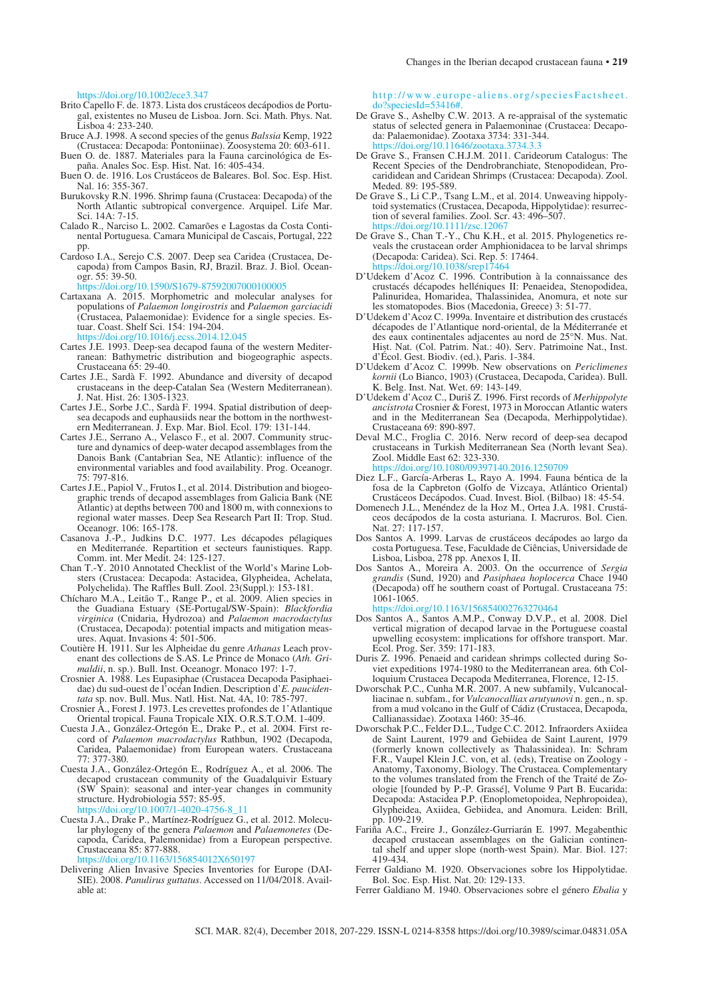https://doi.org/10.1002/ece3.347

- Brito Capello F. de. 1873. Lista dos crustáceos decápodios de Portugal, existentes no Museu de Lisboa. Jorn. Sci. Math. Phys. Nat. Lisboa 4: 233-240.
- Bruce A.J. 1998. A second species of the genus *Balssia* Kemp, 1922 (Crustacea: Decapoda: Pontoniinae). Zoosystema 20: 603-611.
- Buen O. de. 1887. Materiales para la Fauna carcinológica de España. Anales Soc. Esp. Hist. Nat. 16: 405-434.
- Buen O. de. 1916. Los Crustáceos de Baleares. Bol. Soc. Esp. Hist. Nal. 16: 355-367.
- Burukovsky R.N. 1996. Shrimp fauna (Crustacea: Decapoda) of the North Atlantic subtropical convergence. Arquipel. Life Mar. Sci. 14A: 7-15.
- Calado R., Narciso L. 2002. Camarões e Lagostas da Costa Continental Portuguesa. Camara Municipal de Cascais, Portugal, 222 pp.
- Cardoso I.A., Serejo C.S. 2007. Deep sea Caridea (Crustacea, Decapoda) from Campos Basin, RJ, Brazil. Braz. J. Biol. Oceanogr. 55: 39-50.

https://doi.org/10.1590/S1679-87592007000100005

Cartaxana A. 2015. Morphometric and molecular analyses for populations of *Palaemon longirostris* and *Palaemon garciacidi* (Crustacea, Palaemonidae): Evidence for a single species. Estuar. Coast. Shelf Sci. 154: 194-204.

/10.1016/j.ecss.2014.12.04;

- Cartes J.E. 1993. Deep-sea decapod fauna of the western Mediterranean: Bathymetric distribution and biogeographic aspects. Crustaceana 65: 29-40.
- Cartes J.E., Sardà F. 1992. Abundance and diversity of decapod crustaceans in the deep-Catalan Sea (Western Mediterranean). J. Nat. Hist. 26: 1305-1323.
- Cartes J.E., Sorbe J.C., Sardà F. 1994. Spatial distribution of deepsea decapods and euphausiids near the bottom in the northwestern Mediterranean. J. Exp. Mar. Biol. Ecol. 179: 131-144.
- Cartes J.E., Serrano A., Velasco F., et al. 2007. Community structure and dynamics of deep-water decapod assemblages from the Danois Bank (Cantabrian Sea, NE Atlantic): influence of the environmental variables and food availability. Prog. Oceanogr. 75: 797-816.
- Cartes J.E., Papiol V., Frutos I., et al. 2014. Distribution and biogeographic trends of decapod assemblages from Galicia Bank (NE Atlantic) at depths between 700 and 1800 m, with connexions to regional water masses. Deep Sea Research Part II: Trop. Stud. Oceanogr. 106: 165-178.
- Casanova J.-P., Judkins D.C. 1977. Les décapodes pélagiques en Mediterranée. Repartition et secteurs faunistiques. Rapp. Comm. int. Mer Medit. 24: 125-127.
- Chan T.-Y. 2010 Annotated Checklist of the World's Marine Lobsters (Crustacea: Decapoda: Astacidea, Glypheidea, Achelata, Polychelida). The Raffles Bull. Zool. 23(Suppl.): 153-181.
- Chícharo M.A., Leitão T., Range P., et al. 2009. Alien species in the Guadiana Estuary (SE-Portugal/SW-Spain): *Blackfordia virginica* (Cnidaria, Hydrozoa) and *Palaemon macrodactylus*  (Crustacea, Decapoda): potential impacts and mitigation measures. Aquat. Invasions 4: 501-506.
- Coutière H. 1911. Sur les Alpheidae du genre *Athanas* Leach provenant des collections de S.AS. Le Prince de Monaco (*Ath. Grimaldii*, n. sp.). Bull. Inst. Oceanogr. Monaco 197: 1-7.
- Crosnier A. 1988. Les Eupasiphae (Crustacea Decapoda Pasiphaeidae) du sud-ouest de l'océan Indien. Description d'*E. paucidentata* sp. nov. Bull. Mus. Natl. Hist. Nat. 4A, 10: 785-797.
- Crosnier A., Forest J. 1973. Les crevettes profondes de 1'Atlantique Oriental tropical. Fauna Tropicale XIX. O.R.S.T.O.M. 1-409.
- Cuesta J.A., González-Ortegón E., Drake P., et al. 2004. First record of *Palaemon macrodactylus* Rathbun, 1902 (Decapoda, Caridea, Palaemonidae) from European waters. Crustaceana 77: 377-380.
- Cuesta J.A., González-Ortegón E., Rodríguez A., et al. 2006. The decapod crustacean community of the Guadalquivir Estuary (SW Spain): seasonal and inter-year changes in community structure. Hydrobiologia 557: 85-95. https://doi.org/10.1007/1-4020-4756-8\_11

Cuesta J.A., Drake P., Martínez-Rodríguez G., et al. 2012. Molecular phylogeny of the genera *Palaemon* and *Palaemonetes* (Decapoda, Caridea, Palemonidae) from a European perspective. Crustaceana 85: 877-888.

https://doi.org/10.1163/156854012X650197

Delivering Alien Invasive Species Inventories for Europe (DAI-SIE). 2008. *Panulirus guttatus*. Accessed on 11/04/2018. Available at:

http://www.europe-aliens.org/speciesFactsheet.  $eciesId=53416$ 

- De Grave S., Ashelby C.W. 2013. A re-appraisal of the systematic status of selected genera in Palaemoninae (Crustacea: Decapoda: Palaemonidae). Zootaxa 3734: 331-344. https://doi.org/10.11646/zootaxa.3734.3.3
- De Grave S., Fransen C.H.J.M. 2011. Carideorum Catalogus: The Recent Species of the Dendrobranchiate, Stenopodidean, Procarididean and Caridean Shrimps (Crustacea: Decapoda). Zool. Meded. 89: 195-589.
- De Grave S., Li C.P., Tsang L.M., et al. 2014. Unweaving hippolytoid systematics (Crustacea, Decapoda, Hippolytidae): resurrection of several families. Zool. Scr. 43: 496–507. https://doi.org/10.1111/zsc
- De Grave S., Chan T.-Y., Chu K.H., et al. 2015. Phylogenetics reveals the crustacean order Amphionidacea to be larval shrimps (Decapoda: Caridea). Sci. Rep. 5: 17464. https://doi.org/10.1038/srep17

D'Udekem d'Acoz C. 1996. Contribution à la connaissance des crustacés décapodes helléniques II: Penaeidea, Stenopodidea, Palinuridea, Homaridea, Thalassinidea, Anomura, et note sur

- les stomatopodes. Bios (Macedonia, Greece) 3: 51-77. D'Udekem d'Acoz C. 1999a. Inventaire et distribution des crustacés décapodes de l'Atlantique nord-oriental, de la Méditerranée et des eaux continentales adjacentes au nord de 25°N. Mus. Nat. Hist. Nat. (Col. Patrim. Nat.: 40). Serv. Patrimoine Nat., Inst. d'Écol. Gest. Biodiv. (ed.), Paris. 1-384.
- D'Udekem d'Acoz C. 1999b. New observations on *Periclimenes kornii* (Lo Bianco, 1903) (Crustacea, Decapoda, Caridea). Bull. K. Belg. Inst. Nat. Wet. 69: 143-149.
- D'Udekem d'Acoz C., Duriš Z. 1996. First records of *Merhippolyte ancistrota* Crosnier & Forest, 1973 in Moroccan Atlantic waters and in the Mediterranean Sea (Decapoda, Merhippolytidae). Crustaceana 69: 890-897.
- Deval M.C., Froglia C. 2016. Nerw record of deep-sea decapod crustaceans in Turkish Mediterranean Sea (North levant Sea). Zool. Middle East 62: 323-330. https://doi.org/10.1080/09397140.2016.1250709
- Diez L.F., García-Arberas L, Rayo A. 1994. Fauna béntica de la fosa de la Capbreton (Golfo de Vizcaya, Atlántico Oriental) Crustáceos Decápodos. Cuad. Invest. Biol. (Bilbao) 18: 45-54.
- Domenech J.L., Menéndez de la Hoz M., Ortea J.A. 1981. Crustáceos decápodos de la costa asturiana. I. Macruros. Bol. Cien. Nat. 27: 117-157.
- Dos Santos A. 1999. Larvas de crustáceos decápodes ao largo da costa Portuguesa. Tese, Faculdade de Ciências, Universidade de Lisboa, Lisboa, 278 pp. Anexos I, II.
- Dos Santos A., Moreira A. 2003. On the occurrence of *Sergia grandis* (Sund, 1920) and *Pasiphaea hoplocerca* Chace 1940 (Decapoda) off he southern coast of Portugal. Crustaceana 75: 1061-1065.

https://doi.org/10.1163/156854002763270464

- Dos Santos A., Santos A.M.P., Conway D.V.P., et al. 2008. Diel vertical migration of decapod larvae in the Portuguese coastal upwelling ecosystem: implications for offshore transport. Mar. Ecol. Prog. Ser. 359: 171-183.
- Duris Z. 1996. Penaeid and caridean shrimps collected during Soviet expeditions 1974-1980 to the Mediterranean area. 6th Colloquium Crustacea Decapoda Mediterranea, Florence, 12-15.
- Dworschak P.C., Cunha M.R. 2007. A new subfamily, Vulcanocalliacinae n. subfam., for *Vulcanocalliax arutyunovi* n. gen., n. sp. from a mud volcano in the Gulf of Cádiz (Crustacea, Decapoda, Callianassidae). Zootaxa 1460: 35-46.
- Dworschak P.C., Felder D.L., Tudge C.C. 2012. Infraorders Axiidea de Saint Laurent, 1979 and Gebiidea de Saint Laurent, 1979 (formerly known collectively as Thalassinidea). In: Schram F.R., Vaupel Klein J.C. von, et al. (eds), Treatise on Zoology - Anatomy, Taxonomy, Biology. The Crustacea. Complementary to the volumes translated from the French of the Traité de Zoologie [founded by P.-P. Grassé], Volume 9 Part B. Eucarida: Decapoda: Astacidea P.P. (Enoplometopoidea, Nephropoidea), Glypheidea, Axiidea, Gebiidea, and Anomura. Leiden: Brill, pp. 109-219.
- Fariña A.C., Freire J., González-Gurriarán E. 1997. Megabenthic decapod crustacean assemblages on the Galician continental shelf and upper slope (north-west Spain). Mar. Biol. 127: 419-434.
- Ferrer Galdiano M. 1920. Observaciones sobre los Hippolytidae. Bol. Soc. Esp. Hist. Nat. 20: 129-133.
- Ferrer Galdiano M. 1940. Observaciones sobre el género *Ebalia* y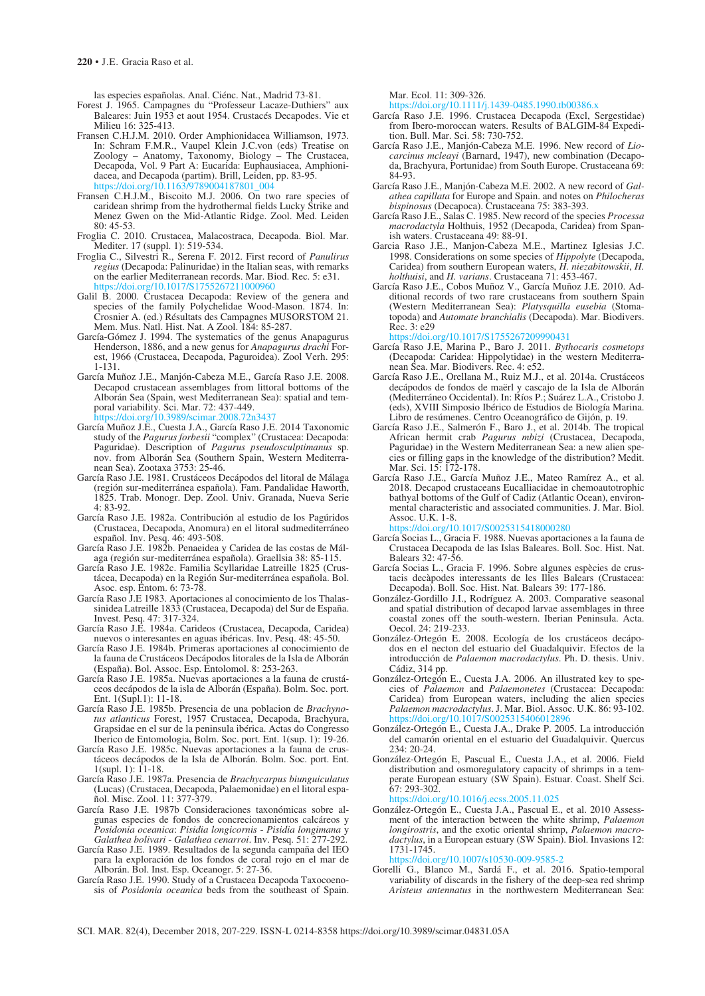las especies españolas. Anal. Ciénc. Nat., Madrid 73-81.

- Forest J. 1965. Campagnes du "Professeur Lacaze-Duthiers" aux Baleares: Juin 1953 et aout 1954. Crustacés Decapodes. Vie et Milieu 16: 325-413.
- Fransen C.H.J.M. 2010. Order Amphionidacea Williamson, 1973. In: Schram F.M.R., Vaupel Klein J.C.von (eds) Treatise on Zoology – Anatomy, Taxonomy, Biology – The Crustacea, Decapoda, Vol. 9 Part A: Eucarida: Euphausiacea, Amphionidacea, and Decapoda (partim). Brill, Leiden, pp. 83-95.<br>https://doi.org/10.1163/9789004187801.004 https://doi.org/10.1163/9789004187801\_004
- Fransen C.H.J.M., Biscoito M.J. 2006. On two rare species of caridean shrimp from the hydrothermal fields Lucky Strike and Menez Gwen on the Mid-Atlantic Ridge. Zool. Med. Leiden 80: 45-53.
- Froglia C. 2010. Crustacea, Malacostraca, Decapoda. Biol. Mar. Mediter. 17 (suppl. 1): 519-534.
- Froglia C., Silvestri R., Serena F. 2012. First record of *Panulirus regius* (Decapoda: Palinuridae) in the Italian seas, with remarks on the earlier Mediterranean records. Mar. Biod. Rec. 5: e31. https://doi.org/10.1017/S1755267211000960
- Galil B. 2000. Crustacea Decapoda: Review of the genera and species of the family Polychelidae Wood-Mason. 1874. In: Crosnier A. (ed.) Résultats des Campagnes MUSORSTOM 21. Mem. Mus. Natl. Hist. Nat. A Zool. 184: 85-287.
- García-Gómez J. 1994. The systematics of the genus Anapagurus Henderson, 1886, and a new genus for *Anapagurus drachi* Forest, 1966 (Crustacea, Decapoda, Paguroidea). Zool Verh. 295: 1-131.
- García Muñoz J.E., Manjón-Cabeza M.E., García Raso J.E. 2008. Decapod crustacean assemblages from littoral bottoms of the Alborán Sea (Spain, west Mediterranean Sea): spatial and temporal variability. Sci. Mar. 72: 437-449.<br>https://doi.org/10.3989/scimar.2008.72r 0.3989/scimar.2008.72n343
- García Muñoz J.E., Cuesta J.A., García Raso J.E. 2014 Taxonomic study of the *Pagurus forbesii* "complex" (Crustacea: Decapoda: Paguridae). Description of *Pagurus pseudosculptimanus* sp. nov. from Alborán Sea (Southern Spain, Western Mediterranean Sea). Zootaxa 3753: 25-46.
- García Raso J.E. 1981. Crustáceos Decápodos del litoral de Málaga (región sur-mediterránea española). Fam. Pandalidae Haworth, 1825. Trab. Monogr. Dep. Zool. Univ. Granada, Nueva Serie 4: 83-92.
- García Raso J.E. 1982a. Contribución al estudio de los Pagúridos (Crustacea, Decapoda, Anomura) en el litoral sudmediterráneo español. Inv. Pesq. 46: 493-508.
- García Raso J.E. 1982b. Penaeidea y Caridea de las costas de Málaga (región sur-mediterránea española). Graellsia 38: 85-115.
- García Raso J.E. 1982c. Familia Scyllaridae Latreille 1825 (Crustácea, Decapoda) en la Región Sur-mediterránea española. Bol. Asoc. esp. Entom. 6: 73-78.
- García Raso J.E 1983. Aportaciones al conocimiento de los Thalassinidea Latreille 1833 (Crustacea, Decapoda) del Sur de España. Invest. Pesq. 47: 317-324.
- García Raso J.E. 1984a. Carideos (Crustacea, Decapoda, Caridea) nuevos o interesantes en aguas ibéricas. Inv. Pesq. 48: 45-50.
- García Raso J.E. 1984b. Primeras aportaciones al conocimiento de la fauna de Crustáceos Decápodos litorales de la Isla de Alborán (España). Bol. Assoc. Esp. Entolomol. 8: 253-263.
- García Raso J.E. 1985a. Nuevas aportaciones a la fauna de crustáceos decápodos de la isla de Alborán (España). Bolm. Soc. port. Ent. 1(Supl.1): 11-18.
- García Raso J.E. 1985b. Presencia de una poblacion de *Brachynotus atlanticus* Forest, 1957 Crustacea, Decapoda, Brachyura, Grapsidae en el sur de la peninsula ibérica. Actas do Congresso Iberico de Entomologia, Bolm. Soc. port. Ent. 1(sup. 1): 19-26.
- García Raso J.E. 1985c. Nuevas aportaciones a la fauna de crustáceos decápodos de la Isla de Alborán. Bolm. Soc. port. Ent. 1(supl. 1):  $11-18$ .
- García Raso J.E. 1987a. Presencia de *Brachycarpus biunguiculatus*  (Lucas) (Crustacea, Decapoda, Palaemonidae) en el litoral español. Misc. Zool. 11: 377-379.
- García Raso J.E. 1987b Consideraciones taxonómicas sobre algunas especies de fondos de concrecionamientos calcáreos y *Posidonia oceanica*: *Pisidia longicornis* - *Pisidia longimana* y *Galathea bolivari* - *Galathea cenarroi*. Inv. Pesq. 51: 277-292.
- García Raso J.E. 1989. Resultados de la segunda campaña del IEO para la exploración de los fondos de coral rojo en el mar de Alborán. Bol. Inst. Esp. Oceanogr. 5: 27-36.
- García Raso J.E. 1990. Study of a Crustacea Decapoda Taxocoenosis of *Posidonia oceanica* beds from the southeast of Spain.

Mar. Ecol. 11: 309-326.

 $\frac{h}{\frac{1}{2}}$ ://doi.org/10.1111/j.1439-0485.1990.tb00386.

- García Raso J.E. 1996. Crustacea Decapoda (Excl, Sergestidae) from Ibero-moroccan waters. Results of BALGIM-84 Expedition. Bull. Mar. Sci. 58: 730-752.
- García Raso J.E., Manjón-Cabeza M.E. 1996. New record of *Liocarcinus mcleayi* (Barnard, 1947), new combination (Decapoda, Brachyura, Portunidae) from South Europe. Crustaceana 69: 84-93.
- García Raso J.E., Manjón-Cabeza M.E. 2002. A new record of *Galathea capillata* for Europe and Spain. and notes on *Philocheras bispinosus* (Decapoca). Crustaceana 75: 383-393.
- García Raso J.E., Salas C. 1985. New record of the species *Processa macrodactyla* Holthuis, 1952 (Decapoda, Caridea) from Spanish waters. Crustaceana 49: 88-91.
- Garcia Raso J.E., Manjon-Cabeza M.E., Martinez Iglesias J.C. 1998. Considerations on some species of *Hippolyte* (Decapoda, Caridea) from southern European waters, *H. niezabitowskii*, *H. holthuisi*, and *H. varians*. Crustaceana 71: 453-467.
- García Raso J.E., Cobos Muñoz V., García Muñoz J.E. 2010. Additional records of two rare crustaceans from southern Spain (Western Mediterranean Sea): *Platysquilla eusebia* (Stomatopoda) and *Automate branchialis* (Decapoda). Mar. Biodivers. Rec. 3: e29

https://doi.org/10.1017/S1755267209990431

- García Raso J.E, Marina P., Baro J. 2011. *Bythocaris cosmetops*  (Decapoda: Caridea: Hippolytidae) in the western Mediterranean Sea. Mar. Biodivers. Rec. 4: e52.
- García Raso J.E., Orellana M., Ruiz M.J., et al. 2014a. Crustáceos decápodos de fondos de maërl y cascajo de la Isla de Alborán (Mediterráneo Occidental). In: Ríos P.; Suárez L.A., Cristobo J. (eds), XVIII Simposio Ibérico de Estudios de Biología Marina. Libro de resúmenes. Centro Oceanográfico de Gijón, p. 19.
- García Raso J.E., Salmerón F., Baro J., et al. 2014b. The tropical African hermit crab *Pagurus mbizi* (Crustacea, Decapoda, Paguridae) in the Western Mediterranean Sea: a new alien species or filling gaps in the knowledge of the distribution? Medit. Mar. Sci. 15: 172-178.
- García Raso J.E., García Muñoz J.E., Mateo Ramírez A., et al. 2018. Decapod crustaceans Eucalliacidae in chemoautotrophic bathyal bottoms of the Gulf of Cadiz (Atlantic Ocean), environmental characteristic and associated communities. J. Mar. Biol. Assoc. U.K. 1-8.

https://doi.org/10.1017/S0025315418000280

- García Socias L., Gracia F. 1988. Nuevas aportaciones a la fauna de Crustacea Decapoda de las Islas Baleares. Boll. Soc. Hist. Nat. Balears 32: 47-56.
- García Socias L., Gracia F. 1996. Sobre algunes espècies de crustacis decàpodes interessants de les Illes Balears (Crustacea: Decapoda). Boll. Soc. Hist. Nat. Balears 39: 177-186.
- González-Gordillo J.I., Rodríguez A. 2003. Comparative seasonal and spatial distribution of decapod larvae assemblages in three coastal zones off the south-western. Iberian Peninsula. Acta. Oecol. 24: 219-233.
- González-Ortegón E. 2008. Ecología de los crustáceos decápodos en el necton del estuario del Guadalquivir. Efectos de la introducción de *Palaemon macrodactylus*. Ph. D. thesis. Univ. Cádiz, 314 pp.
- González-Ortegón E., Cuesta J.A. 2006. An illustrated key to species of *Palaemon* and *Palaemonetes* (Crustacea: Decapoda: Caridea) from European waters, including the alien species *Palaemon macrodactylus*. J. Mar. Biol. Assoc. U.K. 86: 93-102.<br>https://doi.org/10.1017/S0025315406012896 https://doi.org/10.1017/S0025
- González-Ortegón E., Cuesta J.A., Drake P. 2005. La introducción del camarón oriental en el estuario del Guadalquivir. Quercus 234: 20-24.
- González-Ortegón E, Pascual E., Cuesta J.A., et al. 2006. Field distribution and osmoregulatory capacity of shrimps in a temperate European estuary (SW Spain). Estuar. Coast. Shelf Sci. 67: 293-302.

https://doi.org/10.1016/j.ecss.2005.11.025

González-Ortegón E., Cuesta J.A., Pascual E., et al. 2010 Assessment of the interaction between the white shrimp, *Palaemon longirostris*, and the exotic oriental shrimp, *Palaemon macrodactylus*, in a European estuary (SW Spain). Biol. Invasions 12: 1731-1745.

https://doi.org/10.1007/s10530-009-9585-2

Gorelli G., Blanco M., Sardá F., et al. 2016. Spatio-temporal variability of discards in the fishery of the deep-sea red shrimp *Aristeus antennatus* in the northwestern Mediterranean Sea: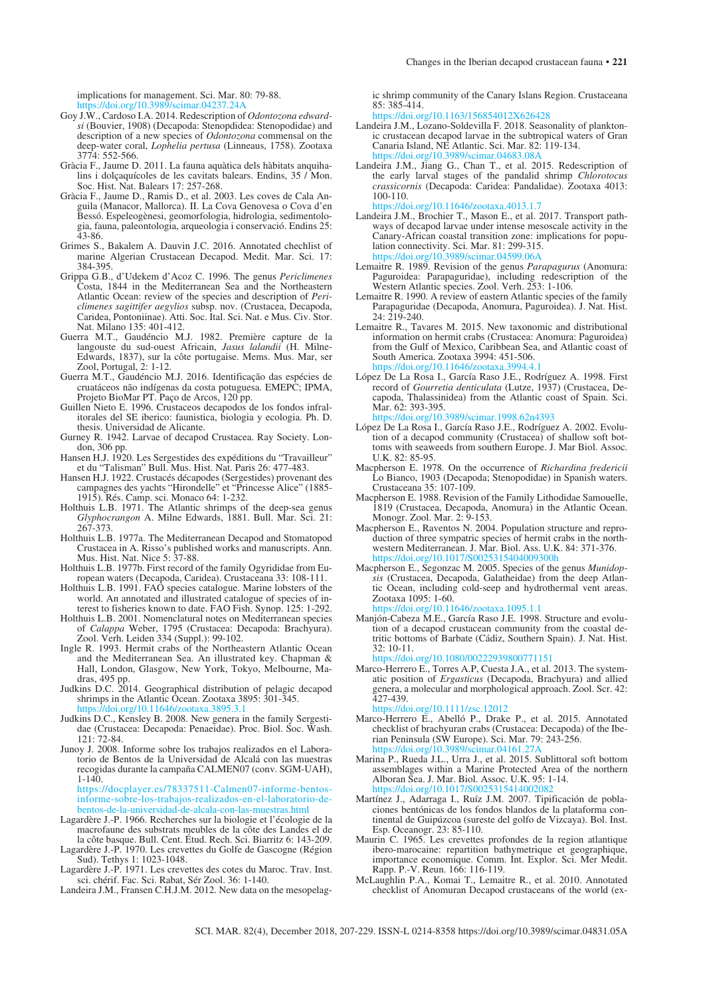implications for management. Sci. Mar. 80: 79-88. https://doi.org/10.3989/scimar.042

- Goy J.W., Cardoso I.A. 2014. Redescription of *Odontozona edwardsi* (Bouvier, 1908) (Decapoda: Stenopdidea: Stenopodidae) and description of a new species of *Odontozona* commensal on the deep-water coral, *Lophelia pertusa* (Linneaus, 1758). Zootaxa 3774: 552-566.
- Gràcia F., Jaume D. 2011. La fauna aquàtica dels hàbitats anquihalins i dolçaquícoles de les cavitats balears. Endins, 35 / Mon. Soc. Hist. Nat. Balears 17: 257-268.
- Gràcia F., Jaume D., Ramis D., et al. 2003. Les coves de Cala Anguila (Manacor, Mallorca). II. La Cova Genovesa o Cova d'en Bessó. Espeleogènesi, geomorfologia, hidrologia, sedimentologia, fauna, paleontologia, arqueologia i conservació. Endins 25: 43-86.
- Grimes S., Bakalem A. Dauvin J.C. 2016. Annotated chechlist of marine Algerian Crustacean Decapod. Medit. Mar. Sci. 17: 384-395.
- Grippa G.B., d'Udekem d'Acoz C. 1996. The genus *Periclimenes* Costa, 1844 in the Mediterranean Sea and the Northeastern Atlantic Ocean: review of the species and description of *Periclimenes sagittifer aegylios* subsp. nov. (Crustacea, Decapoda, Caridea, Pontoniinae). Atti. Soc. Ital. Sci. Nat. e Mus. Civ. Stor. Nat. Milano 135: 401-412.
- Guerra M.T., Gaudéncio M.J. 1982. Première capture de la langouste du sud-ouest Africain, *Jasus lalandii* (H. Milne-Edwards, 1837), sur la côte portugaise. Mems. Mus. Mar, ser Zool, Portugal, 2: 1-12.
- Guerra M.T., Gaudéncio M.J. 2016. Identificação das espécies de cruatáceos não indígenas da costa potuguesa. EMEPC; IPMA, Projeto BioMar PT. Paço de Arcos, 120 pp.
- Guillen Nieto E. 1996. Crustaceos decapodos de los fondos infralitorales del SE iberico: faunistica, biologia y ecologia. Ph. D. thesis. Universidad de Alicante.
- Gurney R. 1942. Larvae of decapod Crustacea. Ray Society. London, 306 pp.
- Hansen H.J. 1920. Les Sergestides des expéditions du "Travailleur" et du "Talisman" Bull. Mus. Hist. Nat. Paris 26: 477-483.
- Hansen H.J. 1922. Crustacés décapodes (Sergestides) provenant des campagnes des yachts "Hirondelle" et "Princesse Alice" (1885- 1915). Rés. Camp. sci. Monaco 64: 1-232.
- Holthuis L.B. 1971. The Atlantic shrimps of the deep-sea genus *Glyphocrangon* A. Milne Edwards, 1881. Bull. Mar. Sci. 21: 267-373.
- Holthuis L.B. 1977a. The Mediterranean Decapod and Stomatopod Crustacea in A. Risso's published works and manuscripts. Ann. Mus. Hist. Nat. Nice 5: 37-88.
- Holthuis L.B. 1977b. First record of the family Ogyrididae from European waters (Decapoda, Caridea). Crustaceana 33: 108-111.
- Holthuis L.B. 1991. FAO species catalogue. Marine lobsters of the world. An annotated and illustrated catalogue of species of interest to fisheries known to date. FAO Fish. Synop. 125: 1-292.
- Holthuis L.B. 2001. Nomenclatural notes on Mediterranean species of *Calappa* Weber, 1795 (Crustacea: Decapoda: Brachyura). Zool. Verh. Leiden 334 (Suppl.): 99-102.
- Ingle R. 1993. Hermit crabs of the Northeastern Atlantic Ocean and the Mediterranean Sea. An illustrated key. Chapman & Hall, London, Glasgow, New York, Tokyo, Melbourne, Madras, 495 pp.
- Judkins D.C. 2014. Geographical distribution of pelagic decapod shrimps in the Atlantic Ocean. Zootaxa 3895: 301-345. https://doi.org/10.11646/zootaxa.3895.3.1
- Judkins D.C., Kensley B. 2008. New genera in the family Sergestidae (Crustacea: Decapoda: Penaeidae). Proc. Biol. Soc. Wash. 121: 72-84.
- Junoy J. 2008. Informe sobre los trabajos realizados en el Laboratorio de Bentos de la Universidad de Alcalá con las muestras recogidas durante la campaña CALMEN07 (conv. SGM-UAH),  $1-140$ .

https://docplayer.es/78337511-Calmen07-informe-bentosinforme-sobre-los-trabajos-realizados-en-el-laboratorio-debentos-de-la-universidad-de-alcala-con-las-muestras.html

- Lagardère J.-P. 1966. Recherches sur la biologie et l'écologie de la macrofaune des substrats meubles de la côte des Landes el de la côte basque. Bull. Cent. Étud. Rech. Sci. Biarritz 6: 143-209.
- Lagardère J.-P. 1970. Les crevettes du Golfe de Gascogne (Région Sud). Tethys 1: 1023-1048. Lagardère J.-P. 1971. Les crevettes des cotes du Maroc. Trav. Inst.
- sci. chérif. Fac. Sci. Rabat, Sér Zool. 36: 1-140.
- Landeira J.M., Fransen C.H.J.M. 2012. New data on the mesopelag-

ic shrimp community of the Canary Islans Region. Crustaceana 85: 385-414.

https://doi.org/10.1163/156854012X626428

- Landeira J.M., Lozano-Soldevilla F. 2018. Seasonality of planktonic crustacean decapod larvae in the subtropical waters of Gran Canaria Island, NE Atlantic. Sci. Mar. 82: 119-134.<br>https://doi.org/10.3989/scimar.04683.08A https://doi.org/10.398
- Landeira J.M., Jiang G., Chan T., et al. 2015. Redescription of the early larval stages of the pandalid shrimp *Chlorotocus crassicornis* (Decapoda: Caridea: Pandalidae). Zootaxa 4013: 100-110. https://doi.org/10.11646/zootaxa.4013.1.7
- Landeira J.M., Brochier T., Mason E., et al. 2017. Transport pathways of decapod larvae under intense mesoscale activity in the Canary-African coastal transition zone: implications for population connectivity. Sci. Mar. 81: 299-315. https://doi.org/10.3989/scimar.04599.06A
- Lemaitre R. 1989. Revision of the genus *Parapagurus* (Anomura: Paguroidea: Parapaguridae), including redescription of the Western Atlantic species. Zool. Verh. 253: 1-106.
- Lemaitre R. 1990. A review of eastern Atlantic species of the family Parapaguridae (Decapoda, Anomura, Paguroidea). J. Nat. Hist. 24: 219-240.
- Lemaitre R., Tavares M. 2015. New taxonomic and distributional information on hermit crabs (Crustacea: Anomura: Paguroidea) from the Gulf of Mexico, Caribbean Sea, and Atlantic coast of South America. Zootaxa 3994: 451-506. https://doi.org/10.11646/zootaxa.3994.4.
- López De La Rosa I., García Raso J.E., Rodríguez A. 1998. First record of *Gourretia denticulata* (Lutze, 1937) (Crustacea, Decapoda, Thalassinidea) from the Atlantic coast of Spain. Sci. Mar. 62: 393-395. https://doi.org/10.3989/scimar.1998.62n4393
- López De La Rosa I., García Raso J.E., Rodríguez A. 2002. Evolution of a decapod community (Crustacea) of shallow soft bottoms with seaweeds from southern Europe. J. Mar Biol. Assoc. U.K. 82: 85-95.
- Macpherson E. 1978. On the occurrence of *Richardina fredericii*  Lo Bianco, 1903 (Decapoda; Stenopodidae) in Spanish waters. Crustaceana 35: 107-109.
- Macpherson E. 1988. Revision of the Family Lithodidae Samouelle, 1819 (Crustacea, Decapoda, Anomura) in the Atlantic Ocean. Monogr. Zool. Mar. 2: 9-153.
- Macpherson E., Raventos N. 2004. Population structure and reproduction of three sympatric species of hermit crabs in the northwestern Mediterranean. J. Mar. Biol. Ass. U.K. 84: 371-376. https://doi.org/10.1017/S0025315404009300h
- Macpherson E., Segonzac M. 2005. Species of the genus *Munidopsis* (Crustacea, Decapoda, Galatheidae) from the deep Atlantic Ocean, including cold-seep and hydrothermal vent areas. Zootaxa 1095: 1-60. https://doi.org/10.11646/zootaxa.1095.1.1
- Manjón-Cabeza M.E., García Raso J.E. 1998. Structure and evolution of a decapod crustacean community from the coastal detritic bottoms of Barbate (Cádiz, Southern Spain). J. Nat. Hist. 32: 10-11. https://doi.org/10.1080/00222939800771151
- Marco-Herrero E., Torres A.P, Cuesta J.A., et al. 2013. The systematic position of *Ergasticus* (Decapoda, Brachyura) and allied genera, a molecular and morphological approach. Zool. Scr. 42: 427-439.
- https://doi.org/10.1111/zsc.12012 Marco-Herrero E., Abelló P., Drake P., et al. 2015. Annotated checklist of brachyuran crabs (Crustacea: Decapoda) of the Ibe-
- rian Peninsula (SW Europe). Sci. Mar. 79: 243-256.<br>https://doi.org/10.3989/scimar.04161.27.8. https://doi.org/10.3989/scimar.04 Marina P., Rueda J.L., Urra J., et al. 2015. Sublittoral soft bottom
- assemblages within a Marine Protected Area of the northern Alboran Sea. J. Mar. Biol. Assoc. U.K. 95: 1-14. https://doi.org/10.101
- Martínez J., Adarraga I., Ruíz J.M. 2007. Tipificación de poblaciones bentónicas de los fondos blandos de la plataforma continental de Guipúzcoa (sureste del golfo de Vizcaya). Bol. Inst. Esp. Oceanogr. 23: 85-110.
- Maurin C. 1965. Les crevettes profondes de la region atlantique ibero-marocaine: repartition bathymetrique et geographique, importance economique. Comm. Int. Explor. Sci. Mer Medit. Rapp. P.-V. Reun. 166: 116-119.
- McLaughlin P.A., Komai T., Lemaitre R., et al. 2010. Annotated checklist of Anomuran Decapod crustaceans of the world (ex-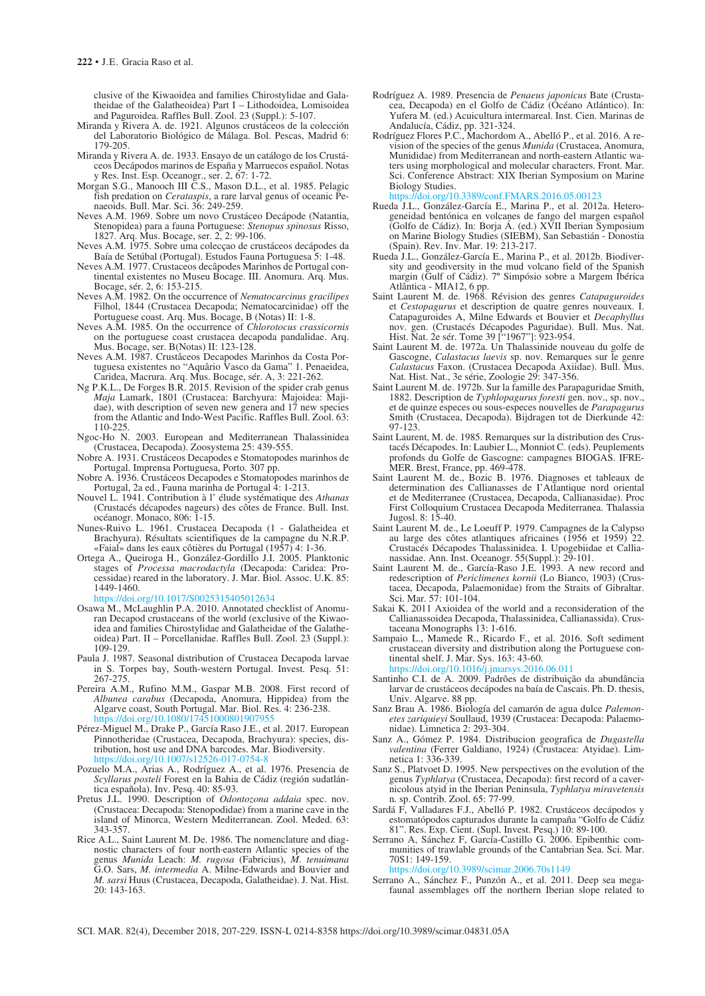clusive of the Kiwaoidea and families Chirostylidae and Galatheidae of the Galatheoidea) Part I – Lithodoidea, Lomisoidea and Paguroidea. Raffles Bull. Zool. 23 (Suppl.): 5-107.

- Miranda y Rivera A. de. 1921. Algunos crustáceos de la colección del Laboratorio Biológico de Málaga. Bol. Pescas, Madrid 6: 179-205.
- Miranda y Rivera A. de. 1933. Ensayo de un catálogo de los Crustáceos Decápodos marinos de España y Marruecos español. Notas y Res. Inst. Esp. Oceanogr., ser. 2, 67: 1-72.
- Morgan S.G., Manooch III C.S., Mason D.L., et al. 1985. Pelagic fish predation on *Cerataspis*, a rare larval genus of oceanic Penaeoids. Bull. Mar. Sci. 36: 249-259.
- Neves A.M. 1969. Sobre um novo Crustáceo Decápode (Natantia, Stenopidea) para a fauna Portuguese: *Stenopus spinosus* Risso, 1827. Arq. Mus. Bocage, ser. 2, 2: 99-106.
- Neves A.M. 1975. Sobre uma colecçao de crustáceos decápodes da Baía de Setúbal (Portugal). Estudos Fauna Portuguesa 5: 1-48.
- Neves A.M. 1977. Crustaceos decâpodes Marinhos de Portugal continental existentes no Museu Bocage. III. Anomura. Arq. Mus. Bocage, sér. 2, 6: 153-215.
- Neves A.M. 1982. On the occurrence of *Nematocarcinus gracilipes*  Filhol, 1844 (Crustacea Decapoda; Nematocarcinidae) off the Portuguese coast. Arq. Mus. Bocage, B (Notas) II: 1-8.
- Neves A.M. 1985. On the occurrence of *Chlorotocus crassicornis* on the portuguese coast crustacea decapoda pandalidae. Arq. Mus. Bocage, ser. B(Notas) II: 123-128.
- Neves A.M. 1987. Crustâceos Decapodes Marinhos da Costa Portuguesa existentes no "Aquârio Vasco da Gama" 1. Penaeidea, Caridea, Macrura. Arq. Mus. Bocage, sér. A, 3: 221-262.
- Ng P.K.L., De Forges B.R. 2015. Revision of the spider crab genus *Maja* Lamark, 1801 (Crustacea: Barchyura: Majoidea: Majidae), with description of seven new genera and 17 new species from the Atlantic and Indo-West Pacific. Raffles Bull. Zool. 63: 110-225.
- Ngoc-Ho N. 2003. European and Mediterranean Thalassinidea (Crustacea, Decapoda). Zoosystema 25: 439-555.
- Nobre A. 1931. Crustáceos Decapodes e Stomatopodes marinhos de Portugal. Imprensa Portuguesa, Porto. 307 pp.
- Nobre A. 1936. Crustáceos Decapodes e Stomatopodes marinhos de Portugal, 2a ed., Fauna marinha de Portugal 4: 1-213.
- Nouvel L. 1941. Contribution à l' élude systématique des *Athanas* (Crustacés décapodes nageurs) des côtes de France. Bull. Inst. océanogr. Monaco, 806: 1-15.
- Nunes-Ruivo L. 1961. Crustacea Decapoda (1 Galatheidea et Brachyura). Résultats scientifiques de la campagne du N.R.P. «Faial» dans les eaux côtières du Portugal (1957) 4: 1-36.
- Ortega A., Queiroga H., González-Gordillo J.I. 2005. Planktonic stages of *Processa macrodactyla* (Decapoda: Caridea: Processidae) reared in the laboratory. J. Mar. Biol. Assoc. U.K. 85: 1449-1460.

https://doi.org/10.1017/S0025315405012634

- Osawa M., McLaughlin P.A. 2010. Annotated checklist of Anomuran Decapod crustaceans of the world (exclusive of the Kiwaoidea and families Chirostylidae and Galatheidae of the Galatheoidea) Part. II – Porcellanidae. Raffles Bull. Zool. 23 (Suppl.): 109-129.
- Paula J. 1987. Seasonal distribution of Crustacea Decapoda larvae in S. Torpes bay, South-western Portugal. Invest. Pesq. 51:  $267 - 275$ .
- Pereira A.M., Rufino M.M., Gaspar M.B. 2008. First record of *Albunea carabus* (Decapoda, Anomura, Hippidea) from the Algarve coast, South Portugal. Mar. Biol. Res. 4: 236-238. ://doi.org/10.1080/174510008019
- Pérez-Miguel M., Drake P., García Raso J.E., et al. 2017. European Pinnotheridae (Crustacea, Decapoda, Brachyura): species, distribution, host use and DNA barcodes. Mar. Biodiversity. https://doi.org/10.1007/s12526-017-07:
- Pozuelo M.A., Arias A., Rodríguez A., et al. 1976. Presencia de *Scyllarus posteli* Forest en la Bahia de Cádiz (región sudatlántica española). Inv. Pesq. 40: 85-93.
- Pretus J.L. 1990. Description of *Odontozona addaia* spec. nov. (Crustacea: Decapoda: Stenopodidae) from a marine cave in the island of Minorca, Western Mediterranean. Zool. Meded. 63: 343-357.
- Rice A.L., Saint Laurent M. De. 1986. The nomenclature and diagnostic characters of four north·eastern Atlantic species of the genus *Munida* Leach: *M. rugosa* (Fabricius), *M. tenuimana*  G.O. Sars, *M. intermedia* A. Milne-Edwards and Bouvier and *M. sarsi* Huus (Crustacea, Decapoda, Galatheidae). J. Nat. Hist. 20: 143-163.
- Rodríguez A. 1989. Presencia de *Penaeus japonicus* Bate (Crustacea, Decapoda) en el Golfo de Cádiz (Océano Atlántico). In: Yufera M. (ed.) Acuicultura intermareal. Inst. Cien. Marinas de Andalucía, Cádiz, pp. 321-324.
- Rodríguez Flores P.C., Machordom A., Abelló P., et al. 2016. A revision of the species of the genus *Munida* (Crustacea, Anomura, Munididae) from Mediterranean and north-eastern Atlantic waters using morphological and molecular characters. Front. Mar. Sci. Conference Abstract: XIX Iberian Symposium on Marine Biology Studies.

https://doi.org/10.3389/conf.FMARS.2016.05.00123

- Rueda J.L., González-García E., Marina P., et al. 2012a. Heterogeneidad bentónica en volcanes de fango del margen español (Golfo de Cádiz). In: Borja Á. (ed.) XVII Iberian Symposium on Marine Biology Studies (SIEBM), San Sebastián - Donostia (Spain). Rev. Inv. Mar. 19: 213-217.
- Rueda J.L., González-García E., Marina P., et al. 2012b. Biodiversity and geodiversity in the mud volcano field of the Spanish margin (Gulf of Cádiz). 7º Simpósio sobre a Margem Ibérica Atlântica - MIA12, 6 pp.
- Saint Laurent M. de. 1968. Révision des genres *Catapaguroides* et *Cestopagurus* et description de quatre genres nouveaux. I. Catapaguroides A, Milne Edwards et Bouvier et *Decaphyllus* nov. gen. (Crustacés Décapodes Paguridae). Bull. Mus. Nat. Hist. Nat. 2e sér. Tome 39 ["1967"]: 923-954.
- Saint Laurent M. de. 1972a. Un Thalassinide nouveau du golfe de Gascogne, *Calastacus laevis* sp. nov. Remarques sur le genre *Calastacus* Faxon. (Crustacea Decapoda Axiidae). Bull. Mus. Nat. Hist. Nat., 3e série, Zoologie 29: 347-356.
- Saint Laurent M. de. 1972b. Sur la famille des Parapaguridae Smith, 1882. Description de *Typhlopagurus foresti* gen. nov., sp. nov., et de quinze especes ou sous-especes nouvelles de *Parapagurus* Smith (Crustacea, Decapoda). Bijdragen tot de Dierkunde 42: 97-123.
- Saint Laurent, M. de. 1985. Remarques sur la distribution des Crustacés Décapodes. In: Laubier L., Monniot C. (eds). Peuplements profonds du Golfe de Gascogne: campagnes BIOGAS. IFRE-MER. Brest, France, pp. 469-478.
- Saint Laurent M. de., Bozic B. 1976. Diagnoses et tableaux de determination des Callianasses de I'Atlantique nord oriental et de Mediterranee (Crustacea, Decapoda, Callianasidae). Proc First Colloquium Crustacea Decapoda Mediterranea. Thalassia Jugosl. 8: 15-40.
- Saint Laurent M. de., Le Loeuff P. 1979. Campagnes de la Calypso au large des côtes atlantiques africaines (1956 et 1959) 22. Crustacés Décapodes Thalassinidea. I. Upogebiidae et Callianassidae. Ann. Inst. Oceanogr. 55(Suppl.): 29-101.
- Saint Laurent M. de., García-Raso J.E. 1993. A new record and redescription of *Periclimenes kornii* (Lo Bianco, 1903) (Crustacea, Decapoda, Palaemonidae) from the Straits of Gibraltar. Sci. Mar. 57: 101-104.
- Sakai K. 2011 Axioidea of the world and a reconsideration of the Callianassoidea Decapoda, Thalassinidea, Callianassida). Crustaceana Monographs 13: 1-616.
- Sampaio L., Mamede R., Ricardo F., et al. 2016. Soft sediment crustacean diversity and distribution along the Portuguese continental shelf. J. Mar. Sys. 163: 43-60.<br>https://doi.org/10.1016/i.jmarsys.2016.06.011

https://doi.org/10.1016/

- Santinho C.I. de A. 2009. Padrões de distribuição da abundância larvar de crustáceos decápodes na baía de Cascais. Ph. D. thesis, Univ. Algarve. 88 pp.
- Sanz Brau A. 1986. Biología del camarón de agua dulce *Palemonetes zariquieyi* Soullaud, 1939 (Crustacea: Decapoda: Palaemonidae). Limnetica 2: 293-304.
- Sanz A., Gómez P. 1984. Distribucion geografica de *Dugastella valentina* (Ferrer Galdiano, 1924) (Crustacea: Atyidae). Limnetica 1: 336-339.
- Sanz S., Platvoet D. 1995. New perspectives on the evolution of the genus *Typhlatya* (Crustacea, Decapoda): first record of a cavernicolous atyid in the Iberian Peninsula, *Typhlatya miravetensis*  n. sp. Contrib. Zool. 65: 77-99.
- Sardá F, Valladares F.J., Abelló P. 1982. Crustáceos decápodos y estomatópodos capturados durante la campaña "Golfo de Cádiz 81". Res. Exp. Cient. (Supl. Invest. Pesq.) 10: 89-100.
- Serrano A, Sánchez F, García-Castillo G. 2006. Epibenthic communities of trawlable grounds of the Cantabrian Sea. Sci. Mar. 70S1: 149-159.

https://doi.org/10.3989/scimar.2006.70s1149

Serrano A., Sánchez F., Punzón A., et al. 2011. Deep sea megafaunal assemblages off the northern Iberian slope related to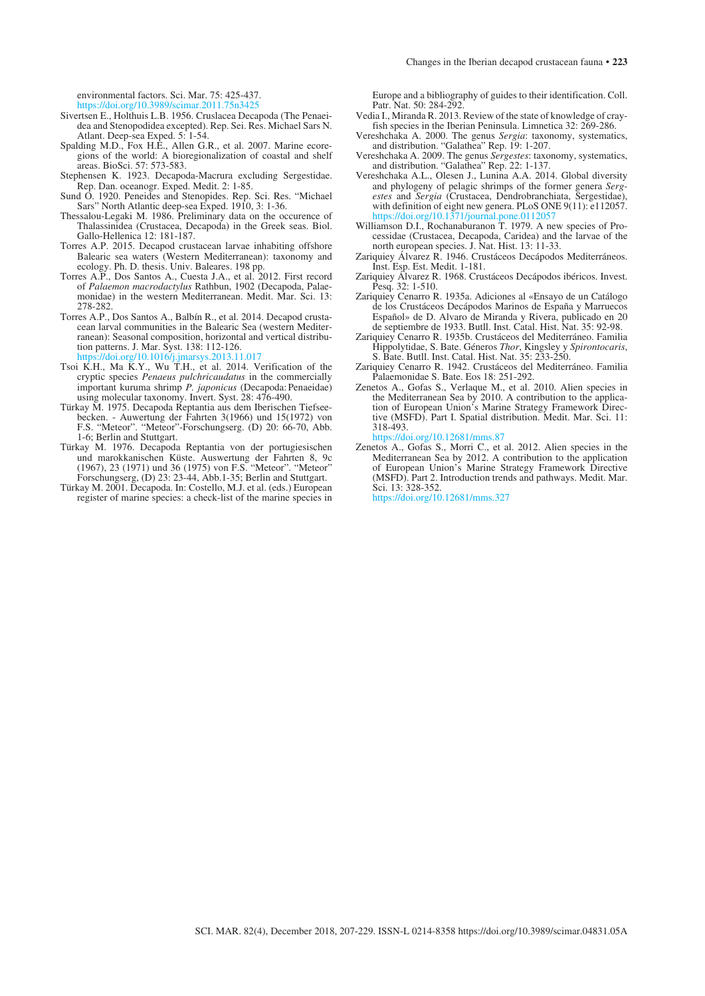environmental factors. Sci. Mar. 75: 425-437.

https://doi.org/10.3989/scimar.2011.75

- Sivertsen E., Holthuis L.B. 1956. Cruslacea Decapoda (The Penaeidea and Stenopodidea excepted). Rep. Sei. Res. Michael Sars N. Atlant. Deep-sea Exped. 5: 1-54.
- Spalding M.D., Fox H.E., Allen G.R., et al. 2007. Marine ecoregions of the world: A bioregionalization of coastal and shelf areas. BioSci. 57: 573-583.
- Stephensen K. 1923. Decapoda-Macrura excluding Sergestidae. Rep. Dan. oceanogr. Exped. Medit. 2: 1-85.
- Sund O. 1920. Peneides and Stenopides. Rep. Sci. Res. "Michael Sars" North Atlantic deep-sea Exped. 1910, 3: 1-36.
- Thessalou-Legaki M. 1986. Preliminary data on the occurence of Thalassinidea (Crustacea, Decapoda) in the Greek seas. Biol. Gallo-Hellenica 12: 181-187.
- Torres A.P. 2015. Decapod crustacean larvae inhabiting offshore Balearic sea waters (Western Mediterranean): taxonomy and ecology. Ph. D. thesis. Univ. Baleares. 198 pp.
- Torres A.P., Dos Santos A., Cuesta J.A., et al. 2012. First record of *Palaemon macrodactylus* Rathbun, 1902 (Decapoda, Palaemonidae) in the western Mediterranean. Medit. Mar. Sci. 13: 278-282.
- Torres A.P., Dos Santos A., Balbín R., et al. 2014. Decapod crustacean larval communities in the Balearic Sea (western Mediterranean): Seasonal composition, horizontal and vertical distribution patterns. J. Mar. Syst. 138: 112-126. /doi.org/10.1016/j.jmarsys.2013.11.017
- Tsoi K.H., Ma K.Y., Wu T.H., et al. 2014. Verification of the cryptic species *Penaeus pulchricaudatus* in the commercially important kuruma shrimp *P. japonicus* (Decapoda:Penaeidae) using molecular taxonomy. Invert. Syst. 28: 476-490.
- Türkay M. 1975. Decapoda Reptantia aus dem Iberischen Tiefseebecken. - Auwertung der Fahrten 3(1966) und 15(1972) von F.S. "Meteor". "Meteor"-Forschungserg. (D) 20: 66-70, Abb. 1-6; Berlin and Stuttgart.
- Türkay M. 1976. Decapoda Reptantia von der portugiesischen und marokkanischen Küste. Auswertung der Fahrten 8, 9c (1967), 23 (1971) und 36 (1975) von F.S. "Meteor". "Meteor" Forschungserg, (D) 23: 23-44, Abb.1-35; Berlin and Stuttgart.
- Türkay M. 2001. Decapoda. In: Costello, M.J. et al. (eds.) European register of marine species: a check-list of the marine species in

Europe and a bibliography of guides to their identification. Coll. Patr. Nat. 50: 284-292

- Vedia I., Miranda R. 2013. Review of the state of knowledge of crayfish species in the Iberian Peninsula. Limnetica 32: 269-286.
- Vereshchaka A. 2000. The genus *Sergia*: taxonomy, systematics, and distribution. "Galathea" Rep. 19: 1-207.
- Vereshchaka A. 2009. The genus *Sergestes*: taxonomy, systematics, and distribution. "Galathea" Rep. 22: 1-137.
- Vereshchaka A.L., Olesen J., Lunina A.A. 2014. Global diversity and phylogeny of pelagic shrimps of the former genera *Sergestes* and *Sergia* (Crustacea, Dendrobranchiata, Sergestidae), with definition of eight new genera. PLoS ONE  $9(11)$ : e112057. https://doi.org/10.1371/journal.pone.0112057
- Williamson D.I., Rochanaburanon T. 1979. A new species of Processidae (Crustacea, Decapoda, Caridea) and the larvae of the north european species. J. Nat. Hist. 13: 11-33.
- Zariquiey Álvarez R. 1946. Crustáceos Decápodos Mediterráneos. Inst. Esp. Est. Medit. 1-181.
- Zariquiey Álvarez R. 1968. Crustáceos Decápodos ibéricos. Invest. Pesq. 32: 1-510.
- Zariquiey Cenarro R. 1935a. Adiciones al «Ensayo de un Catálogo de los Crustáceos Decápodos Marinos de España y Marruecos Español» de D. Alvaro de Miranda y Rivera, publicado en 20 de septiembre de 1933. Butll. Inst. Catal. Hist. Nat. 35: 92-98.
- Zariquiey Cenarro R. 1935b. Crustáceos del Mediterráneo. Familia Hippolytidae, S. Bate. Géneros *Thor*, Kingsley y *Spirontocaris*, S. Bate. Butll. Inst. Catal. Hist. Nat. 35: 233-250.
- Zariquiey Cenarro R. 1942. Crustáceos del Mediterráneo. Familia Palaemonidae S. Bate. Eos 18: 251-292.
- Zenetos A., Gofas S., Verlaque M., et al. 2010. Alien species in the Mediterranean Sea by 2010. A contribution to the application of European Union's Marine Strategy Framework Directive (MSFD). Part I. Spatial distribution. Medit. Mar. Sci. 11: 318-493.

https://doi.org/10.12681/mms.87

Zenetos A., Gofas S., Morri C., et al. 2012. Alien species in the Mediterranean Sea by 2012. A contribution to the application of European Union's Marine Strategy Framework Directive (MSFD). Part 2. Introduction trends and pathways. Medit. Mar. Sci. 13: 328-352.

https://doi.org/10.12681/mms.327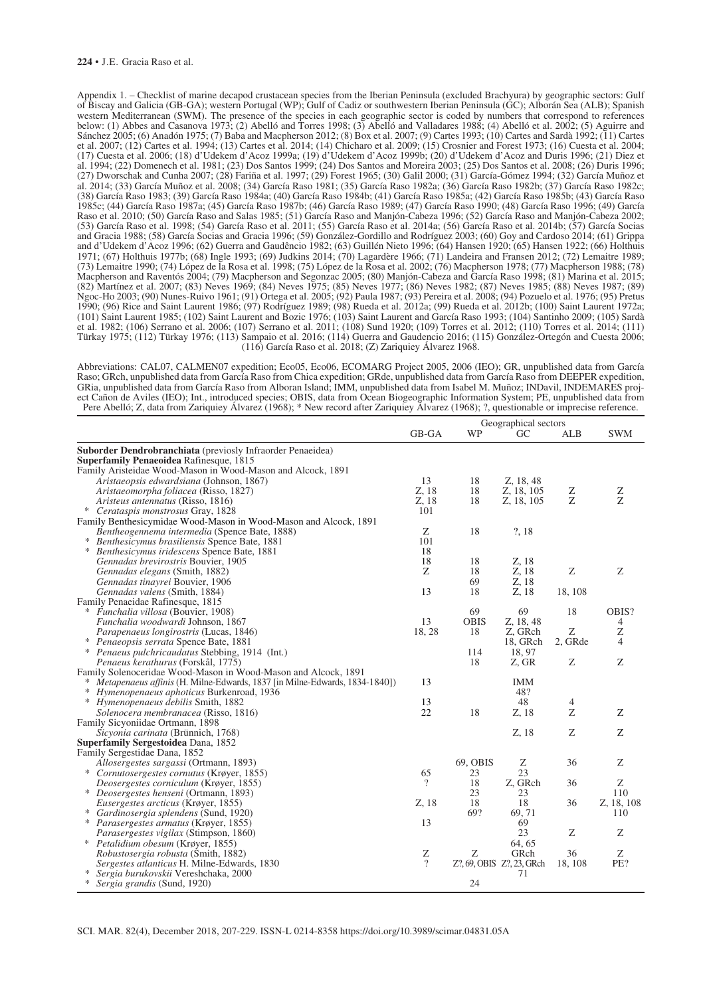#### **224** • J.E. Gracia Raso et al.

Appendix 1. – Checklist of marine decapod crustacean species from the Iberian Peninsula (excluded Brachyura) by geographic sectors: Gulf of Biscay and Galicia (GB-GA); western Portugal (WP); Gulf of Cadiz or southwestern Iberian Peninsula (GC); Alborán Sea (ALB); Spanish western Mediterranean (SWM). The presence of the species in each geographic sector is coded by numbers that correspond to references below: (1) Abbes and Casanova 1973; (2) Abelló and Torres 1998; (3) Abelló and Valladares 1988; (4) Abelló et al. 2002; (5) Aguirre and Sánchez 2005; (6) Anadón 1975; (7) Baba and Macpherson 2012; (8) Box et al. 2007; (9) Cartes 1993; (10) Cartes and Sardà 1992; (11) Cartes et al. 2007; (12) Cartes et al. 1994; (13) Cartes et al. 2014; (14) Chicharo et al. 2009; (15) Crosnier and Forest 1973; (16) Cuesta et al. 2004; (17) Cuesta et al. 2006; (18) d'Udekem d'Acoz 1999a; (19) d'Udekem d'Acoz 1999b; (20) d'Udekem d'Acoz and Duris 1996; (21) Diez et al. 1994; (22) Domenech et al. 1981; (23) Dos Santos 1999; (24) Dos Santos and Moreira 2003; (25) Dos Santos et al. 2008; (26) Duris 1996; (27) Dworschak and Cunha 2007; (28) Fariña et al. 1997; (29) Forest 1965; (30) Galil 2000; (31) García-Gómez 1994; (32) García Muñoz et al. 2014; (33) García Muñoz et al. 2008; (34) García Raso 1981; (35) García Raso 1982a; (36) García Raso 1982b; (37) García Raso 1982c; (38) García Raso 1983; (39) García Raso 1984a; (40) García Raso 1984b; (41) García Raso 1985a; (42) García Raso 1985b; (43) García Raso 1985c; (44) García Raso 1987a; (45) García Raso 1987b; (46) García Raso 1989; (47) García Raso 1990; (48) García Raso 1996; (49) García Raso et al. 2010; (50) García Raso and Salas 1985; (51) García Raso and Manjón-Cabeza 1996; (52) García Raso and Manjón-Cabeza 2002; (53) García Raso et al. 1998; (54) García Raso et al. 2011; (55) García Raso et al. 2014a; (56) García Raso et al. 2014b; (57) García Socias and Gracia 1988; (58) García Socias and Gracia 1996; (59) González-Gordillo and Rodríguez 2003; (60) Goy and Cardoso 2014; (61) Grippa and d'Udekem d'Acoz 1996; (62) Guerra and Gaudêncio 1982; (63) Guillén Nieto 1996; (64) Hansen 1920; (65) Hansen 1922; (66) Holthuis 1971; (67) Holthuis 1977b; (68) Ingle 1993; (69) Judkins 2014; (70) Lagardère 1966; (71) Landeira and Fransen 2012; (72) Lemaitre 1989; (73) Lemaitre 1990; (74) López de la Rosa et al. 1998; (75) López de la Rosa et al. 2002; (76) Macpherson 1978; (77) Macpherson 1988; (78) Macpherson and Raventós 2004; (79) Macpherson and Segonzac 2005; (80) Manjón-Cabeza and García Raso 1998; (81) Marina et al. 2015; (82) Martínez et al. 2007; (83) Neves 1969; (84) Neves 1975; (85) Neves 1977; (86) Neves 1982; (87) Neves 1985; (88) Neves 1987; (89) Ngoc-Ho 2003; (90) Nunes-Ruivo 1961; (91) Ortega et al. 2005; (92) Paula 1987; (93) Pereira et al. 2008; (94) Pozuelo et al. 1976; (95) Pretus 1990; (96) Rice and Saint Laurent 1986; (97) Rodríguez 1989; (98) Rueda et al. 2012a; (99) Rueda et al. 2012b; (100) Saint Laurent 1972a; (101) Saint Laurent 1985; (102) Saint Laurent and Bozic 1976; (103) Saint Laurent and García Raso 1993; (104) Santinho 2009; (105) Sardà et al. 1982; (106) Serrano et al. 2006; (107) Serrano et al. 2011; (108) Sund 1920; (109) Torres et al. 2012; (110) Torres et al. 2014; (111) Türkay 1975; (112) Türkay 1976; (113) Sampaio et al. 2016; (114) Guerra and Gaudencio 2016; (115) González-Ortegón and Cuesta 2006; (116) García Raso et al. 2018; (Z) Zariquiey Álvarez 1968.

Abbreviations: CAL07, CALMEN07 expedition; Eco05, Eco06, ECOMARG Project 2005, 2006 (IEO); GR, unpublished data from García Raso; GRch, unpublished data from García Raso from Chica expedition; GRde, unpublished data from García Raso from DEEPER expedition, GRia, unpublished data from García Raso from Alboran Island; IMM, unpublished data from Isabel M. Muñoz; INDavil, INDEMARES project Cañon de Aviles (IEO); Int., introduced species; OBIS, data from Ocean Biogeographic Information System; PE, unpublished data from Pere Abelló; Z, data from Zariquiey Álvarez (1968); \* New record after Zariquiey Álvarez (1968); ?, questionable or imprecise reference.

|                                                                                     | Geographical sectors |             |                           |                  |              |
|-------------------------------------------------------------------------------------|----------------------|-------------|---------------------------|------------------|--------------|
|                                                                                     | GB-GA                | WP          | GC                        | ALB              | <b>SWM</b>   |
| Suborder Dendrobranchiata (previosly Infraorder Penaeidea)                          |                      |             |                           |                  |              |
| <b>Superfamily Penaeoidea Rafinesque, 1815</b>                                      |                      |             |                           |                  |              |
| Family Aristeidae Wood-Mason in Wood-Mason and Alcock, 1891                         |                      |             |                           |                  |              |
| Aristaeopsis edwardsiana (Johnson, 1867)                                            | 13                   | 18          | Z, 18, 48                 |                  |              |
| Aristaeomorpha foliacea (Risso, 1827)                                               | Z, 18                | 18          | Z, 18, 105                | Z                | Ζ            |
| Aristeus antennatus (Risso, 1816)                                                   | Z, 18                | 18          | Z, 18, 105                | $\boldsymbol{Z}$ | $\mathbf{Z}$ |
| ∗<br>Cerataspis monstrosus Gray, 1828                                               | 101                  |             |                           |                  |              |
| Family Benthesicymidae Wood-Mason in Wood-Mason and Alcock, 1891                    |                      |             |                           |                  |              |
| Bentheogennema intermedia (Spence Bate, 1888)                                       | Ζ                    | 18          | ?, 18                     |                  |              |
| Benthesicymus brasiliensis Spence Bate, 1881                                        | 101                  |             |                           |                  |              |
| ∗<br>Benthesicymus iridescens Spence Bate, 1881                                     | 18                   |             |                           |                  |              |
| Gennadas brevirostris Bouvier, 1905                                                 | 18                   | 18          | Z, 18                     |                  |              |
| Gennadas elegans (Smith, 1882)                                                      | Z                    | 18          | Z, 18                     | Ζ                | Z            |
| Gennadas tinayrei Bouvier, 1906                                                     |                      | 69          | Z, 18                     |                  |              |
| Gennadas valens (Smith, 1884)                                                       | 13                   | 18          | Z, 18                     | 18, 108          |              |
| Family Penaeidae Rafinesque, 1815                                                   |                      |             |                           |                  |              |
| * Funchalia villosa (Bouvier, 1908)                                                 |                      | 69          | 69                        | 18               | OBIS?        |
| Funchalia woodwardi Johnson, 1867                                                   | 13                   | <b>OBIS</b> | Z, 18, 48                 |                  | 4            |
| Parapenaeus longirostris (Lucas, 1846)                                              | 18, 28               | 18          | Z, GRch                   | Ζ                | Z            |
| ∗<br>Penaeopsis serrata Spence Bate, 1881                                           |                      |             | 18, GRch                  | 2, GRde          | 4            |
| ∗<br><i>Penaeus pulchricaudatus Stebbing, 1914 (Int.)</i>                           |                      | 114         | 18, 97                    |                  |              |
| Penaeus kerathurus (Forskål, 1775)                                                  |                      | 18          | Z, GR                     | Ζ                | Z            |
| Family Solenoceridae Wood-Mason in Wood-Mason and Alcock, 1891                      |                      |             |                           |                  |              |
| <i>* Metapenaeus affinis</i> (H. Milne-Edwards, 1837 [in Milne-Edwards, 1834-1840]) | 13                   |             | <b>IMM</b>                |                  |              |
| Hymenopenaeus aphoticus Burkenroad, 1936                                            |                      |             | 48?                       |                  |              |
| *<br>Hymenopenaeus debilis Smith, 1882                                              | 13                   |             | 48                        | 4                |              |
| Solenocera membranacea (Risso, 1816)                                                | 22                   | 18          | Z, 18                     | Z                | Ζ            |
| Family Sicyoniidae Ortmann, 1898                                                    |                      |             |                           |                  |              |
| Sicyonia carinata (Brünnich, 1768)                                                  |                      |             | Z, 18                     | Ζ                | Ζ            |
| <b>Superfamily Sergestoidea Dana, 1852</b>                                          |                      |             |                           |                  |              |
| Family Sergestidae Dana, 1852                                                       |                      |             |                           |                  |              |
| Allosergestes sargassi (Ortmann, 1893)                                              |                      | 69, OBIS    | Ζ                         | 36               | Ζ            |
| * Cornutosergestes cornutus (Krøyer, 1855)                                          | 65                   | 23          | 23                        |                  |              |
| Deosergestes corniculum (Krøyer, 1855)                                              | $\overline{\cdot}$   | 18          | Z, GRch                   | 36               | Ζ            |
| ∗<br><i>Deosergestes henseni</i> (Ortmann, 1893)                                    |                      | 23          | 23                        |                  | 110          |
| <i>Eusergestes arcticus</i> (Krøyer, 1855)                                          | Z, 18                | 18          | 18                        | 36               | Z, 18, 108   |
| ∗<br>Gardinosergia splendens (Sund, 1920)                                           |                      | 69?         | 69, 71                    |                  | 110          |
| $\ast$<br><i>Parasergestes armatus</i> (Krøyer, 1855)                               | 13                   |             | 69                        |                  |              |
| <i>Parasergestes vigilax</i> (Stimpson, 1860)                                       |                      |             | 23                        | Ζ                | Ζ            |
| * Petalidium obesum (Krøyer, 1855)                                                  |                      |             | 64, 65                    |                  |              |
| Robustosergia robusta (Smith, 1882)                                                 | Z<br>$\overline{?}$  | Z           | GRch                      | 36               | Ζ            |
| Sergestes atlanticus H. Milne-Edwards, 1830<br>∗                                    |                      |             | Z?, 69, OBIS Z?, 23, GRch | 18, 108          | PE?          |
| Sergia burukovskii Vereshchaka, 2000<br>∗                                           |                      |             | 71                        |                  |              |
| Sergia grandis (Sund, 1920)                                                         |                      | 24          |                           |                  |              |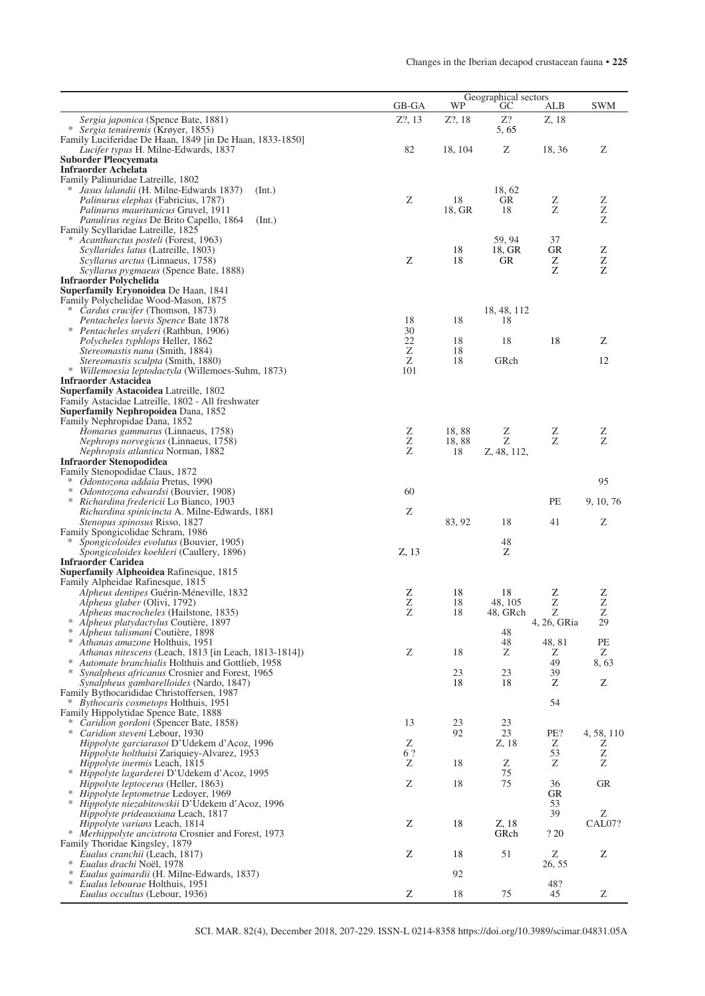|                                                                                                             | GB-GA     | Geographical sectors<br>WP | <b>SWM</b>        |                       |                |
|-------------------------------------------------------------------------------------------------------------|-----------|----------------------------|-------------------|-----------------------|----------------|
| <i>Sergia japonica</i> (Spence Bate, 1881)                                                                  | $Z$ ?, 13 | Z?, 18                     | GC<br>Z?          | ALB<br>Z, 18          |                |
| * Sergia tenuiremis (Krøyer, 1855)                                                                          |           |                            | 5, 65             |                       |                |
| Family Luciferidae De Haan, 1849 [in De Haan, 1833-1850]                                                    | 82        | 18, 104                    |                   |                       | Ζ              |
| <i>Lucifer typus</i> H. Milne-Edwards, 1837<br><b>Suborder Pleocyemata</b>                                  |           |                            | Z                 | 18, 36                |                |
| <b>Infraorder Achelata</b>                                                                                  |           |                            |                   |                       |                |
| Family Palinuridae Latreille, 1802<br>* Jasus lalandii (H. Milne-Edwards 1837)<br>(Int.)                    |           |                            | 18, 62            |                       |                |
| <i>Palinurus elephas</i> (Fabricius, 1787)                                                                  | Ζ         | 18                         | GR                |                       |                |
| <i>Palinurus mauritanicus Gruvel, 1911</i>                                                                  |           | 18, GR                     | 18                | $\frac{Z}{Z}$         | $\frac{Z}{Z}$  |
| Panulirus regius De Brito Capello, 1864<br>(Int.)                                                           |           |                            |                   |                       | Z              |
| Family Scyllaridae Latreille, 1825<br>* Acantharctus posteli (Forest, 1963)                                 |           |                            | 59, 94            | 37                    |                |
| Scyllarides latus (Latreille, 1803)                                                                         |           | 18                         | 18, GR            | <b>GR</b>             | Z              |
| Scyllarus arctus (Linnaeus, 1758)                                                                           | Z         | 18                         | GR                | Z<br>$\boldsymbol{Z}$ | $\frac{Z}{Z}$  |
| Scyllarus pygmaeus (Spence Bate, 1888)<br><b>Infraorder Polychelida</b>                                     |           |                            |                   |                       |                |
| <b>Superfamily Eryonoidea</b> De Haan, 1841                                                                 |           |                            |                   |                       |                |
| Family Polychelidae Wood-Mason, 1875                                                                        |           |                            |                   |                       |                |
| <i>* Cardus crucifer</i> (Thomson, 1873)<br>Pentacheles laevis Spence Bate 1878                             | 18        | 18                         | 18, 48, 112<br>18 |                       |                |
| * <i>Pentacheles snyderi</i> (Rathbun, 1906)                                                                | 30        |                            |                   |                       |                |
| Polycheles typhlops Heller, 1862                                                                            | 22        | 18                         | 18                | 18                    | Ζ              |
| <i>Stereomastis nana</i> (Smith, 1884)                                                                      | Z<br>Ζ    | 18<br>18                   | GRch              |                       | 12             |
| <i>Stereomastis sculpta</i> (Smith, 1880)<br>* Willemoesia leptodactyla (Willemoes-Suhm, 1873)              | 101       |                            |                   |                       |                |
| <b>Infraorder Astacidea</b>                                                                                 |           |                            |                   |                       |                |
| Superfamily Astacoidea Latreille, 1802                                                                      |           |                            |                   |                       |                |
| Family Astacidae Latreille, 1802 - All freshwater<br><b>Superfamily Nephropoidea Dana, 1852</b>             |           |                            |                   |                       |                |
| Family Nephropidae Dana, 1852                                                                               |           |                            |                   |                       |                |
| <i>Homarus gammarus</i> (Linnaeus, 1758)                                                                    | Ζ         | 18,88                      | Ζ                 | Ζ                     | Ζ              |
| <i>Nephrops norvegicus</i> (Linnaeus, 1758)<br><i>Nephropsis atlantica</i> Norman, 1882                     | Z<br>Ζ    | 18,88<br>18                | Z<br>Z, 48, 112,  | $\rm{Z}$              | Z              |
| <b>Infraorder Stenopodidea</b>                                                                              |           |                            |                   |                       |                |
| Family Stenopodidae Claus, 1872                                                                             |           |                            |                   |                       |                |
| * Odontozona addaia Pretus, 1990<br>$*$<br>Odontozona edwardsi (Bouvier, 1908)                              | 60        |                            |                   |                       | 95             |
| * Richardina fredericii Lo Bianco, 1903                                                                     |           |                            |                   | PE                    | 9, 10, 76      |
| <i>Richardina spinicincta A. Milne-Edwards, 1881</i>                                                        | Z         |                            |                   |                       |                |
| <i>Stenopus spinosus Risso, 1827</i>                                                                        |           | 83, 92                     | 18                | 41                    | Ζ              |
| Family Spongicolidae Schram, 1986<br>*<br><i>Spongicoloides evolutus</i> (Bouvier, 1905)                    |           |                            | 48                |                       |                |
| <i>Spongicoloides koehleri</i> (Caullery, 1896)                                                             | Z, 13     |                            | Ζ                 |                       |                |
| <b>Infraorder Caridea</b>                                                                                   |           |                            |                   |                       |                |
| Superfamily Alpheoidea Rafinesque, 1815<br>Family Alpheidae Rafinesque, 1815                                |           |                            |                   |                       |                |
| Alpheus dentipes Guérin-Méneville, 1832                                                                     | Ζ         | 18                         | 18                | Ζ                     | $\frac{Z}{Z}$  |
| <i>Alpheus glaber</i> (Olivi, 1792)                                                                         | $\rm{Z}$  | 18                         | 48, 105           | $\rm{Z}$              |                |
| Alpheus macrocheles (Hailstone, 1835)<br>* Alpheus platydactylus Coutière, 1897                             | Ζ         | 18                         | 48, GRch          | Ζ<br>4, 26, GRia      | $\rm{Z}$<br>29 |
| * Alpheus talismani Coutière, 1898                                                                          |           |                            | 48                |                       |                |
| * Athanas amazone Holthuis, 1951                                                                            |           |                            | 48                | 48, 81                | PE             |
| Athanas nitescens (Leach, 1813 [in Leach, 1813-1814])<br>* Automate branchialis Holthuis and Gottlieb, 1958 | Ζ         | 18                         | Ζ                 | Ζ<br>49               | Ζ<br>8,63      |
| Synalpheus africanus Crosnier and Forest, 1965                                                              |           | 23                         | 23                | 39                    |                |
| Synalpheus gambarelloides (Nardo, 1847)                                                                     |           | 18                         | 18                | Z                     | Z              |
| Family Bythocarididae Christoffersen, 1987                                                                  |           |                            |                   | 54                    |                |
| * Bythocaris cosmetops Holthuis, 1951<br>Family Hippolytidae Spence Bate, 1888                              |           |                            |                   |                       |                |
| * Caridion gordoni (Spencer Bate, 1858)                                                                     | 13        | 23                         | 23                |                       |                |
| ∗<br>Caridion steveni Lebour, 1930                                                                          | Ζ         | 92                         | 23                | PE?                   | 4, 58, 110     |
| Hippolyte garciarasoi D'Udekem d'Acoz, 1996<br>Hippolyte holthuisi Zariquiey-Alvarez, 1953                  | 6?        |                            | Z, 18             | Ζ<br>53               | Z<br>Z         |
| Hippolyte inermis Leach, 1815                                                                               | Ζ         | 18                         | Ζ                 | Ζ                     | Ζ              |
| * Hippolyte lagarderei D'Udekem d'Acoz, 1995                                                                |           |                            | 75                |                       |                |
| <i>Hippolyte leptocerus</i> (Heller, 1863)<br>* Hippolyte leptometrae Ledoyer, 1969                         | Ζ         | 18                         | 75                | 36<br>GR              | <b>GR</b>      |
| * Hippolyte niezabitowskii D'Udekem d'Acoz, 1996                                                            |           |                            |                   | 53                    |                |
| <i>Hippolyte prideauxiana</i> Leach, 1817                                                                   |           |                            |                   | 39                    | Ζ              |
| Hippolyte varians Leach, 1814<br>* Merhippolyte ancistrota Crosnier and Forest, 1973                        | Ζ         | 18                         | Z, 18<br>GRch     | ? 20                  | CAL07?         |
| Family Thoridae Kingsley, 1879                                                                              |           |                            |                   |                       |                |
| Eualus cranchii (Leach, 1817)                                                                               | Z         | 18                         | 51                | Ζ                     | Z              |
| Eualus drachi Noël, 1978<br>∗                                                                               |           | 92                         |                   | 26, 55                |                |
| Eualus gaimardii (H. Milne-Edwards, 1837)<br>Eualus lebourae Holthuis, 1951<br>∗                            |           |                            |                   | 48?                   |                |
| <i>Eualus occultus</i> (Lebour, 1936)                                                                       | Z         | 18                         | 75                | 45                    | Ζ              |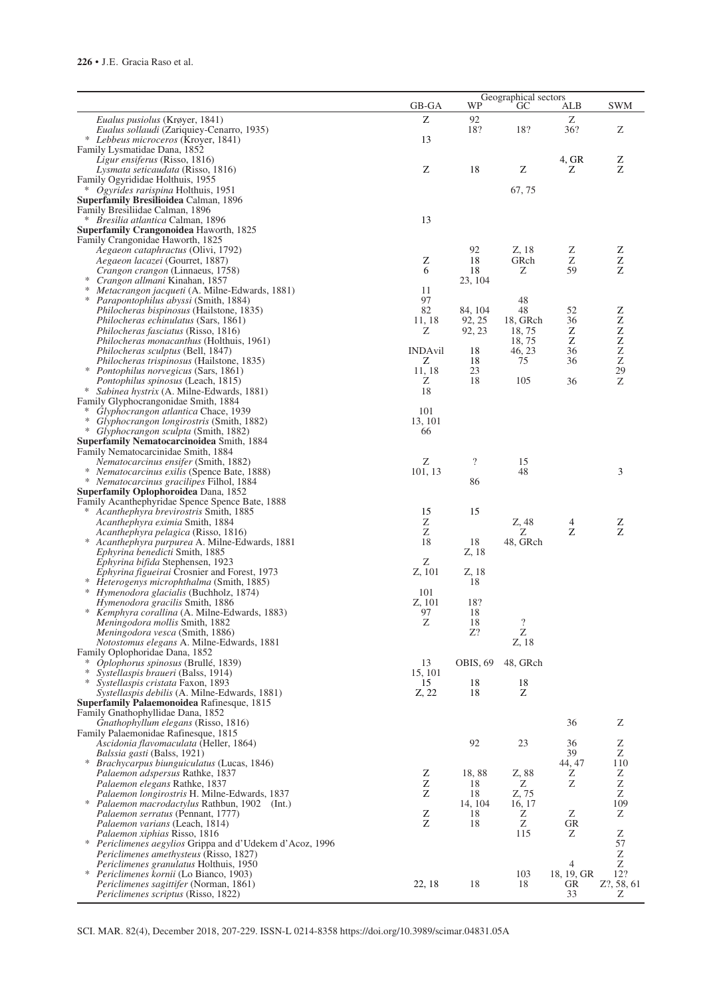|                                                                                                  | GB-GA          | WP                       | Geographical sectors<br>GC | ALB                          | <b>SWM</b>                |
|--------------------------------------------------------------------------------------------------|----------------|--------------------------|----------------------------|------------------------------|---------------------------|
| Eualus pusiolus (Krøyer, 1841)                                                                   | Ζ              | 92                       |                            | Ζ                            |                           |
| Eualus sollaudi (Zariquiey-Cenarro, 1935)                                                        |                | 18?                      | 18?                        | 36?                          | Ζ                         |
| * Lebbeus microceros (Kroyer, 1841)                                                              | 13             |                          |                            |                              |                           |
| Family Lysmatidae Dana, 1852                                                                     |                |                          |                            |                              |                           |
| <i>Ligur ensiferus</i> (Risso, 1816)<br>Lysmata seticaudata (Risso, 1816)                        | Z              | 18                       | Z                          | 4, GR<br>Ζ                   | Ζ<br>Z                    |
| Family Ogyrididae Holthuis, 1955                                                                 |                |                          |                            |                              |                           |
| * Ogyrides rarispina Holthuis, 1951                                                              |                |                          | 67,75                      |                              |                           |
| Superfamily Bresilioidea Calman, 1896<br>Family Bresiliidae Calman, 1896                         |                |                          |                            |                              |                           |
| <i>Bresilia atlantica</i> Calman, 1896                                                           | 13             |                          |                            |                              |                           |
| Superfamily Crangonoidea Haworth, 1825                                                           |                |                          |                            |                              |                           |
| Family Crangonidae Haworth, 1825                                                                 |                |                          |                            |                              |                           |
| <i>Aegaeon cataphractus</i> (Olivi, 1792)<br><i>Aegaeon lacazei</i> (Gourret, 1887)              | Ζ              | 92<br>18                 | Z, 18<br>GRch              | Ζ<br>Ζ                       | Z<br>$\rm{Z}$             |
| Crangon crangon (Linnaeus, 1758)                                                                 | 6              | 18                       | Ζ                          | 59                           | Z                         |
| $\ast$<br>Crangon allmani Kinahan, 1857                                                          |                | 23, 104                  |                            |                              |                           |
| Metacrangon jacqueti (A. Milne-Edwards, 1881)<br><i>Parapontophilus abyssi</i> (Smith, 1884)     | 11<br>97       |                          | 48                         |                              |                           |
| <i>Philocheras bispinosus</i> (Hailstone, 1835)                                                  | 82             | 84, 104                  | 48                         | 52                           | Z                         |
| Philocheras echinulatus (Sars, 1861)                                                             | 11, 18         | 92, 25                   | 18, GRch                   | 36                           |                           |
| <i>Philocheras fasciatus</i> (Risso, 1816)                                                       | Ζ              | 92, 23                   | 18,75                      | Z                            | $Z$ $Z$ $Z$ $Z$           |
| <i>Philocheras monacanthus</i> (Holthuis, 1961)<br><i>Philocheras sculptus</i> (Bell, 1847)      | <b>INDAvil</b> | 18                       | 18,75<br>46, 23            | Z<br>36                      |                           |
| Philocheras trispinosus (Hailstone, 1835)                                                        | Ζ              | 18                       | 75                         | 36                           |                           |
| Pontophilus norvegicus (Sars, 1861)                                                              | 11, 18         | 23                       |                            |                              | 29                        |
| Pontophilus spinosus (Leach, 1815)                                                               | Ζ<br>18        | 18                       | 105                        | 36                           | $\ensuremath{\mathbf{Z}}$ |
| Sabinea hystrix (A. Milne-Edwards, 1881)<br>Family Glyphocrangonidae Smith, 1884                 |                |                          |                            |                              |                           |
| Glyphocrangon atlantica Chace, 1939                                                              | 101            |                          |                            |                              |                           |
| Glyphocrangon longirostris (Smith, 1882)                                                         | 13, 101        |                          |                            |                              |                           |
| Glyphocrangon sculpta (Smith, 1882)<br><b>Superfamily Nematocarcinoidea Smith, 1884</b>          | 66             |                          |                            |                              |                           |
| Family Nematocarcinidae Smith, 1884                                                              |                |                          |                            |                              |                           |
| <i>Nematocarcinus ensifer</i> (Smith, 1882)                                                      | Ζ              | $\overline{\mathcal{L}}$ | 15                         |                              |                           |
| $*$<br>Nematocarcinus exilis (Spence Bate, 1888)                                                 | 101, 13        |                          | 48                         |                              | 3                         |
| * Nematocarcinus gracilipes Filhol, 1884<br><b>Superfamily Oplophoroidea Dana, 1852</b>          |                | 86                       |                            |                              |                           |
| Family Acanthephyridae Spence Spence Bate, 1888                                                  |                |                          |                            |                              |                           |
| Acanthephyra brevirostris Smith, 1885                                                            | 15             | 15                       |                            |                              |                           |
| Acanthephyra eximia Smith, 1884                                                                  | Ζ<br>Ζ         |                          | Z, 48<br>Ζ                 | 4<br>$\rm{Z}$                | Ζ<br>Z                    |
| Acanthephyra pelagica (Risso, 1816)<br>$*$<br>Acanthephyra purpurea A. Milne-Edwards, 1881       | 18             | 18                       | 48, GRch                   |                              |                           |
| <i>Ephyrina benedicti</i> Smith, 1885                                                            |                | Z, 18                    |                            |                              |                           |
| Ephyrina bifida Stephensen, 1923                                                                 | Ζ              |                          |                            |                              |                           |
| Ephyrina figueirai Crosnier and Forest, 1973<br>Heterogenys microphthalma (Smith, 1885)          | Z, 101         | Z, 18<br>18              |                            |                              |                           |
| ∗<br>Hymenodora glacialis (Buchholz, 1874)                                                       | 101            |                          |                            |                              |                           |
| Hymenodora gracilis Smith, 1886                                                                  | Z, 101         | 18?                      |                            |                              |                           |
| Kemphyra corallina (A. Milne-Edwards, 1883)                                                      | 97             | 18                       |                            |                              |                           |
| Meningodora mollis Smith, 1882<br>Meningodora vesca (Smith, 1886)                                | Z              | 18<br>Z?                 | $\overline{\cdot}$<br>Z    |                              |                           |
| <i>Notostomus elegans A. Milne-Edwards, 1881</i>                                                 |                |                          | Z, 18                      |                              |                           |
| Family Oplophoridae Dana, 1852                                                                   |                |                          |                            |                              |                           |
| ∗<br>Oplophorus spinosus (Brullé, 1839)<br>∗<br>Systellaspis braueri (Balss, 1914)               | 13<br>15, 101  | OBIS, 69                 | 48, GRch                   |                              |                           |
| <i>Systellaspis cristata</i> Faxon, 1893                                                         | 15             | 18                       | 18                         |                              |                           |
| Systellaspis debilis (A. Milne-Edwards, 1881)                                                    | Z, 22          | 18                       | Z                          |                              |                           |
| <b>Superfamily Palaemonoidea</b> Rafinesque, 1815                                                |                |                          |                            |                              |                           |
| Family Gnathophyllidae Dana, 1852<br>Gnathophyllum elegans (Risso, 1816)                         |                |                          |                            | 36                           | Ζ                         |
| Family Palaemonidae Rafinesque, 1815                                                             |                |                          |                            |                              |                           |
| Ascidonia flavomaculata (Heller, 1864)                                                           |                | 92                       | 23                         | 36                           | Ζ                         |
| Balssia gasti (Balss, 1921)                                                                      |                |                          |                            | 39                           | $\boldsymbol{Z}$          |
| * Brachycarpus biunguiculatus (Lucas, 1846)<br>Palaemon adspersus Rathke, 1837                   | Z              | 18,88                    | Z, 88                      | 44, 47<br>Ζ                  | 110<br>Ζ                  |
| Palaemon elegans Rathke, 1837                                                                    | Ζ              | 18                       | Ζ                          | Ζ                            | $\ensuremath{\mathbf{Z}}$ |
| Palaemon longirostris H. Milne-Edwards, 1837                                                     | Ζ              | 18                       | Z, 75                      |                              | Ζ                         |
| $\ast$<br><i>Palaemon macrodactylus Rathbun, 1902 (Int.)</i>                                     |                | 14, 104                  | 16, 17                     |                              | 109                       |
| Palaemon serratus (Pennant, 1777)<br>Palaemon varians (Leach, 1814)                              | Z<br>Z         | 18<br>18                 | Ζ<br>Ζ                     | Ζ<br>GR                      | Ζ                         |
| <i>Palaemon xiphias Risso, 1816</i>                                                              |                |                          | 115                        | Ζ                            | Ζ                         |
| * Periclimenes aegylios Grippa and d'Udekem d'Acoz, 1996                                         |                |                          |                            |                              | 57                        |
| Periclimenes amethysteus (Risso, 1827)                                                           |                |                          |                            |                              | Ζ<br>$\rm{Z}$             |
| <i>Periclimenes granulatus</i> Holthuis, 1950<br>$\ast$<br>Periclimenes kornii (Lo Bianco, 1903) |                |                          | 103                        | $\overline{4}$<br>18, 19, GR | 12?                       |
| Periclimenes sagittifer (Norman, 1861)                                                           | 22, 18         | 18                       | 18                         | GR                           | Z?, 58, 61                |
| <i>Periclimenes scriptus</i> (Risso, 1822)                                                       |                |                          |                            | 33                           | Ζ                         |

SCI. MAR. 82(4), December 2018, 207-229. ISSN-L 0214-8358 https://doi.org/10.3989/scimar.04831.05A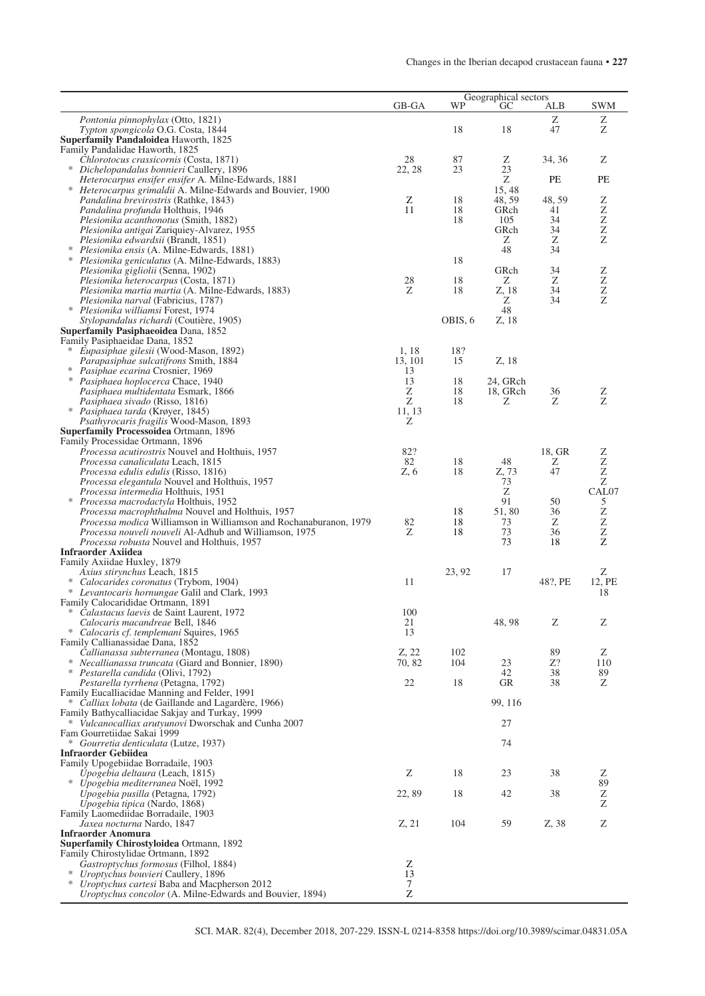|                                                                                                                                    | GB-GA           |           | Geographical sectors<br>WP<br>ALB<br>GC |         |                                |  |
|------------------------------------------------------------------------------------------------------------------------------------|-----------------|-----------|-----------------------------------------|---------|--------------------------------|--|
| Pontonia pinnophylax (Otto, 1821)                                                                                                  |                 |           |                                         | Ζ       | <b>SWM</b><br>Ζ                |  |
| Typton spongicola O.G. Costa, 1844                                                                                                 |                 | 18        | 18                                      | 47      | Z                              |  |
| Superfamily Pandaloidea Haworth, 1825<br>Family Pandalidae Haworth, 1825                                                           |                 |           |                                         |         |                                |  |
| Chlorotocus crassicornis (Costa, 1871)                                                                                             | 28              | 87        | Ζ                                       | 34, 36  | Ζ                              |  |
| * Dichelopandalus bonnieri Caullery, 1896                                                                                          | 22, 28          | 23        | 23                                      |         |                                |  |
| Heterocarpus ensifer ensifer A. Milne-Edwards, 1881                                                                                |                 |           | Ζ                                       | PE      | PE                             |  |
| * Heterocarpus grimaldii A. Milne-Edwards and Bouvier, 1900<br><i>Pandalina brevirostris</i> (Rathke, 1843)                        | Z               | 18        | 15, 48<br>48, 59                        | 48, 59  | Z                              |  |
| <i>Pandalina profunda</i> Holthuis, 1946                                                                                           | 11              | 18        | GRch                                    | 41      | z                              |  |
| Plesionika acanthonotus (Smith, 1882)                                                                                              |                 | 18        | 105                                     | 34      |                                |  |
| <i>Plesionika antigai</i> Zariquiey-Alvarez, 1955<br><i>Plesionika edwardsii</i> (Brandt, 1851)                                    |                 |           | GRch<br>Ζ                               | 34<br>Ζ | $\frac{Z}{Z}$                  |  |
| * Plesionika ensis (A. Milne-Edwards, 1881)                                                                                        |                 |           | 48                                      | 34      |                                |  |
| * Plesionika geniculatus (A. Milne-Edwards, 1883)                                                                                  |                 | 18        |                                         |         |                                |  |
| <i>Plesionika gigliolii</i> (Senna, 1902)<br>Plesionika heterocarpus (Costa, 1871)                                                 | 28              | 18        | GRch<br>Ζ                               | 34<br>Ζ | Z                              |  |
| <i>Plesionika martia martia</i> (A. Milne-Edwards, 1883)                                                                           | Ζ               | 18        | Z, 18                                   | 34      | $\frac{Z}{Z}$                  |  |
| <i>Plesionika narval</i> (Fabricius, 1787)                                                                                         |                 |           | Ζ                                       | 34      |                                |  |
| * Plesionika williamsi Forest, 1974<br>Stylopandalus richardi (Coutière, 1905)                                                     |                 | OBIS, 6   | 48<br>Z, 18                             |         |                                |  |
| Superfamily Pasiphaeoidea Dana, 1852                                                                                               |                 |           |                                         |         |                                |  |
| Family Pasiphaeidae Dana, 1852                                                                                                     |                 |           |                                         |         |                                |  |
| * Eupasiphae gilesii (Wood-Mason, 1892)<br>Parapasiphae sulcatifrons Smith, 1884                                                   | 1,18<br>13, 101 | 18?<br>15 | Z, 18                                   |         |                                |  |
| * Pasiphae ecarina Crosnier, 1969                                                                                                  | 13              |           |                                         |         |                                |  |
| * Pasiphaea hoplocerca Chace, 1940                                                                                                 | 13              | 18        | 24, GRch                                |         |                                |  |
| Pasiphaea multidentata Esmark, 1866                                                                                                | Z<br>Ζ          | 18<br>18  | 18, GRch<br>Ζ                           | 36<br>Ζ | Z<br>Z                         |  |
| <i>Pasiphaea sivado</i> (Risso, 1816)<br>* Pasiphaea tarda (Krøyer, 1845)                                                          | 11, 13          |           |                                         |         |                                |  |
| <i>Psathyrocaris fragilis</i> Wood-Mason, 1893                                                                                     | Ζ               |           |                                         |         |                                |  |
| Superfamily Processoidea Ortmann, 1896                                                                                             |                 |           |                                         |         |                                |  |
| Family Processidae Ortmann, 1896<br><i>Processa acutirostris</i> Nouvel and Holthuis, 1957                                         | 82?             |           |                                         | 18, GR  | Z                              |  |
| Processa canaliculata Leach, 1815                                                                                                  | 82              | 18        | 48                                      | Ζ       | Z                              |  |
| <i>Processa edulis edulis</i> (Risso, 1816)                                                                                        | Z, 6            | 18        | Z, 73                                   | 47      | $\frac{Z}{Z}$                  |  |
| Processa elegantula Nouvel and Holthuis, 1957<br><i>Processa intermedia</i> Holthuis, 1951                                         |                 |           | 73<br>Ζ                                 |         | CAL07                          |  |
| * Processa macrodactyla Holthuis, 1952                                                                                             |                 |           | 91                                      | 50      | 5                              |  |
| Processa macrophthalma Nouvel and Holthuis, 1957                                                                                   |                 | 18        | 51,80                                   | 36      | Z                              |  |
| Processa modica Williamson in Williamson and Rochanaburanon, 1979<br><i>Processa nouveli nouveli</i> Al-Adhub and Williamson, 1975 | 82<br>Ζ         | 18<br>18  | 73<br>73                                | Ζ<br>36 | Z<br>$\ensuremath{\mathbf{Z}}$ |  |
| <i>Processa robusta</i> Nouvel and Holthuis, 1957                                                                                  |                 |           | 73                                      | 18      | $\bar{z}$                      |  |
| <b>Infraorder Axiidea</b>                                                                                                          |                 |           |                                         |         |                                |  |
| Family Axiidae Huxley, 1879<br>Axius stirynchus Leach, 1815                                                                        |                 | 23, 92    | 17                                      |         | Ζ                              |  |
| * Calocarides coronatus (Trybom, 1904)                                                                                             | 11              |           |                                         | 48?, PE | 12, PE                         |  |
| * Levantocaris hornungae Galil and Clark, 1993                                                                                     |                 |           |                                         |         | 18                             |  |
| Family Calocarididae Ortmann, 1891<br>* Calastacus laevis de Saint Laurent, 1972                                                   | 100             |           |                                         |         |                                |  |
| Calocaris macandreae Bell, 1846                                                                                                    | 21              |           | 48, 98                                  | Z       | Z                              |  |
| * Calocaris cf. templemani Squires, 1965                                                                                           | 13              |           |                                         |         |                                |  |
| Family Callianassidae Dana, 1852<br>Callianassa subterranea (Montagu, 1808)                                                        | Z, 22           | 102       |                                         | 89      | Z                              |  |
| * Necallianassa truncata (Giard and Bonnier, 1890)                                                                                 | 70, 82          | 104       | 23                                      | Z?      | 110                            |  |
| * Pestarella candida (Olivi, 1792)                                                                                                 |                 |           | 42                                      | 38      | 89                             |  |
| Pestarella tyrrhena (Petagna, 1792)<br>Family Eucalliacidae Manning and Felder, 1991                                               | 22              | 18        | GR                                      | 38      | Ζ                              |  |
| * Calliax lobata (de Gaillande and Lagardère, 1966)                                                                                |                 |           | 99, 116                                 |         |                                |  |
| Family Bathycalliacidae Sakjay and Turkay, 1999                                                                                    |                 |           |                                         |         |                                |  |
| * <i>Vulcanocalliax arutyunovi</i> Dworschak and Cunha 2007<br>Fam Gourretiidae Sakai 1999                                         |                 |           | 27                                      |         |                                |  |
| * Gourretia denticulata (Lutze, 1937)                                                                                              |                 |           | 74                                      |         |                                |  |
| <b>Infraorder Gebiidea</b>                                                                                                         |                 |           |                                         |         |                                |  |
| Family Upogebiidae Borradaile, 1903<br>Upogebia deltaura (Leach, 1815)                                                             | Ζ               | 18        | 23                                      | 38      | Ζ                              |  |
| ∗<br><i>Upogebia mediterranea</i> Noël, 1992                                                                                       |                 |           |                                         |         | 89                             |  |
| <i>Upogebia pusilla</i> (Petagna, 1792)                                                                                            | 22,89           | 18        | 42                                      | 38      | Z                              |  |
| <i>Upogebia tipica</i> (Nardo, 1868)<br>Family Laomediidae Borradaile, 1903                                                        |                 |           |                                         |         | Z                              |  |
| Jaxea nocturna Nardo, 1847                                                                                                         | Z, 21           | 104       | 59                                      | Z, 38   | Z                              |  |
| <b>Infraorder Anomura</b>                                                                                                          |                 |           |                                         |         |                                |  |
| <b>Superfamily Chirostyloidea Ortmann, 1892</b>                                                                                    |                 |           |                                         |         |                                |  |
| Family Chirostylidae Ortmann, 1892<br>Gastroptychus formosus (Filhol, 1884)                                                        | Ζ               |           |                                         |         |                                |  |
| ∗<br>Uroptychus bouvieri Caullery, 1896                                                                                            | 13              |           |                                         |         |                                |  |
| * Uroptychus cartesi Baba and Macpherson 2012                                                                                      | 7<br>Z          |           |                                         |         |                                |  |
| Uroptychus concolor (A. Milne-Edwards and Bouvier, 1894)                                                                           |                 |           |                                         |         |                                |  |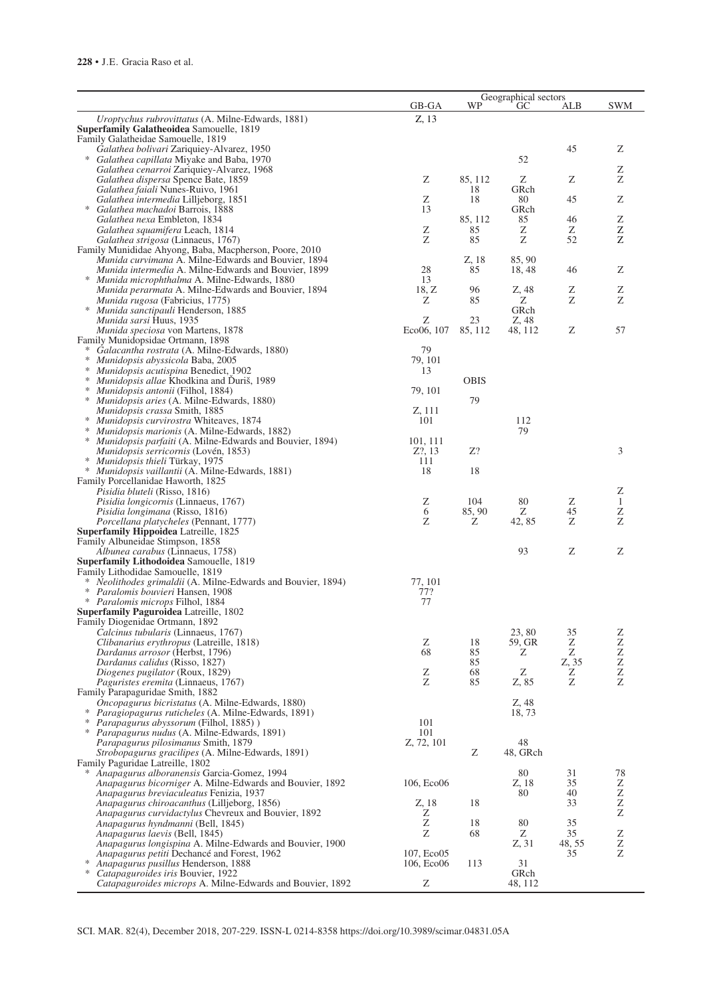| Z, 13<br>Uroptychus rubrovittatus (A. Milne-Edwards, 1881)<br>Superfamily Galatheoidea Samouelle, 1819<br>Family Galatheidae Samouelle, 1819<br>Ζ<br>45<br>Galathea bolivari Zariquiey-Alvarez, 1950<br>* Galathea capillata Miyake and Baba, 1970<br>52<br>Galathea cenarroi Zariquiey-Alvarez, 1968<br>Ζ<br>Ζ<br>85, 112<br>Ζ<br>Ζ<br>Ζ<br><i>Galathea dispersa</i> Spence Bate, 1859<br>18<br>GRch<br>Galathea faiali Nunes-Ruivo, 1961<br>Ζ<br>Ζ<br>18<br>80<br>45<br>Galathea intermedia Lilljeborg, 1851<br>13<br>GRch<br>Galathea machadoi Barrois, 1888<br>Ζ<br>85, 112<br>Galathea nexa Embleton, 1834<br>85<br>46<br>Z<br>Ζ<br>Ζ<br>Galathea squamifera Leach, 1814<br>85<br>Ζ<br>Z<br>Z<br>52<br>Z<br>85<br>Galathea strigosa (Linnaeus, 1767)<br>Z, 18<br>85, 90<br><i>Munida curvimana A. Milne-Edwards and Bouvier, 1894</i><br>Ζ<br>28<br>46<br>Munida intermedia A. Milne-Edwards and Bouvier, 1899<br>85<br>18, 48<br>* Munida microphthalma A. Milne-Edwards, 1880<br>13<br>18, Z<br>Z<br>Z, 48<br>Ζ<br>Munida perarmata A. Milne-Edwards and Bouvier, 1894<br>96<br>Z<br>Z<br>Ζ<br>85<br>Munida rugosa (Fabricius, 1775)<br>Ζ<br>* Munida sanctipauli Henderson, 1885<br>GRch<br>Ζ<br>Munida sarsi Huus, 1935<br>23<br>Z, 48<br>Eco06, 107<br>Ζ<br>57<br>Munida speciosa von Martens, 1878<br>85, 112<br>48, 112<br>Family Munidopsidae Ortmann, 1898<br>79<br>Galacantha rostrata (A. Milne-Edwards, 1880)<br>$\ast$<br>79, 101<br><i>Munidopsis abyssicola</i> Baba, 2005<br>Munidopsis acutispina Benedict, 1902<br>13<br>Munidopsis allae Khodkina and Duriš, 1989<br><b>OBIS</b><br>∗<br>∗<br>Munidopsis antonii (Filhol, 1884)<br>79, 101<br>$\ast$<br>79<br>Munidopsis aries (A. Milne-Edwards, 1880)<br>Z, 111<br>Munidopsis crassa Smith, 1885<br>101<br>112<br>Munidopsis curvirostra Whiteaves, 1874<br>∗<br>79<br>Munidopsis marionis (A. Milne-Edwards, 1882)<br>Munidopsis parfaiti (A. Milne-Edwards and Bouvier, 1894)<br>101, 111<br>3<br>Z?, 13<br>Z?<br>Munidopsis serricornis (Lovén, 1853)<br>Munidopsis thieli Türkay, 1975<br>111<br>18<br>18<br>Munidopsis vaillantii (A. Milne-Edwards, 1881)<br>Family Porcellanidae Haworth, 1825<br>Ζ<br><i>Pisidia bluteli</i> (Risso, 1816)<br>80<br>Ζ<br>104<br>Ζ<br>$\mathbf{1}$<br>Pisidia longicornis (Linnaeus, 1767)<br>Z<br>6<br>85, 90<br>Ζ<br>45<br>Pisidia longimana (Risso, 1816)<br>Z<br>Ζ<br>Ζ<br>Ζ<br>Porcellana platycheles (Pennant, 1777)<br>42, 85<br><b>Superfamily Hippoidea</b> Latreille, 1825<br>Family Albuneidae Stimpson, 1858<br>Ζ<br>Ζ<br>93<br>Albunea carabus (Linnaeus, 1758)<br>Superfamily Lithodoidea Samouelle, 1819<br>Family Lithodidae Samouelle, 1819<br>77, 101<br>∗<br>Neolithodes grimaldii (A. Milne-Edwards and Bouvier, 1894)<br>* Paralomis bouvieri Hansen, 1908<br>77?<br>77<br>* Paralomis microps Filhol, 1884<br>Superfamily Paguroidea Latreille, 1802<br>Family Diogenidae Ortmann, 1892<br>23,80<br>35<br>Ζ<br>Calcinus tubularis (Linnaeus, 1767)<br>Ζ<br>59, GR<br>Ζ<br>Ζ<br>Clibanarius erythropus (Latreille, 1818)<br>18<br>Z<br>Ζ<br>68<br>85<br>Ζ<br>Dardanus arrosor (Herbst, 1796)<br>Z<br>85<br>Z, 35<br>Dardanus calidus (Risso, 1827)<br>$\ensuremath{\mathbf{Z}}$<br>Ζ<br>Ζ<br>68<br>Diogenes pugilator (Roux, 1829)<br>Ζ<br>Z<br>Ζ<br>Ζ<br>85<br>Z, 85<br>Paguristes eremita (Linnaeus, 1767)<br>Family Parapaguridae Smith, 1882<br>Z, 48<br>Oncopagurus bicristatus (A. Milne-Edwards, 1880)<br>* Paragiopagurus ruticheles (A. Milne-Edwards, 1891)<br>18, 73<br>∗<br>101<br>Parapagurus abyssorum (Filhol, 1885))<br>101<br>* Parapagurus nudus (A. Milne-Edwards, 1891)<br>Z, 72, 101<br>48<br>Parapagurus pilosimanus Smith, 1879<br>Ζ<br>48, GRch<br>Strobopagurus gracilipes (A. Milne-Edwards, 1891)<br>Family Paguridae Latreille, 1802<br>78<br>Anapagurus alboranensis Garcia-Gomez, 1994<br>80<br>31<br>35<br>Ζ<br>106, Eco06<br>Z, 18<br>Anapagurus bicorniger A. Milne-Edwards and Bouvier, 1892<br>$\rm{Z}$<br>80<br>40<br>Anapagurus breviaculeatus Fenizia, 1937<br>Z<br>18<br>33<br>Anapagurus chiroacanthus (Lilljeborg, 1856)<br>Z, 18<br>Ζ<br>Ζ<br>Anapagurus curvidactylus Chevreux and Bouvier, 1892<br>Z<br>80<br>35<br>Anapagurus hyndmanni (Bell, 1845)<br>18<br>Ζ<br>35<br>Ζ<br>Anapagurus laevis (Bell, 1845)<br>68<br>Ζ<br>Z<br>48, 55<br>Anapagurus longispina A. Milne-Edwards and Bouvier, 1900<br>Z, 31<br>Ζ<br>107, Eco05<br>35<br>Anapagurus petiti Dechancé and Forest, 1962<br>∗<br>31<br>Anapagurus pusillus Henderson, 1888<br>106, Eco06<br>113<br>GRch<br>Catapaguroides iris Bouvier, 1922<br>Catapaguroides microps A. Milne-Edwards and Bouvier, 1892<br>Ζ<br>48, 112 |                                                        | Geographical sectors |    |    |     |            |
|-------------------------------------------------------------------------------------------------------------------------------------------------------------------------------------------------------------------------------------------------------------------------------------------------------------------------------------------------------------------------------------------------------------------------------------------------------------------------------------------------------------------------------------------------------------------------------------------------------------------------------------------------------------------------------------------------------------------------------------------------------------------------------------------------------------------------------------------------------------------------------------------------------------------------------------------------------------------------------------------------------------------------------------------------------------------------------------------------------------------------------------------------------------------------------------------------------------------------------------------------------------------------------------------------------------------------------------------------------------------------------------------------------------------------------------------------------------------------------------------------------------------------------------------------------------------------------------------------------------------------------------------------------------------------------------------------------------------------------------------------------------------------------------------------------------------------------------------------------------------------------------------------------------------------------------------------------------------------------------------------------------------------------------------------------------------------------------------------------------------------------------------------------------------------------------------------------------------------------------------------------------------------------------------------------------------------------------------------------------------------------------------------------------------------------------------------------------------------------------------------------------------------------------------------------------------------------------------------------------------------------------------------------------------------------------------------------------------------------------------------------------------------------------------------------------------------------------------------------------------------------------------------------------------------------------------------------------------------------------------------------------------------------------------------------------------------------------------------------------------------------------------------------------------------------------------------------------------------------------------------------------------------------------------------------------------------------------------------------------------------------------------------------------------------------------------------------------------------------------------------------------------------------------------------------------------------------------------------------------------------------------------------------------------------------------------------------------------------------------------------------------------------------------------------------------------------------------------------------------------------------------------------------------------------------------------------------------------------------------------------------------------------------------------------------------------------------------------------------------------------------------------------------------------------------------------------------------------------------------------------------------------------------------------------------------------------------------------------------------------------------------------------------------------------------------------------------------------------------------------------------------------------------------------------------------------------------------------------------------------------------------------------------------------------|--------------------------------------------------------|----------------------|----|----|-----|------------|
|                                                                                                                                                                                                                                                                                                                                                                                                                                                                                                                                                                                                                                                                                                                                                                                                                                                                                                                                                                                                                                                                                                                                                                                                                                                                                                                                                                                                                                                                                                                                                                                                                                                                                                                                                                                                                                                                                                                                                                                                                                                                                                                                                                                                                                                                                                                                                                                                                                                                                                                                                                                                                                                                                                                                                                                                                                                                                                                                                                                                                                                                                                                                                                                                                                                                                                                                                                                                                                                                                                                                                                                                                                                                                                                                                                                                                                                                                                                                                                                                                                                                                                                                                                                                                                                                                                                                                                                                                                                                                                                                                                                                                                                                         |                                                        | GB-GA                | WP | GC | ALB | <b>SWM</b> |
|                                                                                                                                                                                                                                                                                                                                                                                                                                                                                                                                                                                                                                                                                                                                                                                                                                                                                                                                                                                                                                                                                                                                                                                                                                                                                                                                                                                                                                                                                                                                                                                                                                                                                                                                                                                                                                                                                                                                                                                                                                                                                                                                                                                                                                                                                                                                                                                                                                                                                                                                                                                                                                                                                                                                                                                                                                                                                                                                                                                                                                                                                                                                                                                                                                                                                                                                                                                                                                                                                                                                                                                                                                                                                                                                                                                                                                                                                                                                                                                                                                                                                                                                                                                                                                                                                                                                                                                                                                                                                                                                                                                                                                                                         |                                                        |                      |    |    |     |            |
|                                                                                                                                                                                                                                                                                                                                                                                                                                                                                                                                                                                                                                                                                                                                                                                                                                                                                                                                                                                                                                                                                                                                                                                                                                                                                                                                                                                                                                                                                                                                                                                                                                                                                                                                                                                                                                                                                                                                                                                                                                                                                                                                                                                                                                                                                                                                                                                                                                                                                                                                                                                                                                                                                                                                                                                                                                                                                                                                                                                                                                                                                                                                                                                                                                                                                                                                                                                                                                                                                                                                                                                                                                                                                                                                                                                                                                                                                                                                                                                                                                                                                                                                                                                                                                                                                                                                                                                                                                                                                                                                                                                                                                                                         |                                                        |                      |    |    |     |            |
|                                                                                                                                                                                                                                                                                                                                                                                                                                                                                                                                                                                                                                                                                                                                                                                                                                                                                                                                                                                                                                                                                                                                                                                                                                                                                                                                                                                                                                                                                                                                                                                                                                                                                                                                                                                                                                                                                                                                                                                                                                                                                                                                                                                                                                                                                                                                                                                                                                                                                                                                                                                                                                                                                                                                                                                                                                                                                                                                                                                                                                                                                                                                                                                                                                                                                                                                                                                                                                                                                                                                                                                                                                                                                                                                                                                                                                                                                                                                                                                                                                                                                                                                                                                                                                                                                                                                                                                                                                                                                                                                                                                                                                                                         |                                                        |                      |    |    |     |            |
|                                                                                                                                                                                                                                                                                                                                                                                                                                                                                                                                                                                                                                                                                                                                                                                                                                                                                                                                                                                                                                                                                                                                                                                                                                                                                                                                                                                                                                                                                                                                                                                                                                                                                                                                                                                                                                                                                                                                                                                                                                                                                                                                                                                                                                                                                                                                                                                                                                                                                                                                                                                                                                                                                                                                                                                                                                                                                                                                                                                                                                                                                                                                                                                                                                                                                                                                                                                                                                                                                                                                                                                                                                                                                                                                                                                                                                                                                                                                                                                                                                                                                                                                                                                                                                                                                                                                                                                                                                                                                                                                                                                                                                                                         |                                                        |                      |    |    |     |            |
|                                                                                                                                                                                                                                                                                                                                                                                                                                                                                                                                                                                                                                                                                                                                                                                                                                                                                                                                                                                                                                                                                                                                                                                                                                                                                                                                                                                                                                                                                                                                                                                                                                                                                                                                                                                                                                                                                                                                                                                                                                                                                                                                                                                                                                                                                                                                                                                                                                                                                                                                                                                                                                                                                                                                                                                                                                                                                                                                                                                                                                                                                                                                                                                                                                                                                                                                                                                                                                                                                                                                                                                                                                                                                                                                                                                                                                                                                                                                                                                                                                                                                                                                                                                                                                                                                                                                                                                                                                                                                                                                                                                                                                                                         |                                                        |                      |    |    |     |            |
|                                                                                                                                                                                                                                                                                                                                                                                                                                                                                                                                                                                                                                                                                                                                                                                                                                                                                                                                                                                                                                                                                                                                                                                                                                                                                                                                                                                                                                                                                                                                                                                                                                                                                                                                                                                                                                                                                                                                                                                                                                                                                                                                                                                                                                                                                                                                                                                                                                                                                                                                                                                                                                                                                                                                                                                                                                                                                                                                                                                                                                                                                                                                                                                                                                                                                                                                                                                                                                                                                                                                                                                                                                                                                                                                                                                                                                                                                                                                                                                                                                                                                                                                                                                                                                                                                                                                                                                                                                                                                                                                                                                                                                                                         |                                                        |                      |    |    |     |            |
|                                                                                                                                                                                                                                                                                                                                                                                                                                                                                                                                                                                                                                                                                                                                                                                                                                                                                                                                                                                                                                                                                                                                                                                                                                                                                                                                                                                                                                                                                                                                                                                                                                                                                                                                                                                                                                                                                                                                                                                                                                                                                                                                                                                                                                                                                                                                                                                                                                                                                                                                                                                                                                                                                                                                                                                                                                                                                                                                                                                                                                                                                                                                                                                                                                                                                                                                                                                                                                                                                                                                                                                                                                                                                                                                                                                                                                                                                                                                                                                                                                                                                                                                                                                                                                                                                                                                                                                                                                                                                                                                                                                                                                                                         |                                                        |                      |    |    |     |            |
|                                                                                                                                                                                                                                                                                                                                                                                                                                                                                                                                                                                                                                                                                                                                                                                                                                                                                                                                                                                                                                                                                                                                                                                                                                                                                                                                                                                                                                                                                                                                                                                                                                                                                                                                                                                                                                                                                                                                                                                                                                                                                                                                                                                                                                                                                                                                                                                                                                                                                                                                                                                                                                                                                                                                                                                                                                                                                                                                                                                                                                                                                                                                                                                                                                                                                                                                                                                                                                                                                                                                                                                                                                                                                                                                                                                                                                                                                                                                                                                                                                                                                                                                                                                                                                                                                                                                                                                                                                                                                                                                                                                                                                                                         |                                                        |                      |    |    |     |            |
|                                                                                                                                                                                                                                                                                                                                                                                                                                                                                                                                                                                                                                                                                                                                                                                                                                                                                                                                                                                                                                                                                                                                                                                                                                                                                                                                                                                                                                                                                                                                                                                                                                                                                                                                                                                                                                                                                                                                                                                                                                                                                                                                                                                                                                                                                                                                                                                                                                                                                                                                                                                                                                                                                                                                                                                                                                                                                                                                                                                                                                                                                                                                                                                                                                                                                                                                                                                                                                                                                                                                                                                                                                                                                                                                                                                                                                                                                                                                                                                                                                                                                                                                                                                                                                                                                                                                                                                                                                                                                                                                                                                                                                                                         |                                                        |                      |    |    |     |            |
|                                                                                                                                                                                                                                                                                                                                                                                                                                                                                                                                                                                                                                                                                                                                                                                                                                                                                                                                                                                                                                                                                                                                                                                                                                                                                                                                                                                                                                                                                                                                                                                                                                                                                                                                                                                                                                                                                                                                                                                                                                                                                                                                                                                                                                                                                                                                                                                                                                                                                                                                                                                                                                                                                                                                                                                                                                                                                                                                                                                                                                                                                                                                                                                                                                                                                                                                                                                                                                                                                                                                                                                                                                                                                                                                                                                                                                                                                                                                                                                                                                                                                                                                                                                                                                                                                                                                                                                                                                                                                                                                                                                                                                                                         |                                                        |                      |    |    |     |            |
|                                                                                                                                                                                                                                                                                                                                                                                                                                                                                                                                                                                                                                                                                                                                                                                                                                                                                                                                                                                                                                                                                                                                                                                                                                                                                                                                                                                                                                                                                                                                                                                                                                                                                                                                                                                                                                                                                                                                                                                                                                                                                                                                                                                                                                                                                                                                                                                                                                                                                                                                                                                                                                                                                                                                                                                                                                                                                                                                                                                                                                                                                                                                                                                                                                                                                                                                                                                                                                                                                                                                                                                                                                                                                                                                                                                                                                                                                                                                                                                                                                                                                                                                                                                                                                                                                                                                                                                                                                                                                                                                                                                                                                                                         | Family Munididae Ahyong, Baba, Macpherson, Poore, 2010 |                      |    |    |     |            |
|                                                                                                                                                                                                                                                                                                                                                                                                                                                                                                                                                                                                                                                                                                                                                                                                                                                                                                                                                                                                                                                                                                                                                                                                                                                                                                                                                                                                                                                                                                                                                                                                                                                                                                                                                                                                                                                                                                                                                                                                                                                                                                                                                                                                                                                                                                                                                                                                                                                                                                                                                                                                                                                                                                                                                                                                                                                                                                                                                                                                                                                                                                                                                                                                                                                                                                                                                                                                                                                                                                                                                                                                                                                                                                                                                                                                                                                                                                                                                                                                                                                                                                                                                                                                                                                                                                                                                                                                                                                                                                                                                                                                                                                                         |                                                        |                      |    |    |     |            |
|                                                                                                                                                                                                                                                                                                                                                                                                                                                                                                                                                                                                                                                                                                                                                                                                                                                                                                                                                                                                                                                                                                                                                                                                                                                                                                                                                                                                                                                                                                                                                                                                                                                                                                                                                                                                                                                                                                                                                                                                                                                                                                                                                                                                                                                                                                                                                                                                                                                                                                                                                                                                                                                                                                                                                                                                                                                                                                                                                                                                                                                                                                                                                                                                                                                                                                                                                                                                                                                                                                                                                                                                                                                                                                                                                                                                                                                                                                                                                                                                                                                                                                                                                                                                                                                                                                                                                                                                                                                                                                                                                                                                                                                                         |                                                        |                      |    |    |     |            |
|                                                                                                                                                                                                                                                                                                                                                                                                                                                                                                                                                                                                                                                                                                                                                                                                                                                                                                                                                                                                                                                                                                                                                                                                                                                                                                                                                                                                                                                                                                                                                                                                                                                                                                                                                                                                                                                                                                                                                                                                                                                                                                                                                                                                                                                                                                                                                                                                                                                                                                                                                                                                                                                                                                                                                                                                                                                                                                                                                                                                                                                                                                                                                                                                                                                                                                                                                                                                                                                                                                                                                                                                                                                                                                                                                                                                                                                                                                                                                                                                                                                                                                                                                                                                                                                                                                                                                                                                                                                                                                                                                                                                                                                                         |                                                        |                      |    |    |     |            |
|                                                                                                                                                                                                                                                                                                                                                                                                                                                                                                                                                                                                                                                                                                                                                                                                                                                                                                                                                                                                                                                                                                                                                                                                                                                                                                                                                                                                                                                                                                                                                                                                                                                                                                                                                                                                                                                                                                                                                                                                                                                                                                                                                                                                                                                                                                                                                                                                                                                                                                                                                                                                                                                                                                                                                                                                                                                                                                                                                                                                                                                                                                                                                                                                                                                                                                                                                                                                                                                                                                                                                                                                                                                                                                                                                                                                                                                                                                                                                                                                                                                                                                                                                                                                                                                                                                                                                                                                                                                                                                                                                                                                                                                                         |                                                        |                      |    |    |     |            |
|                                                                                                                                                                                                                                                                                                                                                                                                                                                                                                                                                                                                                                                                                                                                                                                                                                                                                                                                                                                                                                                                                                                                                                                                                                                                                                                                                                                                                                                                                                                                                                                                                                                                                                                                                                                                                                                                                                                                                                                                                                                                                                                                                                                                                                                                                                                                                                                                                                                                                                                                                                                                                                                                                                                                                                                                                                                                                                                                                                                                                                                                                                                                                                                                                                                                                                                                                                                                                                                                                                                                                                                                                                                                                                                                                                                                                                                                                                                                                                                                                                                                                                                                                                                                                                                                                                                                                                                                                                                                                                                                                                                                                                                                         |                                                        |                      |    |    |     |            |
|                                                                                                                                                                                                                                                                                                                                                                                                                                                                                                                                                                                                                                                                                                                                                                                                                                                                                                                                                                                                                                                                                                                                                                                                                                                                                                                                                                                                                                                                                                                                                                                                                                                                                                                                                                                                                                                                                                                                                                                                                                                                                                                                                                                                                                                                                                                                                                                                                                                                                                                                                                                                                                                                                                                                                                                                                                                                                                                                                                                                                                                                                                                                                                                                                                                                                                                                                                                                                                                                                                                                                                                                                                                                                                                                                                                                                                                                                                                                                                                                                                                                                                                                                                                                                                                                                                                                                                                                                                                                                                                                                                                                                                                                         |                                                        |                      |    |    |     |            |
|                                                                                                                                                                                                                                                                                                                                                                                                                                                                                                                                                                                                                                                                                                                                                                                                                                                                                                                                                                                                                                                                                                                                                                                                                                                                                                                                                                                                                                                                                                                                                                                                                                                                                                                                                                                                                                                                                                                                                                                                                                                                                                                                                                                                                                                                                                                                                                                                                                                                                                                                                                                                                                                                                                                                                                                                                                                                                                                                                                                                                                                                                                                                                                                                                                                                                                                                                                                                                                                                                                                                                                                                                                                                                                                                                                                                                                                                                                                                                                                                                                                                                                                                                                                                                                                                                                                                                                                                                                                                                                                                                                                                                                                                         |                                                        |                      |    |    |     |            |
|                                                                                                                                                                                                                                                                                                                                                                                                                                                                                                                                                                                                                                                                                                                                                                                                                                                                                                                                                                                                                                                                                                                                                                                                                                                                                                                                                                                                                                                                                                                                                                                                                                                                                                                                                                                                                                                                                                                                                                                                                                                                                                                                                                                                                                                                                                                                                                                                                                                                                                                                                                                                                                                                                                                                                                                                                                                                                                                                                                                                                                                                                                                                                                                                                                                                                                                                                                                                                                                                                                                                                                                                                                                                                                                                                                                                                                                                                                                                                                                                                                                                                                                                                                                                                                                                                                                                                                                                                                                                                                                                                                                                                                                                         |                                                        |                      |    |    |     |            |
|                                                                                                                                                                                                                                                                                                                                                                                                                                                                                                                                                                                                                                                                                                                                                                                                                                                                                                                                                                                                                                                                                                                                                                                                                                                                                                                                                                                                                                                                                                                                                                                                                                                                                                                                                                                                                                                                                                                                                                                                                                                                                                                                                                                                                                                                                                                                                                                                                                                                                                                                                                                                                                                                                                                                                                                                                                                                                                                                                                                                                                                                                                                                                                                                                                                                                                                                                                                                                                                                                                                                                                                                                                                                                                                                                                                                                                                                                                                                                                                                                                                                                                                                                                                                                                                                                                                                                                                                                                                                                                                                                                                                                                                                         |                                                        |                      |    |    |     |            |
|                                                                                                                                                                                                                                                                                                                                                                                                                                                                                                                                                                                                                                                                                                                                                                                                                                                                                                                                                                                                                                                                                                                                                                                                                                                                                                                                                                                                                                                                                                                                                                                                                                                                                                                                                                                                                                                                                                                                                                                                                                                                                                                                                                                                                                                                                                                                                                                                                                                                                                                                                                                                                                                                                                                                                                                                                                                                                                                                                                                                                                                                                                                                                                                                                                                                                                                                                                                                                                                                                                                                                                                                                                                                                                                                                                                                                                                                                                                                                                                                                                                                                                                                                                                                                                                                                                                                                                                                                                                                                                                                                                                                                                                                         |                                                        |                      |    |    |     |            |
|                                                                                                                                                                                                                                                                                                                                                                                                                                                                                                                                                                                                                                                                                                                                                                                                                                                                                                                                                                                                                                                                                                                                                                                                                                                                                                                                                                                                                                                                                                                                                                                                                                                                                                                                                                                                                                                                                                                                                                                                                                                                                                                                                                                                                                                                                                                                                                                                                                                                                                                                                                                                                                                                                                                                                                                                                                                                                                                                                                                                                                                                                                                                                                                                                                                                                                                                                                                                                                                                                                                                                                                                                                                                                                                                                                                                                                                                                                                                                                                                                                                                                                                                                                                                                                                                                                                                                                                                                                                                                                                                                                                                                                                                         |                                                        |                      |    |    |     |            |
|                                                                                                                                                                                                                                                                                                                                                                                                                                                                                                                                                                                                                                                                                                                                                                                                                                                                                                                                                                                                                                                                                                                                                                                                                                                                                                                                                                                                                                                                                                                                                                                                                                                                                                                                                                                                                                                                                                                                                                                                                                                                                                                                                                                                                                                                                                                                                                                                                                                                                                                                                                                                                                                                                                                                                                                                                                                                                                                                                                                                                                                                                                                                                                                                                                                                                                                                                                                                                                                                                                                                                                                                                                                                                                                                                                                                                                                                                                                                                                                                                                                                                                                                                                                                                                                                                                                                                                                                                                                                                                                                                                                                                                                                         |                                                        |                      |    |    |     |            |
|                                                                                                                                                                                                                                                                                                                                                                                                                                                                                                                                                                                                                                                                                                                                                                                                                                                                                                                                                                                                                                                                                                                                                                                                                                                                                                                                                                                                                                                                                                                                                                                                                                                                                                                                                                                                                                                                                                                                                                                                                                                                                                                                                                                                                                                                                                                                                                                                                                                                                                                                                                                                                                                                                                                                                                                                                                                                                                                                                                                                                                                                                                                                                                                                                                                                                                                                                                                                                                                                                                                                                                                                                                                                                                                                                                                                                                                                                                                                                                                                                                                                                                                                                                                                                                                                                                                                                                                                                                                                                                                                                                                                                                                                         |                                                        |                      |    |    |     |            |
|                                                                                                                                                                                                                                                                                                                                                                                                                                                                                                                                                                                                                                                                                                                                                                                                                                                                                                                                                                                                                                                                                                                                                                                                                                                                                                                                                                                                                                                                                                                                                                                                                                                                                                                                                                                                                                                                                                                                                                                                                                                                                                                                                                                                                                                                                                                                                                                                                                                                                                                                                                                                                                                                                                                                                                                                                                                                                                                                                                                                                                                                                                                                                                                                                                                                                                                                                                                                                                                                                                                                                                                                                                                                                                                                                                                                                                                                                                                                                                                                                                                                                                                                                                                                                                                                                                                                                                                                                                                                                                                                                                                                                                                                         |                                                        |                      |    |    |     |            |
|                                                                                                                                                                                                                                                                                                                                                                                                                                                                                                                                                                                                                                                                                                                                                                                                                                                                                                                                                                                                                                                                                                                                                                                                                                                                                                                                                                                                                                                                                                                                                                                                                                                                                                                                                                                                                                                                                                                                                                                                                                                                                                                                                                                                                                                                                                                                                                                                                                                                                                                                                                                                                                                                                                                                                                                                                                                                                                                                                                                                                                                                                                                                                                                                                                                                                                                                                                                                                                                                                                                                                                                                                                                                                                                                                                                                                                                                                                                                                                                                                                                                                                                                                                                                                                                                                                                                                                                                                                                                                                                                                                                                                                                                         |                                                        |                      |    |    |     |            |
|                                                                                                                                                                                                                                                                                                                                                                                                                                                                                                                                                                                                                                                                                                                                                                                                                                                                                                                                                                                                                                                                                                                                                                                                                                                                                                                                                                                                                                                                                                                                                                                                                                                                                                                                                                                                                                                                                                                                                                                                                                                                                                                                                                                                                                                                                                                                                                                                                                                                                                                                                                                                                                                                                                                                                                                                                                                                                                                                                                                                                                                                                                                                                                                                                                                                                                                                                                                                                                                                                                                                                                                                                                                                                                                                                                                                                                                                                                                                                                                                                                                                                                                                                                                                                                                                                                                                                                                                                                                                                                                                                                                                                                                                         |                                                        |                      |    |    |     |            |
|                                                                                                                                                                                                                                                                                                                                                                                                                                                                                                                                                                                                                                                                                                                                                                                                                                                                                                                                                                                                                                                                                                                                                                                                                                                                                                                                                                                                                                                                                                                                                                                                                                                                                                                                                                                                                                                                                                                                                                                                                                                                                                                                                                                                                                                                                                                                                                                                                                                                                                                                                                                                                                                                                                                                                                                                                                                                                                                                                                                                                                                                                                                                                                                                                                                                                                                                                                                                                                                                                                                                                                                                                                                                                                                                                                                                                                                                                                                                                                                                                                                                                                                                                                                                                                                                                                                                                                                                                                                                                                                                                                                                                                                                         |                                                        |                      |    |    |     |            |
|                                                                                                                                                                                                                                                                                                                                                                                                                                                                                                                                                                                                                                                                                                                                                                                                                                                                                                                                                                                                                                                                                                                                                                                                                                                                                                                                                                                                                                                                                                                                                                                                                                                                                                                                                                                                                                                                                                                                                                                                                                                                                                                                                                                                                                                                                                                                                                                                                                                                                                                                                                                                                                                                                                                                                                                                                                                                                                                                                                                                                                                                                                                                                                                                                                                                                                                                                                                                                                                                                                                                                                                                                                                                                                                                                                                                                                                                                                                                                                                                                                                                                                                                                                                                                                                                                                                                                                                                                                                                                                                                                                                                                                                                         |                                                        |                      |    |    |     |            |
|                                                                                                                                                                                                                                                                                                                                                                                                                                                                                                                                                                                                                                                                                                                                                                                                                                                                                                                                                                                                                                                                                                                                                                                                                                                                                                                                                                                                                                                                                                                                                                                                                                                                                                                                                                                                                                                                                                                                                                                                                                                                                                                                                                                                                                                                                                                                                                                                                                                                                                                                                                                                                                                                                                                                                                                                                                                                                                                                                                                                                                                                                                                                                                                                                                                                                                                                                                                                                                                                                                                                                                                                                                                                                                                                                                                                                                                                                                                                                                                                                                                                                                                                                                                                                                                                                                                                                                                                                                                                                                                                                                                                                                                                         |                                                        |                      |    |    |     |            |
|                                                                                                                                                                                                                                                                                                                                                                                                                                                                                                                                                                                                                                                                                                                                                                                                                                                                                                                                                                                                                                                                                                                                                                                                                                                                                                                                                                                                                                                                                                                                                                                                                                                                                                                                                                                                                                                                                                                                                                                                                                                                                                                                                                                                                                                                                                                                                                                                                                                                                                                                                                                                                                                                                                                                                                                                                                                                                                                                                                                                                                                                                                                                                                                                                                                                                                                                                                                                                                                                                                                                                                                                                                                                                                                                                                                                                                                                                                                                                                                                                                                                                                                                                                                                                                                                                                                                                                                                                                                                                                                                                                                                                                                                         |                                                        |                      |    |    |     |            |
|                                                                                                                                                                                                                                                                                                                                                                                                                                                                                                                                                                                                                                                                                                                                                                                                                                                                                                                                                                                                                                                                                                                                                                                                                                                                                                                                                                                                                                                                                                                                                                                                                                                                                                                                                                                                                                                                                                                                                                                                                                                                                                                                                                                                                                                                                                                                                                                                                                                                                                                                                                                                                                                                                                                                                                                                                                                                                                                                                                                                                                                                                                                                                                                                                                                                                                                                                                                                                                                                                                                                                                                                                                                                                                                                                                                                                                                                                                                                                                                                                                                                                                                                                                                                                                                                                                                                                                                                                                                                                                                                                                                                                                                                         |                                                        |                      |    |    |     |            |
|                                                                                                                                                                                                                                                                                                                                                                                                                                                                                                                                                                                                                                                                                                                                                                                                                                                                                                                                                                                                                                                                                                                                                                                                                                                                                                                                                                                                                                                                                                                                                                                                                                                                                                                                                                                                                                                                                                                                                                                                                                                                                                                                                                                                                                                                                                                                                                                                                                                                                                                                                                                                                                                                                                                                                                                                                                                                                                                                                                                                                                                                                                                                                                                                                                                                                                                                                                                                                                                                                                                                                                                                                                                                                                                                                                                                                                                                                                                                                                                                                                                                                                                                                                                                                                                                                                                                                                                                                                                                                                                                                                                                                                                                         |                                                        |                      |    |    |     |            |
|                                                                                                                                                                                                                                                                                                                                                                                                                                                                                                                                                                                                                                                                                                                                                                                                                                                                                                                                                                                                                                                                                                                                                                                                                                                                                                                                                                                                                                                                                                                                                                                                                                                                                                                                                                                                                                                                                                                                                                                                                                                                                                                                                                                                                                                                                                                                                                                                                                                                                                                                                                                                                                                                                                                                                                                                                                                                                                                                                                                                                                                                                                                                                                                                                                                                                                                                                                                                                                                                                                                                                                                                                                                                                                                                                                                                                                                                                                                                                                                                                                                                                                                                                                                                                                                                                                                                                                                                                                                                                                                                                                                                                                                                         |                                                        |                      |    |    |     |            |
|                                                                                                                                                                                                                                                                                                                                                                                                                                                                                                                                                                                                                                                                                                                                                                                                                                                                                                                                                                                                                                                                                                                                                                                                                                                                                                                                                                                                                                                                                                                                                                                                                                                                                                                                                                                                                                                                                                                                                                                                                                                                                                                                                                                                                                                                                                                                                                                                                                                                                                                                                                                                                                                                                                                                                                                                                                                                                                                                                                                                                                                                                                                                                                                                                                                                                                                                                                                                                                                                                                                                                                                                                                                                                                                                                                                                                                                                                                                                                                                                                                                                                                                                                                                                                                                                                                                                                                                                                                                                                                                                                                                                                                                                         |                                                        |                      |    |    |     |            |
|                                                                                                                                                                                                                                                                                                                                                                                                                                                                                                                                                                                                                                                                                                                                                                                                                                                                                                                                                                                                                                                                                                                                                                                                                                                                                                                                                                                                                                                                                                                                                                                                                                                                                                                                                                                                                                                                                                                                                                                                                                                                                                                                                                                                                                                                                                                                                                                                                                                                                                                                                                                                                                                                                                                                                                                                                                                                                                                                                                                                                                                                                                                                                                                                                                                                                                                                                                                                                                                                                                                                                                                                                                                                                                                                                                                                                                                                                                                                                                                                                                                                                                                                                                                                                                                                                                                                                                                                                                                                                                                                                                                                                                                                         |                                                        |                      |    |    |     |            |
|                                                                                                                                                                                                                                                                                                                                                                                                                                                                                                                                                                                                                                                                                                                                                                                                                                                                                                                                                                                                                                                                                                                                                                                                                                                                                                                                                                                                                                                                                                                                                                                                                                                                                                                                                                                                                                                                                                                                                                                                                                                                                                                                                                                                                                                                                                                                                                                                                                                                                                                                                                                                                                                                                                                                                                                                                                                                                                                                                                                                                                                                                                                                                                                                                                                                                                                                                                                                                                                                                                                                                                                                                                                                                                                                                                                                                                                                                                                                                                                                                                                                                                                                                                                                                                                                                                                                                                                                                                                                                                                                                                                                                                                                         |                                                        |                      |    |    |     |            |
|                                                                                                                                                                                                                                                                                                                                                                                                                                                                                                                                                                                                                                                                                                                                                                                                                                                                                                                                                                                                                                                                                                                                                                                                                                                                                                                                                                                                                                                                                                                                                                                                                                                                                                                                                                                                                                                                                                                                                                                                                                                                                                                                                                                                                                                                                                                                                                                                                                                                                                                                                                                                                                                                                                                                                                                                                                                                                                                                                                                                                                                                                                                                                                                                                                                                                                                                                                                                                                                                                                                                                                                                                                                                                                                                                                                                                                                                                                                                                                                                                                                                                                                                                                                                                                                                                                                                                                                                                                                                                                                                                                                                                                                                         |                                                        |                      |    |    |     |            |
|                                                                                                                                                                                                                                                                                                                                                                                                                                                                                                                                                                                                                                                                                                                                                                                                                                                                                                                                                                                                                                                                                                                                                                                                                                                                                                                                                                                                                                                                                                                                                                                                                                                                                                                                                                                                                                                                                                                                                                                                                                                                                                                                                                                                                                                                                                                                                                                                                                                                                                                                                                                                                                                                                                                                                                                                                                                                                                                                                                                                                                                                                                                                                                                                                                                                                                                                                                                                                                                                                                                                                                                                                                                                                                                                                                                                                                                                                                                                                                                                                                                                                                                                                                                                                                                                                                                                                                                                                                                                                                                                                                                                                                                                         |                                                        |                      |    |    |     |            |
|                                                                                                                                                                                                                                                                                                                                                                                                                                                                                                                                                                                                                                                                                                                                                                                                                                                                                                                                                                                                                                                                                                                                                                                                                                                                                                                                                                                                                                                                                                                                                                                                                                                                                                                                                                                                                                                                                                                                                                                                                                                                                                                                                                                                                                                                                                                                                                                                                                                                                                                                                                                                                                                                                                                                                                                                                                                                                                                                                                                                                                                                                                                                                                                                                                                                                                                                                                                                                                                                                                                                                                                                                                                                                                                                                                                                                                                                                                                                                                                                                                                                                                                                                                                                                                                                                                                                                                                                                                                                                                                                                                                                                                                                         |                                                        |                      |    |    |     |            |
|                                                                                                                                                                                                                                                                                                                                                                                                                                                                                                                                                                                                                                                                                                                                                                                                                                                                                                                                                                                                                                                                                                                                                                                                                                                                                                                                                                                                                                                                                                                                                                                                                                                                                                                                                                                                                                                                                                                                                                                                                                                                                                                                                                                                                                                                                                                                                                                                                                                                                                                                                                                                                                                                                                                                                                                                                                                                                                                                                                                                                                                                                                                                                                                                                                                                                                                                                                                                                                                                                                                                                                                                                                                                                                                                                                                                                                                                                                                                                                                                                                                                                                                                                                                                                                                                                                                                                                                                                                                                                                                                                                                                                                                                         |                                                        |                      |    |    |     |            |
|                                                                                                                                                                                                                                                                                                                                                                                                                                                                                                                                                                                                                                                                                                                                                                                                                                                                                                                                                                                                                                                                                                                                                                                                                                                                                                                                                                                                                                                                                                                                                                                                                                                                                                                                                                                                                                                                                                                                                                                                                                                                                                                                                                                                                                                                                                                                                                                                                                                                                                                                                                                                                                                                                                                                                                                                                                                                                                                                                                                                                                                                                                                                                                                                                                                                                                                                                                                                                                                                                                                                                                                                                                                                                                                                                                                                                                                                                                                                                                                                                                                                                                                                                                                                                                                                                                                                                                                                                                                                                                                                                                                                                                                                         |                                                        |                      |    |    |     |            |
|                                                                                                                                                                                                                                                                                                                                                                                                                                                                                                                                                                                                                                                                                                                                                                                                                                                                                                                                                                                                                                                                                                                                                                                                                                                                                                                                                                                                                                                                                                                                                                                                                                                                                                                                                                                                                                                                                                                                                                                                                                                                                                                                                                                                                                                                                                                                                                                                                                                                                                                                                                                                                                                                                                                                                                                                                                                                                                                                                                                                                                                                                                                                                                                                                                                                                                                                                                                                                                                                                                                                                                                                                                                                                                                                                                                                                                                                                                                                                                                                                                                                                                                                                                                                                                                                                                                                                                                                                                                                                                                                                                                                                                                                         |                                                        |                      |    |    |     |            |
|                                                                                                                                                                                                                                                                                                                                                                                                                                                                                                                                                                                                                                                                                                                                                                                                                                                                                                                                                                                                                                                                                                                                                                                                                                                                                                                                                                                                                                                                                                                                                                                                                                                                                                                                                                                                                                                                                                                                                                                                                                                                                                                                                                                                                                                                                                                                                                                                                                                                                                                                                                                                                                                                                                                                                                                                                                                                                                                                                                                                                                                                                                                                                                                                                                                                                                                                                                                                                                                                                                                                                                                                                                                                                                                                                                                                                                                                                                                                                                                                                                                                                                                                                                                                                                                                                                                                                                                                                                                                                                                                                                                                                                                                         |                                                        |                      |    |    |     |            |
|                                                                                                                                                                                                                                                                                                                                                                                                                                                                                                                                                                                                                                                                                                                                                                                                                                                                                                                                                                                                                                                                                                                                                                                                                                                                                                                                                                                                                                                                                                                                                                                                                                                                                                                                                                                                                                                                                                                                                                                                                                                                                                                                                                                                                                                                                                                                                                                                                                                                                                                                                                                                                                                                                                                                                                                                                                                                                                                                                                                                                                                                                                                                                                                                                                                                                                                                                                                                                                                                                                                                                                                                                                                                                                                                                                                                                                                                                                                                                                                                                                                                                                                                                                                                                                                                                                                                                                                                                                                                                                                                                                                                                                                                         |                                                        |                      |    |    |     |            |
|                                                                                                                                                                                                                                                                                                                                                                                                                                                                                                                                                                                                                                                                                                                                                                                                                                                                                                                                                                                                                                                                                                                                                                                                                                                                                                                                                                                                                                                                                                                                                                                                                                                                                                                                                                                                                                                                                                                                                                                                                                                                                                                                                                                                                                                                                                                                                                                                                                                                                                                                                                                                                                                                                                                                                                                                                                                                                                                                                                                                                                                                                                                                                                                                                                                                                                                                                                                                                                                                                                                                                                                                                                                                                                                                                                                                                                                                                                                                                                                                                                                                                                                                                                                                                                                                                                                                                                                                                                                                                                                                                                                                                                                                         |                                                        |                      |    |    |     |            |
|                                                                                                                                                                                                                                                                                                                                                                                                                                                                                                                                                                                                                                                                                                                                                                                                                                                                                                                                                                                                                                                                                                                                                                                                                                                                                                                                                                                                                                                                                                                                                                                                                                                                                                                                                                                                                                                                                                                                                                                                                                                                                                                                                                                                                                                                                                                                                                                                                                                                                                                                                                                                                                                                                                                                                                                                                                                                                                                                                                                                                                                                                                                                                                                                                                                                                                                                                                                                                                                                                                                                                                                                                                                                                                                                                                                                                                                                                                                                                                                                                                                                                                                                                                                                                                                                                                                                                                                                                                                                                                                                                                                                                                                                         |                                                        |                      |    |    |     |            |
|                                                                                                                                                                                                                                                                                                                                                                                                                                                                                                                                                                                                                                                                                                                                                                                                                                                                                                                                                                                                                                                                                                                                                                                                                                                                                                                                                                                                                                                                                                                                                                                                                                                                                                                                                                                                                                                                                                                                                                                                                                                                                                                                                                                                                                                                                                                                                                                                                                                                                                                                                                                                                                                                                                                                                                                                                                                                                                                                                                                                                                                                                                                                                                                                                                                                                                                                                                                                                                                                                                                                                                                                                                                                                                                                                                                                                                                                                                                                                                                                                                                                                                                                                                                                                                                                                                                                                                                                                                                                                                                                                                                                                                                                         |                                                        |                      |    |    |     |            |
|                                                                                                                                                                                                                                                                                                                                                                                                                                                                                                                                                                                                                                                                                                                                                                                                                                                                                                                                                                                                                                                                                                                                                                                                                                                                                                                                                                                                                                                                                                                                                                                                                                                                                                                                                                                                                                                                                                                                                                                                                                                                                                                                                                                                                                                                                                                                                                                                                                                                                                                                                                                                                                                                                                                                                                                                                                                                                                                                                                                                                                                                                                                                                                                                                                                                                                                                                                                                                                                                                                                                                                                                                                                                                                                                                                                                                                                                                                                                                                                                                                                                                                                                                                                                                                                                                                                                                                                                                                                                                                                                                                                                                                                                         |                                                        |                      |    |    |     |            |
|                                                                                                                                                                                                                                                                                                                                                                                                                                                                                                                                                                                                                                                                                                                                                                                                                                                                                                                                                                                                                                                                                                                                                                                                                                                                                                                                                                                                                                                                                                                                                                                                                                                                                                                                                                                                                                                                                                                                                                                                                                                                                                                                                                                                                                                                                                                                                                                                                                                                                                                                                                                                                                                                                                                                                                                                                                                                                                                                                                                                                                                                                                                                                                                                                                                                                                                                                                                                                                                                                                                                                                                                                                                                                                                                                                                                                                                                                                                                                                                                                                                                                                                                                                                                                                                                                                                                                                                                                                                                                                                                                                                                                                                                         |                                                        |                      |    |    |     |            |
|                                                                                                                                                                                                                                                                                                                                                                                                                                                                                                                                                                                                                                                                                                                                                                                                                                                                                                                                                                                                                                                                                                                                                                                                                                                                                                                                                                                                                                                                                                                                                                                                                                                                                                                                                                                                                                                                                                                                                                                                                                                                                                                                                                                                                                                                                                                                                                                                                                                                                                                                                                                                                                                                                                                                                                                                                                                                                                                                                                                                                                                                                                                                                                                                                                                                                                                                                                                                                                                                                                                                                                                                                                                                                                                                                                                                                                                                                                                                                                                                                                                                                                                                                                                                                                                                                                                                                                                                                                                                                                                                                                                                                                                                         |                                                        |                      |    |    |     |            |
|                                                                                                                                                                                                                                                                                                                                                                                                                                                                                                                                                                                                                                                                                                                                                                                                                                                                                                                                                                                                                                                                                                                                                                                                                                                                                                                                                                                                                                                                                                                                                                                                                                                                                                                                                                                                                                                                                                                                                                                                                                                                                                                                                                                                                                                                                                                                                                                                                                                                                                                                                                                                                                                                                                                                                                                                                                                                                                                                                                                                                                                                                                                                                                                                                                                                                                                                                                                                                                                                                                                                                                                                                                                                                                                                                                                                                                                                                                                                                                                                                                                                                                                                                                                                                                                                                                                                                                                                                                                                                                                                                                                                                                                                         |                                                        |                      |    |    |     |            |
|                                                                                                                                                                                                                                                                                                                                                                                                                                                                                                                                                                                                                                                                                                                                                                                                                                                                                                                                                                                                                                                                                                                                                                                                                                                                                                                                                                                                                                                                                                                                                                                                                                                                                                                                                                                                                                                                                                                                                                                                                                                                                                                                                                                                                                                                                                                                                                                                                                                                                                                                                                                                                                                                                                                                                                                                                                                                                                                                                                                                                                                                                                                                                                                                                                                                                                                                                                                                                                                                                                                                                                                                                                                                                                                                                                                                                                                                                                                                                                                                                                                                                                                                                                                                                                                                                                                                                                                                                                                                                                                                                                                                                                                                         |                                                        |                      |    |    |     |            |
|                                                                                                                                                                                                                                                                                                                                                                                                                                                                                                                                                                                                                                                                                                                                                                                                                                                                                                                                                                                                                                                                                                                                                                                                                                                                                                                                                                                                                                                                                                                                                                                                                                                                                                                                                                                                                                                                                                                                                                                                                                                                                                                                                                                                                                                                                                                                                                                                                                                                                                                                                                                                                                                                                                                                                                                                                                                                                                                                                                                                                                                                                                                                                                                                                                                                                                                                                                                                                                                                                                                                                                                                                                                                                                                                                                                                                                                                                                                                                                                                                                                                                                                                                                                                                                                                                                                                                                                                                                                                                                                                                                                                                                                                         |                                                        |                      |    |    |     |            |
|                                                                                                                                                                                                                                                                                                                                                                                                                                                                                                                                                                                                                                                                                                                                                                                                                                                                                                                                                                                                                                                                                                                                                                                                                                                                                                                                                                                                                                                                                                                                                                                                                                                                                                                                                                                                                                                                                                                                                                                                                                                                                                                                                                                                                                                                                                                                                                                                                                                                                                                                                                                                                                                                                                                                                                                                                                                                                                                                                                                                                                                                                                                                                                                                                                                                                                                                                                                                                                                                                                                                                                                                                                                                                                                                                                                                                                                                                                                                                                                                                                                                                                                                                                                                                                                                                                                                                                                                                                                                                                                                                                                                                                                                         |                                                        |                      |    |    |     |            |
|                                                                                                                                                                                                                                                                                                                                                                                                                                                                                                                                                                                                                                                                                                                                                                                                                                                                                                                                                                                                                                                                                                                                                                                                                                                                                                                                                                                                                                                                                                                                                                                                                                                                                                                                                                                                                                                                                                                                                                                                                                                                                                                                                                                                                                                                                                                                                                                                                                                                                                                                                                                                                                                                                                                                                                                                                                                                                                                                                                                                                                                                                                                                                                                                                                                                                                                                                                                                                                                                                                                                                                                                                                                                                                                                                                                                                                                                                                                                                                                                                                                                                                                                                                                                                                                                                                                                                                                                                                                                                                                                                                                                                                                                         |                                                        |                      |    |    |     |            |
|                                                                                                                                                                                                                                                                                                                                                                                                                                                                                                                                                                                                                                                                                                                                                                                                                                                                                                                                                                                                                                                                                                                                                                                                                                                                                                                                                                                                                                                                                                                                                                                                                                                                                                                                                                                                                                                                                                                                                                                                                                                                                                                                                                                                                                                                                                                                                                                                                                                                                                                                                                                                                                                                                                                                                                                                                                                                                                                                                                                                                                                                                                                                                                                                                                                                                                                                                                                                                                                                                                                                                                                                                                                                                                                                                                                                                                                                                                                                                                                                                                                                                                                                                                                                                                                                                                                                                                                                                                                                                                                                                                                                                                                                         |                                                        |                      |    |    |     |            |
|                                                                                                                                                                                                                                                                                                                                                                                                                                                                                                                                                                                                                                                                                                                                                                                                                                                                                                                                                                                                                                                                                                                                                                                                                                                                                                                                                                                                                                                                                                                                                                                                                                                                                                                                                                                                                                                                                                                                                                                                                                                                                                                                                                                                                                                                                                                                                                                                                                                                                                                                                                                                                                                                                                                                                                                                                                                                                                                                                                                                                                                                                                                                                                                                                                                                                                                                                                                                                                                                                                                                                                                                                                                                                                                                                                                                                                                                                                                                                                                                                                                                                                                                                                                                                                                                                                                                                                                                                                                                                                                                                                                                                                                                         |                                                        |                      |    |    |     |            |
|                                                                                                                                                                                                                                                                                                                                                                                                                                                                                                                                                                                                                                                                                                                                                                                                                                                                                                                                                                                                                                                                                                                                                                                                                                                                                                                                                                                                                                                                                                                                                                                                                                                                                                                                                                                                                                                                                                                                                                                                                                                                                                                                                                                                                                                                                                                                                                                                                                                                                                                                                                                                                                                                                                                                                                                                                                                                                                                                                                                                                                                                                                                                                                                                                                                                                                                                                                                                                                                                                                                                                                                                                                                                                                                                                                                                                                                                                                                                                                                                                                                                                                                                                                                                                                                                                                                                                                                                                                                                                                                                                                                                                                                                         |                                                        |                      |    |    |     |            |
|                                                                                                                                                                                                                                                                                                                                                                                                                                                                                                                                                                                                                                                                                                                                                                                                                                                                                                                                                                                                                                                                                                                                                                                                                                                                                                                                                                                                                                                                                                                                                                                                                                                                                                                                                                                                                                                                                                                                                                                                                                                                                                                                                                                                                                                                                                                                                                                                                                                                                                                                                                                                                                                                                                                                                                                                                                                                                                                                                                                                                                                                                                                                                                                                                                                                                                                                                                                                                                                                                                                                                                                                                                                                                                                                                                                                                                                                                                                                                                                                                                                                                                                                                                                                                                                                                                                                                                                                                                                                                                                                                                                                                                                                         |                                                        |                      |    |    |     |            |
|                                                                                                                                                                                                                                                                                                                                                                                                                                                                                                                                                                                                                                                                                                                                                                                                                                                                                                                                                                                                                                                                                                                                                                                                                                                                                                                                                                                                                                                                                                                                                                                                                                                                                                                                                                                                                                                                                                                                                                                                                                                                                                                                                                                                                                                                                                                                                                                                                                                                                                                                                                                                                                                                                                                                                                                                                                                                                                                                                                                                                                                                                                                                                                                                                                                                                                                                                                                                                                                                                                                                                                                                                                                                                                                                                                                                                                                                                                                                                                                                                                                                                                                                                                                                                                                                                                                                                                                                                                                                                                                                                                                                                                                                         |                                                        |                      |    |    |     |            |
|                                                                                                                                                                                                                                                                                                                                                                                                                                                                                                                                                                                                                                                                                                                                                                                                                                                                                                                                                                                                                                                                                                                                                                                                                                                                                                                                                                                                                                                                                                                                                                                                                                                                                                                                                                                                                                                                                                                                                                                                                                                                                                                                                                                                                                                                                                                                                                                                                                                                                                                                                                                                                                                                                                                                                                                                                                                                                                                                                                                                                                                                                                                                                                                                                                                                                                                                                                                                                                                                                                                                                                                                                                                                                                                                                                                                                                                                                                                                                                                                                                                                                                                                                                                                                                                                                                                                                                                                                                                                                                                                                                                                                                                                         |                                                        |                      |    |    |     |            |

SCI. MAR. 82(4), December 2018, 207-229. ISSN-L 0214-8358 https://doi.org/10.3989/scimar.04831.05A